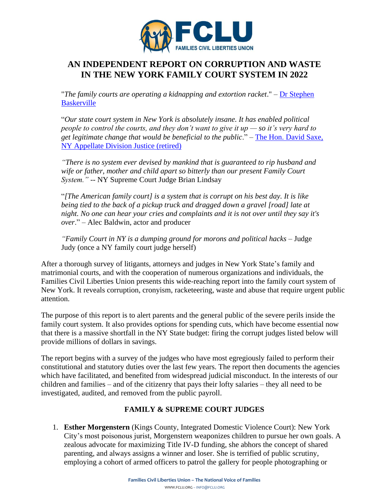

## **AN INDEPENDENT REPORT ON CORRUPTION AND WASTE IN THE NEW YORK FAMILY COURT SYSTEM IN 2022**

"*The family courts are operating a kidnapping and extortion racket*." – [Dr Stephen](https://www.facebook.com/bai.macfarlane/videos/10155616457659934/)  **[Baskerville](https://www.facebook.com/bai.macfarlane/videos/10155616457659934/)** 

"*Our state court system in New York is absolutely insane. It has enabled political people to control the courts, and they don't want to give it up — so it's very hard to get legitimate change that would be beneficial to the public*." – [The Hon. David Saxe,](https://nypost.com/2017/06/07/how-the-politically-connected-control-the-new-york-court-system/)  [NY Appellate Division Justice \(retired\)](https://nypost.com/2017/06/07/how-the-politically-connected-control-the-new-york-court-system/)

*"There is no system ever devised by mankind that is guaranteed to rip husband and wife or father, mother and child apart so bitterly than our present Family Court System." --* NY Supreme Court Judge Brian Lindsay

"*[The American family court] is a system that is corrupt on his best day. It is like being tied to the back of a pickup truck and dragged down a gravel [road] late at night. No one can hear your cries and complaints and it is not over until they say it's over*." – Alec Baldwin, actor and producer

*"Family Court in NY is a dumping ground for morons and political hacks –* Judge Judy (once a NY family court judge herself)

After a thorough survey of litigants, attorneys and judges in New York State's family and matrimonial courts, and with the cooperation of numerous organizations and individuals, the Families Civil Liberties Union presents this wide-reaching report into the family court system of New York. It reveals corruption, cronyism, racketeering, waste and abuse that require urgent public attention.

The purpose of this report is to alert parents and the general public of the severe perils inside the family court system. It also provides options for spending cuts, which have become essential now that there is a massive shortfall in the NY State budget: firing the corrupt judges listed below will provide millions of dollars in savings.

The report begins with a survey of the judges who have most egregiously failed to perform their constitutional and statutory duties over the last few years. The report then documents the agencies which have facilitated, and benefited from widespread judicial misconduct. In the interests of our children and families – and of the citizenry that pays their lofty salaries – they all need to be investigated, audited, and removed from the public payroll.

## **FAMILY & SUPREME COURT JUDGES**

1. **Esther Morgenstern** (Kings County, Integrated Domestic Violence Court): New York City's most poisonous jurist, Morgenstern weaponizes children to pursue her own goals. A zealous advocate for maximizing Title IV-D funding, she abhors the concept of shared parenting, and always assigns a winner and loser. She is terrified of public scrutiny, employing a cohort of armed officers to patrol the gallery for people photographing or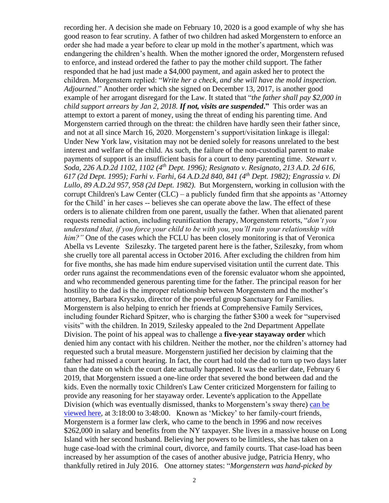recording her. A decision she made on February 10, 2020 is a good example of why she has good reason to fear scrutiny. A father of two children had asked Morgenstern to enforce an order she had made a year before to clear up mold in the mother's apartment, which was endangering the children's health. When the mother ignored the order, Morgenstern refused to enforce, and instead ordered the father to pay the mother child support. The father responded that he had just made a \$4,000 payment, and again asked her to protect the children. Morgenstern replied: "*Write her a check, and she will have the mold inspection. Adjourned*." Another order which she signed on December 13, 2017, is another good example of her arrogant disregard for the Law. It stated that "*the father shall pay \$2,000 in child support arrears by Jan 2, 2018. If not, visits are suspended***."** This order was an attempt to extort a parent of money, using the threat of ending his parenting time. And Morgenstern carried through on the threat: the children have hardly seen their father since, and not at all since March 16, 2020. Morgenstern's support/visitation linkage is illegal: Under New York law, visitation may not be denied solely for reasons unrelated to the best interest and welfare of the child. As such, the failure of the non-custodial parent to make payments of support is an insufficient basis for a court to deny parenting time. *Stewart v. Soda, 226 A.D.2d 1102, 1102 (4th Dept. 1996); Resignato v. Resignato, 213 A.D. 2d 616, 617 (2d Dept. 1995); Farhi v. Farhi, 64 A.D.2d 840, 841 (4th Dept. 1982); Engrassia v. Di Lullo, 89 A.D.2d 957, 958 (2d Dept. 1982).* But Morgenstern, working in collusion with the corrupt Children's Law Center (CLC) – a publicly funded firm that she appoints as 'Attorney for the Child' in her cases -- believes she can operate above the law. The effect of these orders is to alienate children from one parent, usually the father. When that alienated parent requests remedial action, including reunification therapy, Morgenstern retorts, "*don't you understand that, if you force your child to be with you, you'll ruin your relationship with him?"* One of the cases which the FCLU has been closely monitoring is that of Veronica Abella vs Levente Szileszky. The targeted parent here is the father, Szileszky, from whom she cruelly tore all parental access in October 2016. After excluding the children from him for five months, she has made him endure supervised visitation until the current date. This order runs against the recommendations even of the forensic evaluator whom she appointed, and who recommended generous parenting time for the father. The principal reason for her hostility to the dad is the improper relationship between Morgenstern and the mother's attorney, Barbara Kryszko, director of the powerful group Sanctuary for Families. Morgenstern is also helping to enrich her friends at Comprehensive Family Services, including founder Richard Spitzer, who is charging the father \$300 a week for "supervised visits" with the children. In 2019, Szilesky appealed to the 2nd Department Appellate Division. The point of his appeal was to challenge a **five-year stayaway order** which denied him any contact with his children. Neither the mother, nor the children's attorney had requested such a brutal measure. Morgenstern justified her decision by claiming that the father had missed a court hearing. In fact, the court had told the dad to turn up two days later than the date on which the court date actually happened. It was the earlier date, February 6 2019, that Morgenstern issued a one-line order that severed the bond between dad and the kids. Even the normally toxic Children's Law Center criticized Morgenstern for failing to provide any reasoning for her stayaway order. Levente's application to the Appellate Division (which was eventually dismissed, thanks to Morgenstern's sway there) [can be](http://wowza.nycourts.gov/vod/vod.php?source=ad2&video=VGA.1570111160.External_%28Public%29.mp4&fbclid=IwAR3C-IDZSVewmPtzyEBB12068Pcr8EbtMbc2v8uIQHj7P3dMb_XeANANHFA)  [viewed here,](http://wowza.nycourts.gov/vod/vod.php?source=ad2&video=VGA.1570111160.External_%28Public%29.mp4&fbclid=IwAR3C-IDZSVewmPtzyEBB12068Pcr8EbtMbc2v8uIQHj7P3dMb_XeANANHFA) at 3:18:00 to 3:48:00. Known as 'Mickey' to her family-court friends, Morgenstern is a former law clerk, who came to the bench in 1996 and now receives \$262,000 in salary and benefits from the NY taxpayer. She lives in a massive house on Long Island with her second husband. Believing her powers to be limitless, she has taken on a huge case-load with the criminal court, divorce, and family courts. That case-load has been increased by her assumption of the cases of another abusive judge, Patricia Henry, who thankfully retired in July 2016. One attorney states: "*Morgenstern was hand-picked by*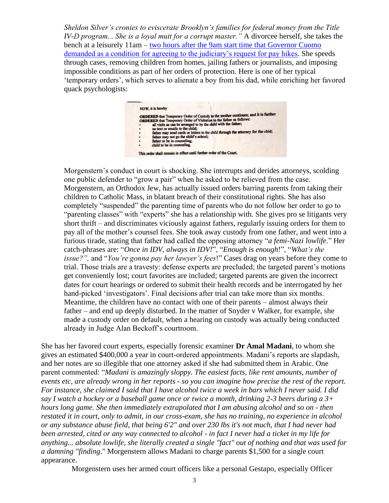*Sheldon Silver's cronies to eviscerate Brooklyn's families for federal money from the Title IV-D program... She is a loyal mutt for a corrupt master."* A divorcee herself, she takes the bench at a leisurely 11am – [two hours after the 9am start time that Governor Cuomo](http://wxxinews.org/post/watch-gov-cuomo-delivers-2018-budget-address)  [demanded as a condition for agreeing to the judiciary's request for pay hikes.](http://wxxinews.org/post/watch-gov-cuomo-delivers-2018-budget-address) She speeds through cases, removing children from homes, jailing fathers or journalists, and imposing impossible conditions as part of her orders of protection. Here is one of her typical 'temporary orders', which serves to alienate a boy from his dad, while enriching her favored quack psychologists:



Morgenstern's conduct in court is shocking. She interrupts and derides attorneys, scolding one public defender to "grow a pair" when he asked to be relieved from the case. Morgenstern, an Orthodox Jew, has actually issued orders barring parents from taking their children to Catholic Mass, in blatant breach of their constitutional rights. She has also completely "suspended" the parenting time of parents who do not follow her order to go to "parenting classes" with "experts" she has a relationship with. She gives pro se litigants very short thrift – and discriminates viciously against fathers, regularly issuing orders for them to pay all of the mother's counsel fees. She took away custody from one father, and went into a furious tirade, stating that father had called the opposing attorney "*a femi-Nazi lowlife*." Her catch-phrases are: "*Once in IDV, always in IDV!*", "*Enough is enough*!", "*What's the issue?",* and "*You're gonna pay her lawyer's fees*!" Cases drag on years before they come to trial. Those trials are a travesty: defense experts are precluded; the targeted parent's motions get conveniently lost; court favorites are included; targeted parents are given the incorrect dates for court hearings or ordered to submit their health records and be interrogated by her hand-picked 'investigators'. Final decisions after trial can take more than six months. Meantime, the children have no contact with one of their parents – almost always their father – and end up deeply disturbed. In the matter of Snyder v Walker, for example, she made a custody order on default, when a hearing on custody was actually being conducted already in Judge Alan Beckoff's courtroom.

She has her favored court experts, especially forensic examiner **Dr Amal Madani**, to whom she gives an estimated \$400,000 a year in court-ordered appointments. Madani's reports are slapdash, and her notes are so illegible that one attorney asked if she had submitted them in Arabic. One parent commented: "*Madani is amazingly sloppy. The easiest facts, like rent amounts, number of events etc, are already wrong in her reports - so you can imagine how precise the rest of the report. For instance, she claimed I said that I have alcohol twice a week in bars which I never said. I did say I watch a hockey or a baseball game once or twice a month, drinking 2-3 beers during a 3+ hours long game. She then immediately extrapolated that I am abusing alcohol and so on - then restated it in court, only to admit, in our cross-exam, she has no training, no experience in alcohol or any substance abuse field, that being 6'2" and over 230 lbs it's not much, that I had never had been arrested, cited or any way connected to alcohol - in fact I never had a ticket in my life for anything... absolute lowlife, she literally created a single "fact" out of nothing and that was used for a damning "finding*." Morgenstern allows Madani to charge parents \$1,500 for a single court appearance.

Morgenstern uses her armed court officers like a personal Gestapo, especially Officer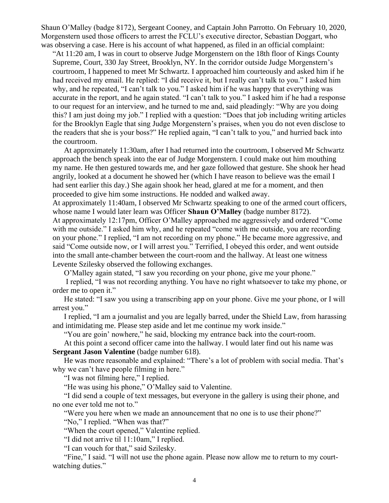Shaun O'Malley (badge 8172), Sergeant Cooney, and Captain John Parrotto. On February 10, 2020, Morgenstern used those officers to arrest the FCLU's executive director, Sebastian Doggart, who was observing a case. Here is his account of what happened, as filed in an official complaint:

"At 11:20 am, I was in court to observe Judge Morgenstern on the 18th floor of Kings County Supreme, Court, 330 Jay Street, Brooklyn, NY. In the corridor outside Judge Morgenstern's courtroom, I happened to meet Mr Schwartz. I approached him courteously and asked him if he had received my email. He replied: "I did receive it, but I really can't talk to you." I asked him why, and he repeated, "I can't talk to you." I asked him if he was happy that everything was accurate in the report, and he again stated. "I can't talk to you." I asked him if he had a response to our request for an interview, and he turned to me and, said pleadingly: "Why are you doing this? I am just doing my job." I replied with a question: "Does that job including writing articles for the Brooklyn Eagle that sing Judge Morgenstern's praises, when you do not even disclose to the readers that she is your boss?" He replied again, "I can't talk to you," and hurried back into the courtroom.

At approximately 11:30am, after I had returned into the courtroom, I observed Mr Schwartz approach the bench speak into the ear of Judge Morgenstern. I could make out him mouthing my name. He then gestured towards me, and her gaze followed that gesture. She shook her head angrily, looked at a document he showed her (which I have reason to believe was the email I had sent earlier this day.) She again shook her head, glared at me for a moment, and then proceeded to give him some instructions. He nodded and walked away.

At approximately 11:40am, I observed Mr Schwartz speaking to one of the armed court officers, whose name I would later learn was Officer **Shaun O'Malley** (badge number 8172).

At approximately 12:17pm, Officer O'Malley approached me aggressively and ordered "Come with me outside." I asked him why, and he repeated "come with me outside, you are recording on your phone." I replied, "I am not recording on my phone." He became more aggressive, and said "Come outside now, or I will arrest you." Terrified, I obeyed this order, and went outside into the small ante-chamber between the court-room and the hallway. At least one witness Levente Szilesky observed the following exchanges.

O'Malley again stated, "I saw you recording on your phone, give me your phone."

I replied, "I was not recording anything. You have no right whatsoever to take my phone, or order me to open it."

He stated: "I saw you using a transcribing app on your phone. Give me your phone, or I will arrest you."

I replied, "I am a journalist and you are legally barred, under the Shield Law, from harassing and intimidating me. Please step aside and let me continue my work inside."

"You are goin' nowhere," he said, blocking my entrance back into the court-room.

At this point a second officer came into the hallway. I would later find out his name was **Sergeant Jason Valentine** (badge number 618).

He was more reasonable and explained: "There's a lot of problem with social media. That's why we can't have people filming in here."

"I was not filming here," I replied.

"He was using his phone," O'Malley said to Valentine.

"I did send a couple of text messages, but everyone in the gallery is using their phone, and no one ever told me not to."

"Were you here when we made an announcement that no one is to use their phone?"

"No," I replied. "When was that?"

"When the court opened," Valentine replied.

"I did not arrive til 11:10am," I replied.

"I can vouch for that," said Szilesky.

"Fine," I said. "I will not use the phone again. Please now allow me to return to my courtwatching duties."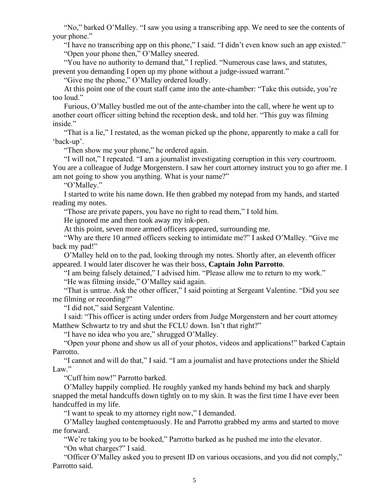"No," barked O'Malley. "I saw you using a transcribing app. We need to see the contents of your phone."

"I have no transcribing app on this phone," I said. "I didn't even know such an app existed." "Open your phone then," O'Malley sneered.

"You have no authority to demand that," I replied. "Numerous case laws, and statutes, prevent you demanding I open up my phone without a judge-issued warrant."

"Give me the phone," O'Malley ordered loudly.

At this point one of the court staff came into the ante-chamber: "Take this outside, you're too loud."

Furious, O'Malley bustled me out of the ante-chamber into the call, where he went up to another court officer sitting behind the reception desk, and told her. "This guy was filming inside."

"That is a lie," I restated, as the woman picked up the phone, apparently to make a call for 'back-up'.

"Then show me your phone," he ordered again.

"I will not," I repeated. "I am a journalist investigating corruption in this very courtroom. You are a colleague of Judge Morgenstern. I saw her court attorney instruct you to go after me. I am not going to show you anything. What is your name?"

"O'Malley."

I started to write his name down. He then grabbed my notepad from my hands, and started reading my notes.

"Those are private papers, you have no right to read them," I told him.

He ignored me and then took away my ink-pen.

At this point, seven more armed officers appeared, surrounding me.

"Why are there 10 armed officers seeking to intimidate me?" I asked O'Malley. "Give me back my pad!"

O'Malley held on to the pad, looking through my notes. Shortly after, an eleventh officer appeared. I would later discover he was their boss, **Captain John Parrotto**.

"I am being falsely detained," I advised him. "Please allow me to return to my work." "He was filming inside," O'Malley said again.

"That is untrue. Ask the other officer," I said pointing at Sergeant Valentine. "Did you see me filming or recording?"

"I did not," said Sergeant Valentine.

I said: "This officer is acting under orders from Judge Morgenstern and her court attorney Matthew Schwartz to try and shut the FCLU down. Isn't that right?"

"I have no idea who you are," shrugged O'Malley.

"Open your phone and show us all of your photos, videos and applications!" barked Captain Parrotto.

"I cannot and will do that," I said. "I am a journalist and have protections under the Shield Law."

"Cuff him now!" Parrotto barked.

O'Malley happily complied. He roughly yanked my hands behind my back and sharply snapped the metal handcuffs down tightly on to my skin. It was the first time I have ever been handcuffed in my life.

"I want to speak to my attorney right now," I demanded.

O'Malley laughed contemptuously. He and Parrotto grabbed my arms and started to move me forward.

"We're taking you to be booked," Parrotto barked as he pushed me into the elevator. "On what charges?" I said.

"Officer O'Malley asked you to present ID on various occasions, and you did not comply," Parrotto said.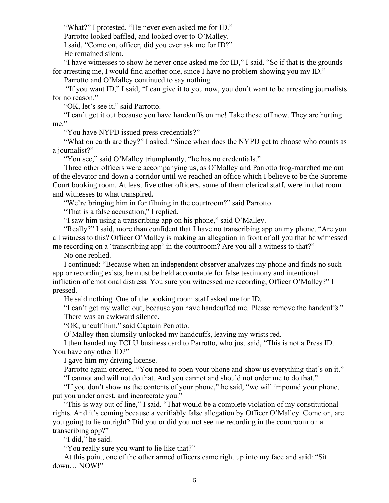"What?" I protested. "He never even asked me for ID."

Parrotto looked baffled, and looked over to O'Malley.

I said, "Come on, officer, did you ever ask me for ID?"

He remained silent.

"I have witnesses to show he never once asked me for ID," I said. "So if that is the grounds for arresting me, I would find another one, since I have no problem showing you my ID."

Parrotto and O'Malley continued to say nothing.

"If you want ID," I said, "I can give it to you now, you don't want to be arresting journalists for no reason."

"OK, let's see it," said Parrotto.

"I can't get it out because you have handcuffs on me! Take these off now. They are hurting me."

"You have NYPD issued press credentials?"

"What on earth are they?" I asked. "Since when does the NYPD get to choose who counts as a journalist?"

"You see," said O'Malley triumphantly, "he has no credentials."

Three other officers were accompanying us, as O'Malley and Parrotto frog-marched me out of the elevator and down a corridor until we reached an office which I believe to be the Supreme Court booking room. At least five other officers, some of them clerical staff, were in that room and witnesses to what transpired.

"We're bringing him in for filming in the courtroom?" said Parrotto

"That is a false accusation," I replied.

"I saw him using a transcribing app on his phone," said O'Malley.

"Really?" I said, more than confident that I have no transcribing app on my phone. "Are you all witness to this? Officer O'Malley is making an allegation in front of all you that he witnessed me recording on a 'transcribing app' in the courtroom? Are you all a witness to that?"

No one replied.

I continued: "Because when an independent observer analyzes my phone and finds no such app or recording exists, he must be held accountable for false testimony and intentional infliction of emotional distress. You sure you witnessed me recording, Officer O'Malley?" I pressed.

He said nothing. One of the booking room staff asked me for ID.

"I can't get my wallet out, because you have handcuffed me. Please remove the handcuffs." There was an awkward silence.

"OK, uncuff him," said Captain Perrotto.

O'Malley then clumsily unlocked my handcuffs, leaving my wrists red.

I then handed my FCLU business card to Parrotto, who just said, "This is not a Press ID. You have any other ID?"

I gave him my driving license.

Parrotto again ordered, "You need to open your phone and show us everything that's on it." "I cannot and will not do that. And you cannot and should not order me to do that."

"If you don't show us the contents of your phone," he said, "we will impound your phone, put you under arrest, and incarcerate you."

"This is way out of line," I said. "That would be a complete violation of my constitutional rights. And it's coming because a verifiably false allegation by Officer O'Malley. Come on, are you going to lie outright? Did you or did you not see me recording in the courtroom on a transcribing app?"

"I did," he said.

"You really sure you want to lie like that?"

At this point, one of the other armed officers came right up into my face and said: "Sit down… NOW!"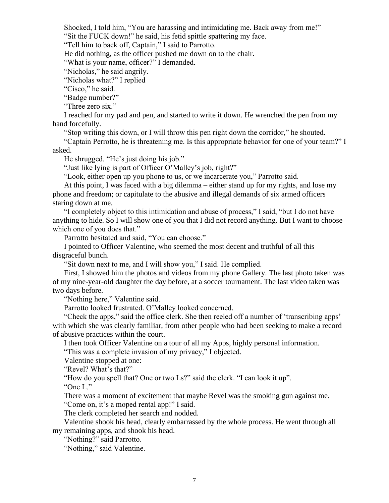Shocked, I told him, "You are harassing and intimidating me. Back away from me!"

"Sit the FUCK down!" he said, his fetid spittle spattering my face.

"Tell him to back off, Captain," I said to Parrotto.

He did nothing, as the officer pushed me down on to the chair.

"What is your name, officer?" I demanded.

"Nicholas," he said angrily.

"Nicholas what?" I replied

"Cisco," he said.

"Badge number?"

"Three zero six."

I reached for my pad and pen, and started to write it down. He wrenched the pen from my hand forcefully.

"Stop writing this down, or I will throw this pen right down the corridor," he shouted.

"Captain Perrotto, he is threatening me. Is this appropriate behavior for one of your team?" I asked.

He shrugged. "He's just doing his job."

"Just like lying is part of Officer O'Malley's job, right?"

"Look, either open up you phone to us, or we incarcerate you," Parrotto said.

At this point, I was faced with a big dilemma – either stand up for my rights, and lose my phone and freedom; or capitulate to the abusive and illegal demands of six armed officers staring down at me.

"I completely object to this intimidation and abuse of process," I said, "but I do not have anything to hide. So I will show one of you that I did not record anything. But I want to choose which one of you does that."

Parrotto hesitated and said, "You can choose."

I pointed to Officer Valentine, who seemed the most decent and truthful of all this disgraceful bunch.

"Sit down next to me, and I will show you," I said. He complied.

First, I showed him the photos and videos from my phone Gallery. The last photo taken was of my nine-year-old daughter the day before, at a soccer tournament. The last video taken was two days before.

"Nothing here," Valentine said.

Parrotto looked frustrated. O'Malley looked concerned.

"Check the apps," said the office clerk. She then reeled off a number of 'transcribing apps' with which she was clearly familiar, from other people who had been seeking to make a record of abusive practices within the court.

I then took Officer Valentine on a tour of all my Apps, highly personal information.

"This was a complete invasion of my privacy," I objected.

Valentine stopped at one:

"Revel? What's that?"

"How do you spell that? One or two Ls?" said the clerk. "I can look it up".

"One L."

There was a moment of excitement that maybe Revel was the smoking gun against me. "Come on, it's a moped rental app!" I said.

The clerk completed her search and nodded.

Valentine shook his head, clearly embarrassed by the whole process. He went through all my remaining apps, and shook his head.

"Nothing?" said Parrotto.

"Nothing," said Valentine.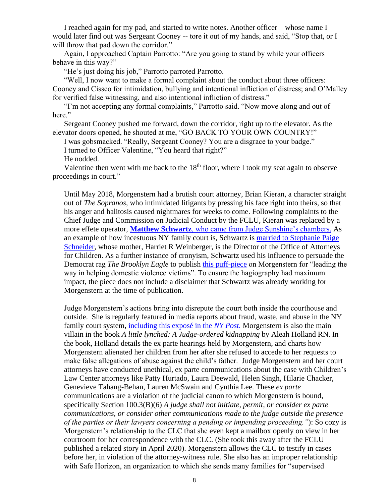I reached again for my pad, and started to write notes. Another officer – whose name I would later find out was Sergeant Cooney -- tore it out of my hands, and said, "Stop that, or I will throw that pad down the corridor."

Again, I approached Captain Parrotto: "Are you going to stand by while your officers behave in this way?"

"He's just doing his job," Parrotto parroted Parrotto.

"Well, I now want to make a formal complaint about the conduct about three officers: Cooney and Cissco for intimidation, bullying and intentional infliction of distress; and O'Malley for verified false witnessing, and also intentional infliction of distress."

"I'm not accepting any formal complaints," Parrotto said. "Now move along and out of here."

Sergeant Cooney pushed me forward, down the corridor, right up to the elevator. As the elevator doors opened, he shouted at me, "GO BACK TO YOUR OWN COUNTRY!"

I was gobsmacked. "Really, Sergeant Cooney? You are a disgrace to your badge." I turned to Officer Valentine, "You heard that right?"

He nodded.

Valentine then went with me back to the  $18<sup>th</sup>$  floor, where I took my seat again to observe proceedings in court."

Until May 2018, Morgenstern had a brutish court attorney, Brian Kieran, a character straight out of *The Sopranos*, who intimidated litigants by pressing his face right into theirs, so that his anger and halitosis caused nightmares for weeks to come. Following complaints to the Chief Judge and Commission on Judicial Conduct by the FCLU, Kieran was replaced by a more effete operator, **Matthew Schwartz**[, who came from Judge Sunshine's chambers.](https://www.linkedin.com/in/matthew-schwartz-508b2b31) As an example of how incestuous NY family court is, Schwartz is [married to Stephanie Paige](https://www.nytimes.com/2016/01/24/fashion/weddings/stephanie-schneider-matthew-schwartz.html)  [Schneider,](https://www.nytimes.com/2016/01/24/fashion/weddings/stephanie-schneider-matthew-schwartz.html) whose mother, Harriet R Weinberger, is the Director of the Office of Attorneys for Children. As a further instance of cronyism, Schwartz used his influence to persuade the Democrat rag *The Brooklyn Eagle* to publish [this puff-piece](https://brooklyneagle.com/articles/2018/11/05/brooklyn-leading-the-way-in-helping-domestic-violence-victims-with-integrated-domestic-violence-court/) on Morgenstern for "leading the way in helping domestic violence victims". To ensure the hagiography had maximum impact, the piece does not include a disclaimer that Schwartz was already working for Morgenstern at the time of publication.

Judge Morgenstern's actions bring into disrepute the court both inside the courthouse and outside. She is regularly featured in media reports about fraud, waste, and abuse in the NY family court system, [including this exposé in the](https://nypost.com/2015/01/22/judge-gets-to-preside-over-strikingly-similar-divorce-case/) *NY Post.* Morgenstern is also the main villain in the book *A little lynched: A Judge-ordered kidnapping* by Aleah Holland RN. In the book, Holland details the ex parte hearings held by Morgenstern, and charts how Morgenstern alienated her children from her after she refused to accede to her requests to make false allegations of abuse against the child's father. Judge Morgenstern and her court attorneys have conducted unethical, ex parte communications about the case with Children's Law Center attorneys like Patty Hurtado, Laura Deewald, Helen Singh, Hilarie Chacker, Genevieve Tahang-Behan, Lauren McSwain and Cynthia Lee. These *ex parte* communications are a violation of the judicial canon to which Morgenstern is bound, specifically Section 100.3(B)(6) *A judge shall not initiate, permit, or consider ex parte communications, or consider other communications made to the judge outside the presence of the parties or their lawyers concerning a pending or impending proceeding."*): So cozy is Morgenstern's relationship to the CLC that she even kept a mailbox openly on view in her courtroom for her correspondence with the CLC. (She took this away after the FCLU published a related story in April 2020). Morgenstern allows the CLC to testify in cases before her, in violation of the attorney-witness rule. She also has an improper relationship with Safe Horizon, an organization to which she sends many families for "supervised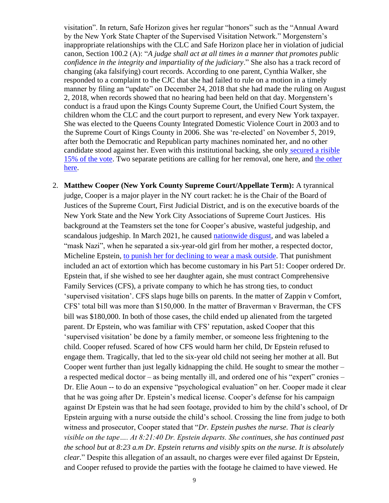visitation". In return, Safe Horizon gives her regular "honors" such as the "Annual Award by the New York State Chapter of the Supervised Visitation Network." Morgenstern's inappropriate relationships with the CLC and Safe Horizon place her in violation of judicial canon, Section 100.2 (A): "*A judge shall act at all times in a manner that promotes public confidence in the integrity and impartiality of the judiciary*." She also has a track record of changing (aka falsifying) court records. According to one parent, Cynthia Walker, she responded to a complaint to the CJC that she had failed to rule on a motion in a timely manner by filing an "update" on December 24, 2018 that she had made the ruling on August 2, 2018, when records showed that no hearing had been held on that day. Morgenstern's conduct is a fraud upon the Kings County Supreme Court, the Unified Court System, the children whom the CLC and the court purport to represent, and every New York taxpayer. She was elected to the Queens County Integrated Domestic Violence Court in 2003 and to the Supreme Court of Kings County in 2006. She was 're-elected' on November 5, 2019, after both the Democratic and Republican party machines nominated her, and no other candidate stood against her. Even with this institutional backing, she only [secured a risible](https://nyenr.elections.ny.gov/)  [15% of the vote.](https://nyenr.elections.ny.gov/) Two separate petitions are calling for her removal, one here, and [the other](https://www.change.org/p/jeffrey-epstein-judge-esther-morgenstern-secret-judicial-slave-trade-trafficking-kids4cash-medical-mindkontrol-experiments-using-her-dv-domestic-violence-court-as-a-front-buckbreaking-black-children-nazi-germany-style-mkultra?recruiter=431964&utm_campaign=twitter_link_action_box&utm_medium=twitter&utm_source=share_petition) [here.](https://www.change.org/p/jeffrey-epstein-judge-esther-morgenstern-secret-judicial-slave-trade-trafficking-kids4cash-medical-mindkontrol-experiments-using-her-dv-domestic-violence-court-as-a-front-buckbreaking-black-children-nazi-germany-style-mkultra?recruiter=431964&utm_campaign=twitter_link_action_box&utm_medium=twitter&utm_source=share_petition)

2. **Matthew Cooper (New York County Supreme Court/Appellate Term):** A tyrannical judge, Cooper is a major player in the NY court racket: he is the Chair of the Board of Justices of the Supreme Court, First Judicial District, and is on the executive boards of the New York State and the New York City Associations of Supreme Court Justices. His background at the Teamsters set the tone for Cooper's abusive, wasteful judgeship, and scandalous judgeship. In March 2021, he caused [nationwide disgust,](https://rumble.com/vewup9-real-america-dan-w-micheline-epstein.html) and was labeled a "mask Nazi", when he separated a six-year-old girl from her mother, a respected doctor, Micheline Epstein, to punish her [for declining to wear a mask outside.](https://www.thegatewaypundit.com/2021/03/exclusive-nyc-judge-removes-6-year-old-mother-didnt-wear-mask-dropping-off-school/) That punishment included an act of extortion which has become customary in his Part 51: Cooper ordered Dr. Epstein that, if she wished to see her daughter again, she must contract Comprehensive Family Services (CFS), a private company to which he has strong ties, to conduct 'supervised visitation'. CFS slaps huge bills on parents. In the matter of Zappin v Comfort, CFS' total bill was more than \$150,000. In the matter of Braverman v Braverman, the CFS bill was \$180,000. In both of those cases, the child ended up alienated from the targeted parent. Dr Epstein, who was familiar with CFS' reputation, asked Cooper that this 'supervised visitation' be done by a family member, or someone less frightening to the child. Cooper refused. Scared of how CFS would harm her child, Dr Epstein refused to engage them. Tragically, that led to the six-year old child not seeing her mother at all. But Cooper went further than just legally kidnapping the child. He sought to smear the mother – a respected medical doctor – as being mentally ill, and ordered one of his "expert" cronies – Dr. Elie Aoun -- to do an expensive "psychological evaluation" on her. Cooper made it clear that he was going after Dr. Epstein's medical license. Cooper's defense for his campaign against Dr Epstein was that he had seen footage, provided to him by the child's school, of Dr Epstein arguing with a nurse outside the child's school. Crossing the line from judge to both witness and prosecutor, Cooper stated that "*Dr. Epstein pushes the nurse. That is clearly visible on the tape…. At 8:21:40 Dr. Epstein departs. She continues, she has continued past the school but at 8:23 a.m Dr. Epstein returns and visibly spits on the nurse. It is absolutely clear.*" Despite this allegation of an assault, no charges were ever filed against Dr Epstein, and Cooper refused to provide the parties with the footage he claimed to have viewed. He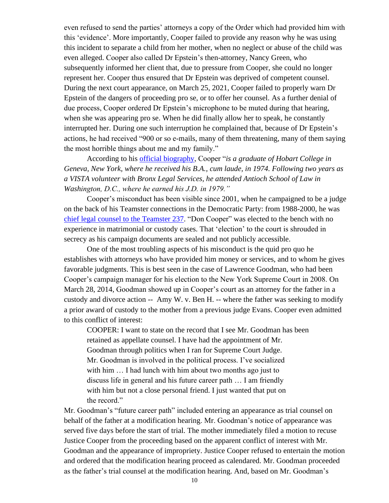even refused to send the parties' attorneys a copy of the Order which had provided him with this 'evidence'. More importantly, Cooper failed to provide any reason why he was using this incident to separate a child from her mother, when no neglect or abuse of the child was even alleged. Cooper also called Dr Epstein's then-attorney, Nancy Green, who subsequently informed her client that, due to pressure from Cooper, she could no longer represent her. Cooper thus ensured that Dr Epstein was deprived of competent counsel. During the next court appearance, on March 25, 2021, Cooper failed to properly warn Dr Epstein of the dangers of proceeding pro se, or to offer her counsel. As a further denial of due process, Cooper ordered Dr Epstein's microphone to be muted during that hearing, when she was appearing pro se. When he did finally allow her to speak, he constantly interrupted her. During one such interruption he complained that, because of Dr Epstein's actions, he had received "900 or so e-mails, many of them threatening, many of them saying the most horrible things about me and my family."

According to his [official biography,](http://afccny.org/wp-content/uploads/2017/11/AFCC_Program_Materials.pdf) Cooper "*is a graduate of Hobart College in Geneva, New York, where he received his B.A., cum laude, in 1974. Following two years as a VISTA volunteer with Bronx Legal Services, he attended Antioch School of Law in Washington, D.C., where he earned his J.D. in 1979."*

Cooper's misconduct has been visible since 2001, when he campaigned to be a judge on the back of his Teamster connections in the Democratic Party: from 1988-2000, he was [chief legal counsel to the Teamster 237.](http://judges.newyorklawjournal.com/profile/Supreme_Court,_New_York_County,_Civil/Matthew_Cooper/Matthew_Cooper-937.xml) "Don Cooper" was elected to the bench with no experience in matrimonial or custody cases. That 'election' to the court is shrouded in secrecy as his campaign documents are sealed and not publicly accessible.

One of the most troubling aspects of his misconduct is the quid pro quo he establishes with attorneys who have provided him money or services, and to whom he gives favorable judgments. This is best seen in the case of Lawrence Goodman, who had been Cooper's campaign manager for his election to the New York Supreme Court in 2008. On March 28, 2014, Goodman showed up in Cooper's court as an attorney for the father in a custody and divorce action -- Amy W. v. Ben H. -- where the father was seeking to modify a prior award of custody to the mother from a previous judge Evans. Cooper even admitted to this conflict of interest:

COOPER: I want to state on the record that I see Mr. Goodman has been retained as appellate counsel. I have had the appointment of Mr. Goodman through politics when I ran for Supreme Court Judge. Mr. Goodman is involved in the political process. I've socialized with him ... I had lunch with him about two months ago just to discuss life in general and his future career path … I am friendly with him but not a close personal friend. I just wanted that put on the record."

Mr. Goodman's "future career path" included entering an appearance as trial counsel on behalf of the father at a modification hearing. Mr. Goodman's notice of appearance was served five days before the start of trial. The mother immediately filed a motion to recuse Justice Cooper from the proceeding based on the apparent conflict of interest with Mr. Goodman and the appearance of impropriety. Justice Cooper refused to entertain the motion and ordered that the modification hearing proceed as calendared. Mr. Goodman proceeded as the father's trial counsel at the modification hearing. And, based on Mr. Goodman's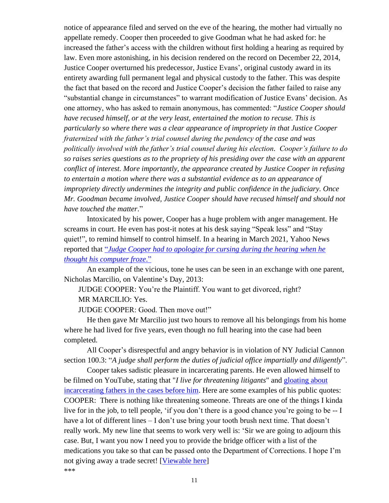notice of appearance filed and served on the eve of the hearing, the mother had virtually no appellate remedy. Cooper then proceeded to give Goodman what he had asked for: he increased the father's access with the children without first holding a hearing as required by law. Even more astonishing, in his decision rendered on the record on December 22, 2014, Justice Cooper overturned his predecessor, Justice Evans', original custody award in its entirety awarding full permanent legal and physical custody to the father. This was despite the fact that based on the record and Justice Cooper's decision the father failed to raise any "substantial change in circumstances" to warrant modification of Justice Evans' decision. As one attorney, who has asked to remain anonymous, has commented: "*Justice Cooper should have recused himself, or at the very least, entertained the motion to recuse. This is particularly so where there was a clear appearance of impropriety in that Justice Cooper fraternized with the father's trial counsel during the pendency of the case and was politically involved with the father's trial counsel during his election. Cooper's failure to do so raises series questions as to the propriety of his presiding over the case with an apparent conflict of interest. More importantly, the appearance created by Justice Cooper in refusing to entertain a motion where there was a substantial evidence as to an appearance of impropriety directly undermines the integrity and public confidence in the judiciary. Once Mr. Goodman became involved, Justice Cooper should have recused himself and should not have touched the matter*."

Intoxicated by his power, Cooper has a huge problem with anger management. He screams in court. He even has post-it notes at his desk saying "Speak less" and "Stay quiet!", to remind himself to control himself. In a hearing in March 2021, Yahoo News reported that "*[Judge Cooper had to apologize for cursing during the hearing when he](https://news.yahoo.com/golf-pro-deadbeat-dad-third-040100387.html)  [thought his computer froze](https://news.yahoo.com/golf-pro-deadbeat-dad-third-040100387.html)*."

An example of the vicious, tone he uses can be seen in an exchange with one parent, Nicholas Marcilio, on Valentine's Day, 2013:

JUDGE COOPER: You're the Plaintiff. You want to get divorced, right? MR MARCILIO: Yes.

JUDGE COOPER: Good. Then move out!"

He then gave Mr Marcilio just two hours to remove all his belongings from his home where he had lived for five years, even though no full hearing into the case had been completed.

All Cooper's disrespectful and angry behavior is in violation of NY Judicial Cannon section 100.3: "*A judge shall perform the duties of judicial office impartially and diligently*".

Cooper takes sadistic pleasure in incarcerating parents. He even allowed himself to be filmed on YouTube, stating that "*I live for threatening litigants*" and [gloating about](http://tinyurl.com/jyhzhbk)  [incarcerating fathers in the cases before him.](http://tinyurl.com/jyhzhbk) Here are some examples of his public quotes: COOPER: There is nothing like threatening someone. Threats are one of the things I kinda live for in the job, to tell people, 'if you don't there is a good chance you're going to be -- I have a lot of different lines – I don't use bring your tooth brush next time. That doesn't really work. My new line that seems to work very well is: 'Sir we are going to adjourn this case. But, I want you now I need you to provide the bridge officer with a list of the medications you take so that can be passed onto the Department of Corrections. I hope I'm not giving away a trade secret! [\[Viewable here\]](https://www.youtube.com/watch?v=cTOnYzcGeg0.) \*\*\*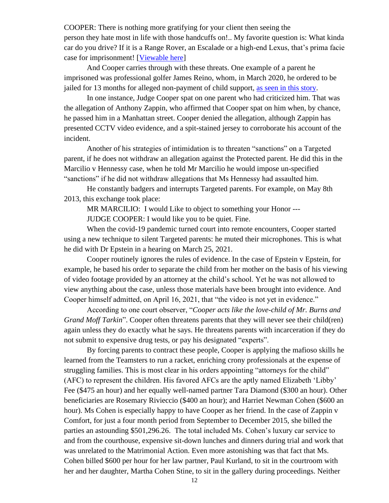COOPER: There is nothing more gratifying for your client then seeing the person they hate most in life with those handcuffs on!.. My favorite question is: What kinda car do you drive? If it is a Range Rover, an Escalade or a high-end Lexus, that's prima facie case for imprisonment! [\[Viewable here\]](https://www.youtube.com/watch?v=kiIzRmy73vU)

And Cooper carries through with these threats. One example of a parent he imprisoned was professional golfer James Reino, whom, in March 2020, he ordered to be jailed for 13 months for alleged non-payment of child support, [as seen in this story.](https://news.yahoo.com/golf-pro-deadbeat-dad-third-040100387.html)

In one instance, Judge Cooper spat on one parent who had criticized him. That was the allegation of Anthony Zappin, who affirmed that Cooper spat on him when, by chance, he passed him in a Manhattan street. Cooper denied the allegation, although Zappin has presented CCTV video evidence, and a spit-stained jersey to corroborate his account of the incident.

Another of his strategies of intimidation is to threaten "sanctions" on a Targeted parent, if he does not withdraw an allegation against the Protected parent. He did this in the Marcilio v Hennessy case, when he told Mr Marcilio he would impose un-specified "sanctions" if he did not withdraw allegations that Ms Hennessy had assaulted him.

He constantly badgers and interrupts Targeted parents. For example, on May 8th 2013, this exchange took place:

MR MARCILIO: I would Like to object to something your Honor ---

JUDGE COOPER: I would like you to be quiet. Fine.

When the covid-19 pandemic turned court into remote encounters, Cooper started using a new technique to silent Targeted parents: he muted their microphones. This is what he did with Dr Epstein in a hearing on March 25, 2021.

Cooper routinely ignores the rules of evidence. In the case of Epstein v Epstein, for example, he based his order to separate the child from her mother on the basis of his viewing of video footage provided by an attorney at the child's school. Yet he was not allowed to view anything about the case, unless those materials have been brought into evidence. And Cooper himself admitted, on April 16, 2021, that "the video is not yet in evidence."

According to one court observer, "*Cooper acts like the love-child of Mr. Burns and Grand Moff Tarkin*". Cooper often threatens parents that they will never see their child(ren) again unless they do exactly what he says. He threatens parents with incarceration if they do not submit to expensive drug tests, or pay his designated "experts".

By forcing parents to contract these people, Cooper is applying the mafioso skills he learned from the Teamsters to run a racket, enriching crony professionals at the expense of struggling families. This is most clear in his orders appointing "attorneys for the child" (AFC) to represent the children. His favored AFCs are the aptly named Elizabeth 'Libby' Fee (\$475 an hour) and her equally well-named partner Tara Diamond (\$300 an hour). Other beneficiaries are Rosemary Rivieccio (\$400 an hour); and Harriet Newman Cohen (\$600 an hour). Ms Cohen is especially happy to have Cooper as her friend. In the case of Zappin v Comfort, for just a four month period from September to December 2015, she billed the parties an astounding \$501,296.26. The total included Ms. Cohen's luxury car service to and from the courthouse, expensive sit-down lunches and dinners during trial and work that was unrelated to the Matrimonial Action. Even more astonishing was that fact that Ms. Cohen billed \$600 per hour for her law partner, Paul Kurland, to sit in the courtroom with her and her daughter, Martha Cohen Stine, to sit in the gallery during proceedings. Neither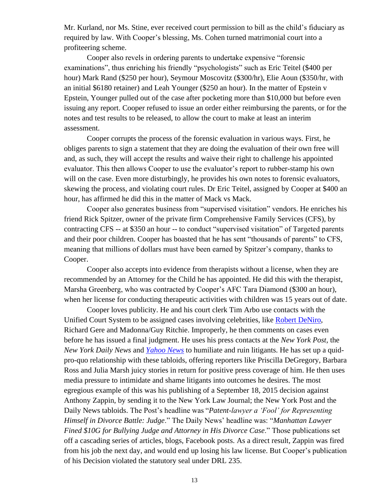Mr. Kurland, nor Ms. Stine, ever received court permission to bill as the child's fiduciary as required by law. With Cooper's blessing, Ms. Cohen turned matrimonial court into a profiteering scheme.

Cooper also revels in ordering parents to undertake expensive "forensic examinations", thus enriching his friendly "psychologists" such as Eric Teitel (\$400 per hour) Mark Rand (\$250 per hour), Seymour Moscovitz (\$300/hr), Elie Aoun (\$350/hr, with an initial \$6180 retainer) and Leah Younger (\$250 an hour). In the matter of Epstein v Epstein, Younger pulled out of the case after pocketing more than \$10,000 but before even issuing any report. Cooper refused to issue an order either reimbursing the parents, or for the notes and test results to be released, to allow the court to make at least an interim assessment.

Cooper corrupts the process of the forensic evaluation in various ways. First, he obliges parents to sign a statement that they are doing the evaluation of their own free will and, as such, they will accept the results and waive their right to challenge his appointed evaluator. This then allows Cooper to use the evaluator's report to rubber-stamp his own will on the case. Even more disturbingly, he provides his own notes to forensic evaluators, skewing the process, and violating court rules. Dr Eric Teitel, assigned by Cooper at \$400 an hour, has affirmed he did this in the matter of Mack vs Mack.

Cooper also generates business from "supervised visitation" vendors. He enriches his friend Rick Spitzer, owner of the private firm Comprehensive Family Services (CFS), by contracting CFS -- at \$350 an hour -- to conduct "supervised visitation" of Targeted parents and their poor children. Cooper has boasted that he has sent "thousands of parents" to CFS, meaning that millions of dollars must have been earned by Spitzer's company, thanks to Cooper.

Cooper also accepts into evidence from therapists without a license, when they are recommended by an Attorney for the Child he has appointed. He did this with the therapist, Marsha Greenberg, who was contracted by Cooper's AFC Tara Diamond (\$300 an hour), when her license for conducting therapeutic activities with children was 15 years out of date.

Cooper loves publicity. He and his court clerk Tim Arbo use contacts with the Unified Court System to be assigned cases involving celebrities, like [Robert DeNiro,](https://pagesix.com/2021/04/16/de-niro-struggling-to-keep-up-with-wifes-pricey-lifestyle/) Richard Gere and Madonna/Guy Ritchie. Improperly, he then comments on cases even before he has issued a final judgment. He uses his press contacts at the *New York Post,* the *New York Daily News* and *[Yahoo News](https://news.yahoo.com/golf-pro-deadbeat-dad-third-040100387.html)* to humiliate and ruin litigants. He has set up a quidpro-quo relationship with these tabloids, offering reporters like Priscilla DeGregory, Barbara Ross and Julia Marsh juicy stories in return for positive press coverage of him. He then uses media pressure to intimidate and shame litigants into outcomes he desires. The most egregious example of this was his publishing of a September 18, 2015 decision against Anthony Zappin, by sending it to the New York Law Journal; the New York Post and the Daily News tabloids. The Post's headline was "*Patent-lawyer a 'Fool' for Representing Himself in Divorce Battle: Judge*." The Daily News' headline was: "*Manhattan Lawyer Fined \$10G for Bullying Judge and Attorney in His Divorce Case*." Those publications set off a cascading series of articles, blogs, Facebook posts. As a direct result, Zappin was fired from his job the next day, and would end up losing his law license. But Cooper's publication of his Decision violated the statutory seal under DRL 235.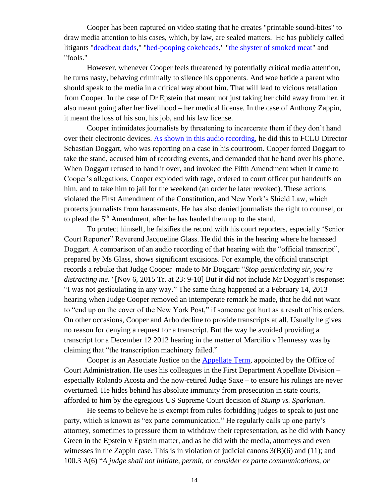Cooper has been captured on video stating that he creates "printable sound-bites" to draw media attention to his cases, which, by law, are sealed matters. He has publicly called litigants ["deadbeat dads,](https://nypost.com/2014/09/23/judge-slams-nba-star-for-being-a-deadbeat-dad/)" ["bed-pooping cokeheads,](https://nypost.com/2015/01/08/judge-blasts-banker-wife-for-horrible-fiasco-of-a-divorce/)" ["the shyster of smoked meat"](https://nypost.com/2015/08/05/judge-calls-carnegie-deli-manager-the-shyster-of-smoked-meat/) and "fools."

However, whenever Cooper feels threatened by potentially critical media attention, he turns nasty, behaving criminally to silence his opponents. And woe betide a parent who should speak to the media in a critical way about him. That will lead to vicious retaliation from Cooper. In the case of Dr Epstein that meant not just taking her child away from her, it also meant going after her livelihood – her medical license. In the case of Anthony Zappin, it meant the loss of his son, his job, and his law license.

Cooper intimidates journalists by threatening to incarcerate them if they don't hand over their electronic devices. [As shown in this audio recording,](https://www.youtube.com/watch?v=gF3i8TiPlYQ) he did this to FCLU Director Sebastian Doggart, who was reporting on a case in his courtroom. Cooper forced Doggart to take the stand, accused him of recording events, and demanded that he hand over his phone. When Doggart refused to hand it over, and invoked the Fifth Amendment when it came to Cooper's allegations, Cooper exploded with rage, ordered to court officer put handcuffs on him, and to take him to jail for the weekend (an order he later revoked). These actions violated the First Amendment of the Constitution, and New York's Shield Law, which protects journalists from harassments. He has also denied journalists the right to counsel, or to plead the 5<sup>th</sup> Amendment, after he has hauled them up to the stand.

To protect himself, he falsifies the record with his court reporters, especially 'Senior Court Reporter" Reverend Jacqueline Glass. He did this in the hearing where he harassed Doggart. A comparison of an audio recording of that hearing with the "official transcript", prepared by Ms Glass, shows significant excisions. For example, the official transcript records a rebuke that Judge Cooper made to Mr Doggart: "*Stop gesticulating sir, you're distracting me."* [Nov 6, 2015 Tr. at 23: 9-10] But it did not include Mr Doggart's response: "I was not gesticulating in any way." The same thing happened at a February 14, 2013 hearing when Judge Cooper removed an intemperate remark he made, that he did not want to "end up on the cover of the New York Post," if someone got hurt as a result of his orders. On other occasions, Cooper and Arbo decline to provide transcripts at all. Usually he gives no reason for denying a request for a transcript. But the way he avoided providing a transcript for a December 12 2012 hearing in the matter of Marcilio v Hennessy was by claiming that "the transcription machinery failed."

Cooper is an Associate Justice on the [Appellate Term,](http://www.courts.state.ny.us/courts/appterm_1st.shtml) appointed by the Office of Court Administration. He uses his colleagues in the First Department Appellate Division – especially Rolando Acosta and the now-retired Judge Saxe – to ensure his rulings are never overturned. He hides behind his absolute immunity from prosecution in state courts, afforded to him by the egregious US Supreme Court decision of *Stump vs. Sparkman*.

He seems to believe he is exempt from rules forbidding judges to speak to just one party, which is known as "ex parte communication." He regularly calls up one party's attorney, sometimes to pressure them to withdraw their representation, as he did with Nancy Green in the Epstein v Epstein matter, and as he did with the media, attorneys and even witnesses in the Zappin case. This is in violation of judicial canons  $3(B)(6)$  and  $(11)$ ; and 100.3 A(6) "*A judge shall not initiate, permit, or consider ex parte communications, or*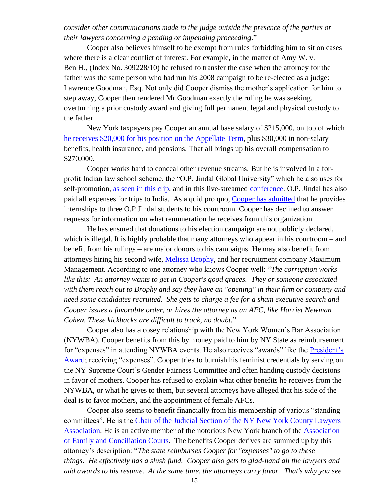*consider other communications made to the judge outside the presence of the parties or their lawyers concerning a pending or impending proceeding*."

Cooper also believes himself to be exempt from rules forbidding him to sit on cases where there is a clear conflict of interest. For example, in the matter of Amy W. v. Ben H., (Index No. 309228/10) he refused to transfer the case when the attorney for the father was the same person who had run his 2008 campaign to be re-elected as a judge: Lawrence Goodman, Esq. Not only did Cooper dismiss the mother's application for him to step away, Cooper then rendered Mr Goodman exactly the ruling he was seeking, overturning a prior custody award and giving full permanent legal and physical custody to the father.

New York taxpayers pay Cooper an annual base salary of \$215,000, on top of which [he receives \\$20,000 for his position on the Appellate Term,](https://codes.findlaw.com/ny/judiciary-law/jud-sect-221-bb.html) plus \$30,000 in non-salary benefits, health insurance, and pensions. That all brings up his overall compensation to \$270,000.

Cooper works hard to conceal other revenue streams. But he is involved in a forprofit Indian law school scheme, the "O.P. Jindal Global University" which he also uses for self-promotion, [as seen in this clip,](https://www.youtube.com/watch?v=eJL3y2EO--A&t=2s) and in this live-streamed [conference.](https://www.facebook.com/watch/live/?v=388339729172640&ref=watch_permalink) O.P. Jindal has also paid all expenses for trips to India. As a quid pro quo, Cooper [has admitted](https://www.facebook.com/watch/live/?v=388339729172640&ref=watch_permalink) that he provides internships to three O.P Jindal students to his courtroom. Cooper has declined to answer requests for information on what remuneration he receives from this organization.

He has ensured that donations to his election campaign are not publicly declared, which is illegal. It is highly probable that many attorneys who appear in his courtroom – and benefit from his rulings – are major donors to his campaigns. He may also benefit from attorneys hiring his second wife, [Melissa Brophy,](https://www.linkedin.com/in/melissabrophy/) and her recruitment company Maximum Management. According to one attorney who knows Cooper well: "*The corruption works like this: An attorney wants to get in Cooper's good graces. They or someone associated with them reach out to Brophy and say they have an "opening" in their firm or company and need some candidates recruited. She gets to charge a fee for a sham executive search and Cooper issues a favorable order, or hires the attorney as an AFC, like Harriet Newman Cohen. These kickbacks are difficult to track, no doubt.*"

Cooper also has a cosey relationship with the New York Women's Bar Association (NYWBA). Cooper benefits from this by money paid to him by NY State as reimbursement for "expenses" in attending NYWBA events. He also receives "awards" like the [President's](https://www.nywba.org/content/uploads/2015/09/2015-Journal-80th-AnniversaryGala.pdf)  [Award;](https://www.nywba.org/content/uploads/2015/09/2015-Journal-80th-AnniversaryGala.pdf) receiving "expenses". Cooper tries to burnish his feminist credentials by serving on the NY Supreme Court's Gender Fairness Committee and often handing custody decisions in favor of mothers. Cooper has refused to explain what other benefits he receives from the NYWBA, or what he gives to them, but several attorneys have alleged that his side of the deal is to favor mothers, and the appointment of female AFCs.

Cooper also seems to benefit financially from his membership of various "standing committees". He is the [Chair of the Judicial Section of the NY New York County Lawyers](https://www.nycla.org/NYCLA/StandingCommitteesSectionsandCommunities/CommitteeList/NYCLA/Committees/Committee_List.aspx)  [Association.](https://www.nycla.org/NYCLA/StandingCommitteesSectionsandCommunities/CommitteeList/NYCLA/Committees/Committee_List.aspx) He is an active member of the notorious New York branch of the [Association](http://afccny.org/wp-content/uploads/2017/11/AFCC_Program_Materials.pdf)  [of Family and Conciliation Courts.](http://afccny.org/wp-content/uploads/2017/11/AFCC_Program_Materials.pdf) The benefits Cooper derives are summed up by this attorney's description: "*The state reimburses Cooper for "expenses" to go to these things. He effectively has a slush fund. Cooper also gets to glad-hand all the lawyers and add awards to his resume. At the same time, the attorneys curry favor. That's why you see*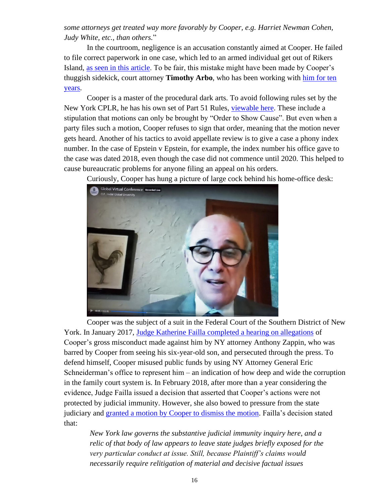*some attorneys get treated way more favorably by Cooper, e.g. Harriet Newman Cohen, Judy White, etc., than others.*"

In the courtroom, negligence is an accusation constantly aimed at Cooper. He failed to file correct paperwork in one case, which led to an armed individual get out of Rikers Island, as seen in [this article.](https://www.msn.com/en-us/news/crime/for-3rd-time-in-a-month-suspect-mistakenly-released-from-rikers-island/ar-BB1ff2WZ) To be fair, this mistake might have been made by Cooper's thuggish sidekick, court attorney **Timothy Arbo**, who has been working with [him for ten](http://www.timcorbo.com/)  [years.](http://www.timcorbo.com/)

Cooper is a master of the procedural dark arts. To avoid following rules set by the New York CPLR, he has his own set of Part 51 Rules, [viewable here.](https://www.nycourts.gov/legacypdfs/courts/1jd/supctmanh/Rules/part51-rules.pdf) These include a stipulation that motions can only be brought by "Order to Show Cause". But even when a party files such a motion, Cooper refuses to sign that order, meaning that the motion never gets heard. Another of his tactics to avoid appellate review is to give a case a phony index number. In the case of Epstein v Epstein, for example, the index number his office gave to the case was dated 2018, even though the case did not commence until 2020. This helped to cause bureaucratic problems for anyone filing an appeal on his orders.

Curiously, Cooper has hung a picture of large cock behind his home-office desk:



Cooper was the subject of a suit in the Federal Court of the Southern District of New York. In January 2017, Judge Katherine Failla [completed a hearing on allegations](https://www.pacermonitor.com/public/case/15332826/Zappin_v_Cooper) of Cooper's gross misconduct made against him by NY attorney Anthony Zappin, who was barred by Cooper from seeing his six-year-old son, and persecuted through the press. To defend himself, Cooper misused public funds by using NY Attorney General Eric Schneiderman's office to represent him – an indication of how deep and wide the corruption in the family court system is. In February 2018, after more than a year considering the evidence, Judge Failla issued a decision that asserted that Cooper's actions were not protected by judicial immunity. However, she also bowed to pressure from the state judiciary and [granted a motion by Cooper to dismiss the motion.](https://www.law360.com/articles/1008718?ta_id=697831&utm_source=targeted-alerts&utm_medium=email&utm_campaign=case-article-alert) Failla's decision stated that:

*New York law governs the substantive judicial immunity inquiry here, and a relic of that body of law appears to leave state judges briefly exposed for the very particular conduct at issue. Still, because Plaintiff's claims would necessarily require relitigation of material and decisive factual issues*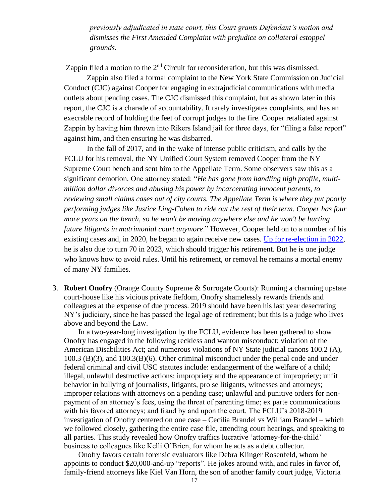*previously adjudicated in state court, this Court grants Defendant's motion and dismisses the First Amended Complaint with prejudice on collateral estoppel grounds.*

Zappin filed a motion to the  $2<sup>nd</sup>$  Circuit for reconsideration, but this was dismissed.

Zappin also filed a formal complaint to the New York State Commission on Judicial Conduct (CJC) against Cooper for engaging in extrajudicial communications with media outlets about pending cases. The CJC dismissed this complaint, but as shown later in this report, the CJC is a charade of accountability. It rarely investigates complaints, and has an execrable record of holding the feet of corrupt judges to the fire. Cooper retaliated against Zappin by having him thrown into Rikers Island jail for three days, for "filing a false report" against him, and then ensuring he was disbarred.

In the fall of 2017, and in the wake of intense public criticism, and calls by the FCLU for his removal, the NY Unified Court System removed Cooper from the NY Supreme Court bench and sent him to the Appellate Term. Some observers saw this as a significant demotion. One attorney stated: "*He has gone from handling high profile, multimillion dollar divorces and abusing his power by incarcerating innocent parents, to reviewing small claims cases out of city courts. The Appellate Term is where they put poorly performing judges like Justice Ling-Cohen to ride out the rest of their term. Cooper has four more years on the bench, so he won't be moving anywhere else and he won't be hurting future litigants in matrimonial court anymore*." However, Cooper held on to a number of his existing cases and, in 2020, he began to again receive new cases. [Up for re-election in 2022,](http://ww2.nycourts.gov/courts/1jd/supctmanh/bio_cooper.shtml) he is also due to turn 70 in 2023, which should trigger his retirement. But he is one judge who knows how to avoid rules. Until his retirement, or removal he remains a mortal enemy of many NY families.

3. **Robert Onofry** (Orange County Supreme & Surrogate Courts): Running a charming upstate court-house like his vicious private fiefdom, Onofry shamelessly rewards friends and colleagues at the expense of due process. 2019 should have been his last year desecrating NY's judiciary, since he has passed the legal age of retirement; but this is a judge who lives above and beyond the Law.

In a two-year-long investigation by the FCLU, evidence has been gathered to show Onofry has engaged in the following reckless and wanton misconduct: violation of the American Disabilities Act; and numerous violations of NY State judicial canons 100.2 (A), 100.3 (B)(3), and 100.3(B)(6). Other criminal misconduct under the penal code and under federal criminal and civil USC statutes include: endangerment of the welfare of a child; illegal, unlawful destructive actions; impropriety and the appearance of impropriety; unfit behavior in bullying of journalists, litigants, pro se litigants, witnesses and attorneys; improper relations with attorneys on a pending case; unlawful and punitive orders for nonpayment of an attorney's fees, using the threat of parenting time; ex parte communications with his favored attorneys; and fraud by and upon the court. The FCLU's 2018-2019 investigation of Onofry centered on one case – Cecilia Brandel vs William Brandel – which we followed closely, gathering the entire case file, attending court hearings, and speaking to all parties. This study revealed how Onofry traffics lucrative 'attorney-for-the-child' business to colleagues like Kelli O'Brien, for whom he acts as a debt collector.

Onofry favors certain forensic evaluators like Debra Klinger Rosenfeld, whom he appoints to conduct \$20,000-and-up "reports". He jokes around with, and rules in favor of, family-friend attorneys like Kiel Van Horn, the son of another family court judge, Victoria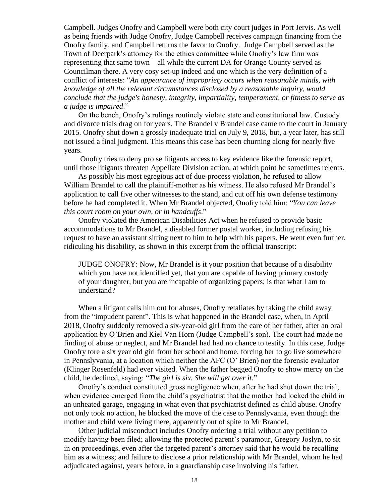Campbell. Judges Onofry and Campbell were both city court judges in Port Jervis. As well as being friends with Judge Onofry, Judge Campbell receives campaign financing from the Onofry family, and Campbell returns the favor to Onofry. Judge Campbell served as the Town of Deerpark's attorney for the ethics committee while Onofry's law firm was representing that same town—all while the current DA for Orange County served as Councilman there. A very cosy set-up indeed and one which is the very definition of a conflict of interests: "*An appearance of impropriety occurs when reasonable minds, with knowledge of all the relevant circumstances disclosed by a reasonable inquiry, would conclude that the judge's honesty, integrity, impartiality, temperament, or fitness to serve as a judge is impaired*."

On the bench, Onofry's rulings routinely violate state and constitutional law. Custody and divorce trials drag on for years. The Brandel v Brandel case came to the court in January 2015. Onofry shut down a grossly inadequate trial on July 9, 2018, but, a year later, has still not issued a final judgment. This means this case has been churning along for nearly five years.

Onofry tries to deny pro se litigants access to key evidence like the forensic report, until those litigants threaten Appellate Division action, at which point he sometimes relents.

As possibly his most egregious act of due-process violation, he refused to allow William Brandel to call the plaintiff-mother as his witness. He also refused Mr Brandel's application to call five other witnesses to the stand, and cut off his own defense testimony before he had completed it. When Mr Brandel objected, Onofry told him: "*You can leave this court room on your own, or in handcuffs*."

Onofry violated the American Disabilities Act when he refused to provide basic accommodations to Mr Brandel, a disabled former postal worker, including refusing his request to have an assistant sitting next to him to help with his papers. He went even further, ridiculing his disability, as shown in this excerpt from the official transcript:

JUDGE ONOFRY: Now, Mr Brandel is it your position that because of a disability which you have not identified yet, that you are capable of having primary custody of your daughter, but you are incapable of organizing papers; is that what I am to understand?

When a litigant calls him out for abuses. Onofry retaliates by taking the child away from the "impudent parent". This is what happened in the Brandel case, when, in April 2018, Onofry suddenly removed a six-year-old girl from the care of her father, after an oral application by O'Brien and Kiel Van Horn (Judge Campbell's son). The court had made no finding of abuse or neglect, and Mr Brandel had had no chance to testify. In this case, Judge Onofry tore a six year old girl from her school and home, forcing her to go live somewhere in Pennslyvania, at a location which neither the AFC (O' Brien) nor the forensic evaluator (Klinger Rosenfeld) had ever visited. When the father begged Onofry to show mercy on the child, he declined, saying: "*The girl is six. She will get over it.*"

Onofry's conduct constituted gross negligence when, after he had shut down the trial, when evidence emerged from the child's psychiatrist that the mother had locked the child in an unheated garage, engaging in what even that psychiatrist defined as child abuse. Onofry not only took no action, he blocked the move of the case to Pennslyvania, even though the mother and child were living there, apparently out of spite to Mr Brandel.

Other judicial misconduct includes Onofry ordering a trial without any petition to modify having been filed; allowing the protected parent's paramour, Gregory Joslyn, to sit in on proceedings, even after the targeted parent's attorney said that he would be recalling him as a witness; and failure to disclose a prior relationship with Mr Brandel, whom he had adjudicated against, years before, in a guardianship case involving his father.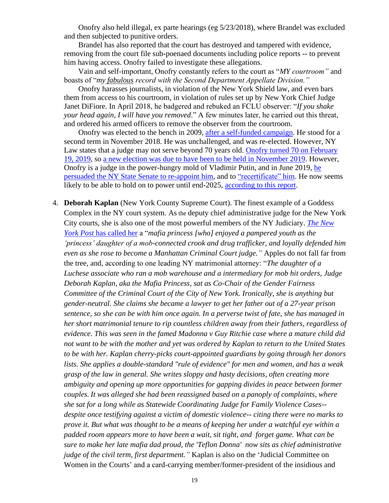Onofry also held illegal, ex parte hearings (eg 5/23/2018), where Brandel was excluded and then subjected to punitive orders.

Brandel has also reported that the court has destroyed and tampered with evidence, removing from the court file sub-poenaed documents including police reports -- to prevent him having access. Onofry failed to investigate these allegations.

Vain and self-important, Onofry constantly refers to the court as "*MY courtroom"* and boasts of "*my fabulous record with the Second Department Appellate Division."* 

Onofry harasses journalists, in violation of the New York Shield law, and even bars them from access to his courtroom, in violation of rules set up by New York Chief Judge Janet DiFiore. In April 2018, he badgered and rebuked an FCLU observer: "*If you shake your head again, I will have you removed*." A few minutes later, he carried out this threat, and ordered his armed officers to remove the observer from the courtroom.

Onofry was elected to the bench in 2009, [after a self-funded campaign.](https://docs.google.com/spreadsheets/d/1fHxP86Zo_Wysz-hPUSFsnW6mu8cK8MppyRQ_g3GzbPQ/edit?fbclid=IwAR2xn_fIsEfTfRlKBmzXabE1Q2Zza4BIkbnlQheQHRXq2PPJiY3MCs_CWXA#gid=432009478) He stood for a second term in November 2018. He was unchallenged, and was re-elected. However, NY Law states that a judge may not serve beyond 70 years old. Onofry turned [70 on February](https://www.mylife.com/robert-onofry/e634849390812)  [19, 2019,](https://www.mylife.com/robert-onofry/e634849390812) so [a new election was due to have been to](https://www.recordonline.com/news/20190111/orange-county-judge-sworn-into-new-term-but-must-retire-at-years-end) be held in November 2019. However, Onofry is a judge in the power-hungry mold of Vladimir Putin, and in June 2019, [he](https://www.law.com/newyorklawjournal/2019/06/20/ny-senate-confirms-10-judges-to-court-of-claims-including-former-state-inspector-general/?kw=NY+Senate+Confirms+10+Judges+to+Court+of+Claims%2C+Including+Former+State+Inspector+General&utm_source=email&utm_medium=enl&utm_campaign=weekendedition&utm_content=20190623&utm_term=nylj&fbclid=IwAR2p1jW14ZeXPOfb2_DdzN2ADcod955Z3SdBtlzcYSxXeW2rNCppCOZwawI&slreturn=20190524091446)  [persuaded the NY State Senate](https://www.law.com/newyorklawjournal/2019/06/20/ny-senate-confirms-10-judges-to-court-of-claims-including-former-state-inspector-general/?kw=NY+Senate+Confirms+10+Judges+to+Court+of+Claims%2C+Including+Former+State+Inspector+General&utm_source=email&utm_medium=enl&utm_campaign=weekendedition&utm_content=20190623&utm_term=nylj&fbclid=IwAR2p1jW14ZeXPOfb2_DdzN2ADcod955Z3SdBtlzcYSxXeW2rNCppCOZwawI&slreturn=20190524091446) to re-appoint him, and to ["recertificate" him.](https://www.recordonline.com/news/20190922/local-district-supreme-court-imbalance-concerns-lawyers) He now seems likely to be able to hold on to power until end-2025, [according to this report.](https://www.recordonline.com/news/20190621/onofry-named-interim-state-supreme-court-justice-avoids-retirement-at-70)

4. **Deborah Kaplan** (New York County Supreme Court). The finest example of a Goddess Complex in the NY court system. As the deputy chief administrative judge for the New York City courts, she is also one of the most powerful members of the NY Judiciary. *[The New](https://nypost.com/2005/05/22/the-mafia-princess-who-became-a-nyc-judge/)  York Post* [has called her](https://nypost.com/2005/05/22/the-mafia-princess-who-became-a-nyc-judge/) a "*mafia princess [who] enjoyed a pampered youth as the 'princess' daughter of a mob-connected crook and drug trafficker, and loyally defended him even as she rose to become a Manhattan Criminal Court judge."* Apples do not fall far from the tree, and, according to one leading NY matrimonial attorney: "*The daughter of a Luchese associate who ran a mob warehouse and a intermediary for mob hit orders, Judge Deborah Kaplan, aka the Mafia Princess, sat as Co-Chair of the Gender Fairness Committee of the Criminal Court of the City of New York. Ironically, she is anything but gender-neutral. She claims she became a lawyer to get her father out of a 27-year prison sentence, so she can be with him once again. In a perverse twist of fate, she has managed in her short matrimonial tenure to rip countless children away from their fathers, regardless of evidence. This was seen in the famed Madonna v Guy Ritchie case where a mature child did not want to be with the mother and yet was ordered by Kaplan to return to the United States to be with her. Kaplan cherry-picks court-appointed guardians by going through her donors lists. She applies a double-standard "rule of evidence" for men and women, and has a weak grasp of the law in general. She writes sloppy and hasty decisions, often creating more ambiguity and opening up more opportunities for gapping divides in peace between former couples. It was alleged she had been reassigned based on a panoply of complaints, where she sat for a long while as Statewide Coordinating Judge for Family Violence Cases- despite once testifying against a victim of domestic violence-- citing there were no marks to prove it. But what was thought to be a means of keeping her under a watchful eye within a padded room appears more to have been a wait, sit tight, and forget game. What can be sure to make her late mafia dad proud, the 'Teflon Donna' now sits as chief administrative judge of the civil term, first department."* Kaplan is also on the 'Judicial Committee on Women in the Courts' and a card-carrying member/former-president of the insidious and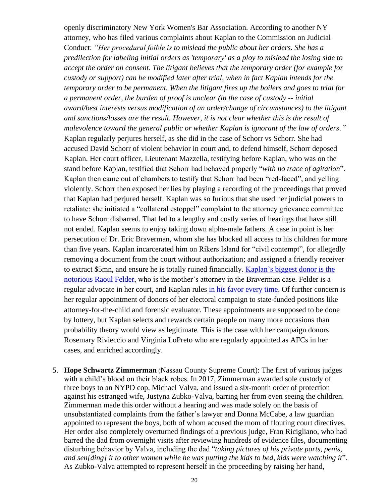openly discriminatory New York Women's Bar Association. According to another NY attorney, who has filed various complaints about Kaplan to the Commission on Judicial Conduct: *"Her procedural foible is to mislead the public about her orders. She has a predilection for labeling initial orders as 'temporary' as a ploy to mislead the losing side to accept the order on consent. The litigant believes that the temporary order (for example for custody or support) can be modified later after trial, when in fact Kaplan intends for the temporary order to be permanent. When the litigant fires up the boilers and goes to trial for a permanent order, the burden of proof is unclear (in the case of custody -- initial award/best interests versus modification of an order/change of circumstances) to the litigant and sanctions/losses are the result. However, it is not clear whether this is the result of malevolence toward the general public or whether Kaplan is ignorant of the law of orders*. " Kaplan regularly perjures herself, as she did in the case of Schorr vs Schorr. She had accused David Schorr of violent behavior in court and, to defend himself, Schorr deposed Kaplan. Her court officer, Lieutenant Mazzella, testifying before Kaplan, who was on the stand before Kaplan, testified that Schorr had behaved properly "*with no trace of agitation*". Kaplan then came out of chambers to testify that Schorr had been "red-faced", and yelling violently. Schorr then exposed her lies by playing a recording of the proceedings that proved that Kaplan had perjured herself. Kaplan was so furious that she used her judicial powers to retaliate: she initiated a "collateral estoppel" complaint to the attorney grievance committee to have Schorr disbarred. That led to a lengthy and costly series of hearings that have still not ended. Kaplan seems to enjoy taking down alpha-male fathers. A case in point is her persecution of Dr. Eric Braverman, whom she has blocked all access to his children for more than five years. Kaplan incarcerated him on Rikers Island for "civil contempt", for allegedly removing a document from the court without authorization; and assigned a friendly receiver to extract \$5mn, and ensure he is totally ruined financially. [Kaplan's biggest donor is the](http://tinyurl.com/zq4zkvm)  [notorious Raoul Felder,](http://tinyurl.com/zq4zkvm) who is the mother's attorney in the Braverman case. Felder is a regular advocate in her court, and Kaplan rules [in his favor every time.](http://www.deborahannkaplan.com/) Of further concern is her regular appointment of donors of her electoral campaign to state-funded positions like attorney-for-the-child and forensic evaluator. These appointments are supposed to be done by lottery, but Kaplan selects and rewards certain people on many more occasions than probability theory would view as legitimate. This is the case with her campaign donors Rosemary Rivieccio and Virginia LoPreto who are regularly appointed as AFCs in her cases, and enriched accordingly.

5. **Hope Schwartz Zimmerman** (Nassau County Supreme Court): The first of various judges with a child's blood on their black robes. In 2017, Zimmerman awarded sole custody of three boys to an NYPD cop, Michael Valva, and issued a six-month order of protection against his estranged wife, Justyna Zubko-Valva, barring her from even seeing the children. Zimmerman made this order without a hearing and was made solely on the basis of unsubstantiated complaints from the father's lawyer and Donna McCabe, a law guardian appointed to represent the boys, both of whom accused the mom of flouting court directives. Her order also completely overturned findings of a previous judge, Fran Ricigliano, who had barred the dad from overnight visits after reviewing hundreds of evidence files, documenting disturbing behavior by Valva, including the dad "*taking pictures of his private parts, penis, and sen[ding] it to other women while he was putting the kids to bed, kids were watching it*". As Zubko-Valva attempted to represent herself in the proceeding by raising her hand,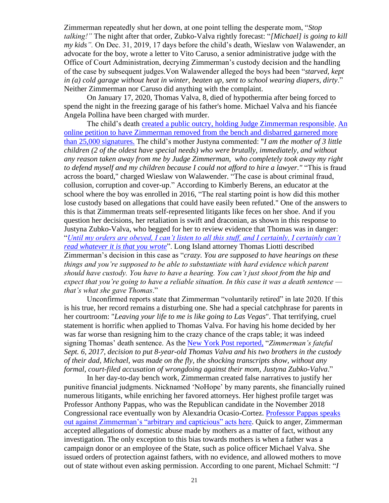Zimmerman repeatedly shut her down, at one point telling the desperate mom, "*Stop talking!"* The night after that order, Zubko-Valva rightly forecast: "*[Michael] is going to kill my kids".* On Dec. 31, 2019, 17 days before the child's death, Wieslaw von Walawender, an advocate for the boy, wrote a letter to Vito Caruso, a senior administrative judge with the Office of Court Administration, decrying Zimmerman's custody decision and the handling of the case by subsequent judges.Von Walawender alleged the boys had been "*starved, kept in (a) cold garage without heat in winter, beaten up, sent to school wearing diapers, dirty*." Neither Zimmerman nor Caruso did anything with the complaint.

On January 17, 2020, Thomas Valva, 8, died of hypothermia after being forced to spend the night in the freezing garage of his father's home. Michael Valva and his fiancée Angela Pollina have been charged with murder.

The child's death [created a public outcry, holding Judge Zimmerman responsible.](http://www.therobingroom.com/NewYork/Judge.aspx?id=690&fbclid=IwAR3mjIlQ1jGjcRudFtfSS8ZJq39qyuFNn6AnbpB0RdBntqBYQvNIPzvs3PE) [An](https://www.change.org/p/governor-andrew-m-cuomo-for-judge-hope-schwartz-zimmerman-to-resign-and-have-her-license-revoked)  [online petition to have Zimmerman removed from the bench and disbarred garnered more](https://www.change.org/p/governor-andrew-m-cuomo-for-judge-hope-schwartz-zimmerman-to-resign-and-have-her-license-revoked)  [than 25,000 signatures.](https://www.change.org/p/governor-andrew-m-cuomo-for-judge-hope-schwartz-zimmerman-to-resign-and-have-her-license-revoked) The child's mother Justyna commented: "*I am the mother of 3 little children (2 of the oldest have special needs) who were brutally, immediately, and without any reason taken away from me by Judge Zimmerman, who completely took away my right to defend myself and my children because I could not afford to hire a lawyer."* "This is fraud across the board," charged Wieslaw von Walawender. "The case is about criminal fraud, collusion, corruption and cover-up." According to Kimberly Berens, an educator at the school where the boy was enrolled in 2016, "The real starting point is how did this mother lose custody based on allegations that could have easily been refuted." One of the answers to this is that Zimmerman treats self-represented litigants like feces on her shoe. And if you question her decisions, her retaliation is swift and draconian, as shown in this response to Justyna Zubko-Valva, who begged for her to review evidence that Thomas was in danger: "*[Until my orders are obeyed, I can't listen to all this stuff, and I certainly, I certainly can't](https://nypost.com/2020/02/02/theyll-be-safe-inside-the-court-hearing-that-sealed-thomas-valvas-fate/)  [read whatever it is that you wrote](https://nypost.com/2020/02/02/theyll-be-safe-inside-the-court-hearing-that-sealed-thomas-valvas-fate/)*". Long Island attorney Thomas Liotti described Zimmerman's decision in this case as "*crazy. You are supposed to have hearings on these things and you're supposed to be able to substantiate with hard evidence which parent should have custody. You have to have a hearing. You can't just shoot from the hip and expect that you're going to have a reliable situation. In this case it was a death sentence that's what she gave Thomas*."

Unconfirmed reports state that Zimmerman "voluntarily retired" in late 2020. If this is his true, her record remains a disturbing one. She had a special catchphrase for parents in her courtroom: "*Leaving your life to me is like going to Las Vegas*". That terrifying, cruel statement is horrific when applied to Thomas Valva. For having his home decided by her was far worse than resigning him to the crazy chance of the craps table; it was indeed signing Thomas' death sentence. As the [New York Post reported,](https://nypost.com/2020/02/02/theyll-be-safe-inside-the-court-hearing-that-sealed-thomas-valvas-fate/) "*Zimmerman's fateful Sept. 6, 2017, decision to put 8-year-old Thomas Valva and his two brothers in the custody of their dad, Michael, was made on the fly, the shocking transcripts show, without any formal, court-filed accusation of wrongdoing against their mom, Justyna Zubko-Valva*."

In her day-to-day bench work, Zimmerman created false narratives to justify her punitive financial judgments. Nicknamed 'NoHope' by many parents, she financially ruined numerous litigants, while enriching her favored attorneys. Her highest profile target was Professor Anthony Pappas, who was the Republican candidate in the November 2018 Congressional race eventually won by Alexandria Ocasio-Cortez. [Professor Pappas speaks](https://www.youtube.com/watch?reload=9&v=YB8euYZP2QI)  [out against Zimmerman's "arbitrary and capticious" acts here.](https://www.youtube.com/watch?reload=9&v=YB8euYZP2QI) Quick to anger, Zimmerman accepted allegations of domestic abuse made by mothers as a matter of fact, without any investigation. The only exception to this bias towards mothers is when a father was a campaign donor or an employee of the State, such as police officer Michael Valva. She issued orders of protection against fathers, with no evidence, and allowed mothers to move out of state without even asking permission. According to one parent, Michael Schmitt: "*I*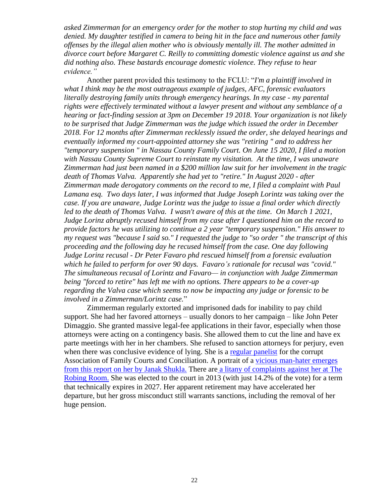*asked Zimmerman for an emergency order for the mother to stop hurting my child and was denied. My daughter testified in camera to being hit in the face and numerous other family offenses by the illegal alien mother who is obviously mentally ill. The mother admitted in divorce court before Margaret C. Reilly to committing domestic violence against us and she did nothing also. These bastards encourage domestic violence. They refuse to hear evidence."*

Another parent provided this testimony to the FCLU: "*I'm a plaintiff involved in what I think may be the most outrageous example of judges, AFC, forensic evaluators literally destroying family units through emergency hearings. In my case - my parental rights were effectively terminated without a lawyer present and without any semblance of a hearing or fact-finding session at 3pm on December 19 2018. Your organization is not likely to be surprised that Judge Zimmerman was the judge which issued the order in December 2018. For 12 months after Zimmerman recklessly issued the order, she delayed hearings and eventually informed my court-appointed attorney she was "retiring " and to address her "temporary suspension " in Nassau County Family Court. On June 15 2020, I filed a motion with Nassau County Supreme Court to reinstate my visitation. At the time, I was unaware Zimmerman had just been named in a \$200 million law suit for her involvement in the tragic death of Thomas Valva. Apparently she had yet to "retire." In August 2020 - after Zimmerman made derogatory comments on the record to me, I filed a complaint with Paul Lamana esq. Two days later, I was informed that Judge Joseph Lorintz was taking over the case. If you are unaware, Judge Lorintz was the judge to issue a final order which directly led to the death of Thomas Valva. I wasn't aware of this at the time. On March 1 2021, Judge Lorinz abruptly recused himself from my case after I questioned him on the record to provide factors he was utilizing to continue a 2 year "temporary suspension." His answer to my request was "because I said so." I requested the judge to "so order " the transcript of this proceeding and the following day he recused himself from the case. One day following Judge Lorinz recusal - Dr Peter Favaro phd rescued himself from a forensic evaluation which he failed to perform for over 90 days. Favaro's rationale for recusal was "covid." The simultaneous recusal of Lorintz and Favaro— in conjunction with Judge Zimmerman being "forced to retire" has left me with no options. There appears to be a cover-up regarding the Valva case which seems to now be impacting any judge or forensic to be involved in a Zimmerman/Lorintz case.*"

Zimmerman regularly extorted and imprisoned dads for inability to pay child support. She had her favored attorneys – usually donors to her campaign – like John Peter Dimaggio. She granted massive legal-fee applications in their favor, especially when those attorneys were acting on a contingency basis. She allowed them to cut the line and have ex parte meetings with her in her chambers. She refused to sanction attorneys for perjury, even when there was conclusive evidence of lying. She is a [regular panelist](https://afccny.org/kids-come-first-its-that-simple/?fbclid=IwAR0HgoZagWTTAaqrAiPYvkuPb4Xqnz5piJPBmAAEMnTJHU7HVE6fmOYOrys) for the corrupt Association of Family Courts and Conciliation. A portrait of a [vicious man-hater emerges](https://www.youtube.com/watch?v=XgRPxYT2JvI)  [from this report on her by Janak Shukla.](https://www.youtube.com/watch?v=XgRPxYT2JvI) There are [a litany of complaints against her at The](http://www.therobingroom.com/texas/Judge.aspx?id=690)  [Robing Room.](http://www.therobingroom.com/texas/Judge.aspx?id=690) She was elected to the court in 2013 (with just 14.2% of the vote) for a term that technically expires in 2027. Her apparent retirement may have accelerated her departure, but her gross misconduct still warrants sanctions, including the removal of her huge pension.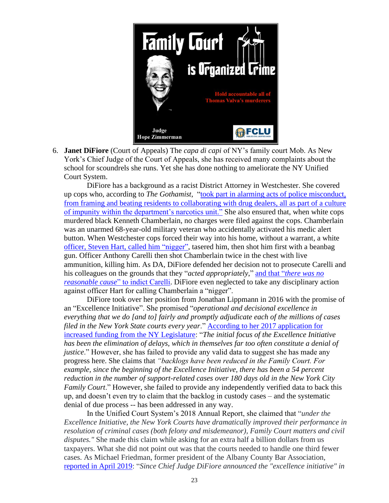

6. **Janet DiFiore** (Court of Appeals) The *capa di capi* of NY's family court Mob. As New York's Chief Judge of the Court of Appeals, she has received many complaints about the school for scoundrels she runs. Yet she has done nothing to ameliorate the NY Unified Court System.

DiFiore has a background as a racist District Attorney in Westchester. She covered up cops who, according to *The Gothamist*, ["took part in alarming acts of police misconduct,](https://gothamist.com/news/mount-vernon-police-tapes-innocent-people-were-framed?fbclid=IwAR1Hz-_Qy3tgpD16UBMEDVbm1n6Zf4D5rRgxDM1_IlHYDux2UL8WMD90uvk)  [from framing and beating residents to collaborating with drug dealers, all as part of a culture](https://gothamist.com/news/mount-vernon-police-tapes-innocent-people-were-framed?fbclid=IwAR1Hz-_Qy3tgpD16UBMEDVbm1n6Zf4D5rRgxDM1_IlHYDux2UL8WMD90uvk)  [of impunity within the department's narcotics unit."](https://gothamist.com/news/mount-vernon-police-tapes-innocent-people-were-framed?fbclid=IwAR1Hz-_Qy3tgpD16UBMEDVbm1n6Zf4D5rRgxDM1_IlHYDux2UL8WMD90uvk) She also ensured that, when white cops murdered black Kenneth Chamberlain, no charges were filed against the cops. Chamberlain was an unarmed 68-year-old military veteran who accidentally activated his medic alert button. When Westchester cops forced their way into his home, without a warrant, a white officer, Steven Hart, [called him "nigger",](https://en.wikipedia.org/wiki/Shooting_of_Kenneth_Chamberlain_Sr.) tasered him, then shot him first with a beanbag gun. Officer Anthony Carelli then shot Chamberlain twice in the chest with live ammunition, killing him. As DA, DiFiore defended her decision not to prosecute Carelli and his colleagues on the grounds that they "*acted appropriately*," and that "*[there was no](https://www.nytimes.com/2012/05/04/nyregion/no-charges-in-polices-killing-of-sickly-white-plains-man.html)  reasonable cause*[" to indict Carelli.](https://www.nytimes.com/2012/05/04/nyregion/no-charges-in-polices-killing-of-sickly-white-plains-man.html) DiFiore even neglected to take any disciplinary action against officer Hart for calling Chamberlain a "nigger".

DiFiore took over her position from Jonathan Lippmann in 2016 with the promise of an "Excellence Initiative". She promised "*operational and decisional excellence in everything that we do [and to] fairly and promptly adjudicate each of the millions of cases filed in the New York State courts every year*." [According to her 2017 application for](http://www.nycourts.gov/admin/financialops/BGT18-19/2018-19-UCS-Budget.PDF)  [increased funding from the NY Legislature:](http://www.nycourts.gov/admin/financialops/BGT18-19/2018-19-UCS-Budget.PDF) "*The initial focus of the Excellence Initiative has been the elimination of delays, which in themselves far too often constitute a denial of justice*." However, she has failed to provide any valid data to suggest she has made any progress here. She claims that *"backlogs have been reduced in the Family Court. For example, since the beginning of the Excellence Initiative, there has been a 54 percent reduction in the number of support-related cases over 180 days old in the New York City Family Court*." However, she failed to provide any independently verified data to back this up, and doesn't even try to claim that the backlog in custody cases – and the systematic denial of due process -- has been addressed in any way.

In the Unified Court System's 2018 Annual Report, she claimed that "*under the Excellence Initiative, the New York Courts have dramatically improved their performance in resolution of criminal cases (both felony and misdemeanor), Family Court matters and civil disputes."* She made this claim while asking for an extra half a billion dollars from us taxpayers. What she did not point out was that the courts needed to handle one third fewer cases. As Michael Friedman, former president of the Albany County Bar Association, [reported in April 2019:](https://www.law.com/newyorklawjournal/2019/04/04/the-real-reason-why-ny-state-courts-have-reduced-backlogs/) "*Since Chief Judge DiFiore announced the "excellence initiative" in*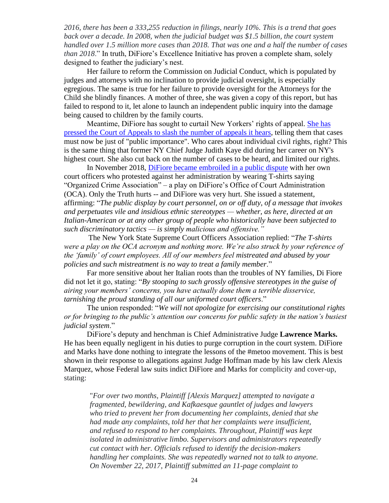*2016, there has been a 333,255 reduction in filings, nearly 10%. This is a trend that goes back over a decade. In 2008, when the judicial budget was \$1.5 billion, the court system handled over 1.5 million more cases than 2018. That was one and a half the number of cases than 2018*." In truth, DiFiore's Excellence Initiative has proven a complete sham, solely designed to feather the judiciary's nest.

Her failure to reform the Commission on Judicial Conduct, which is populated by judges and attorneys with no inclination to provide judicial oversight, is especially egregious. The same is true for her failure to provide oversight for the Attorneys for the Child she blindly finances. A mother of three, she was given a copy of this report, but has failed to respond to it, let alone to launch an independent public inquiry into the damage being caused to children by the family courts.

Meantime, DiFiore has sought to curtail New Yorkers' rights of appeal. [She has](https://www.law.com/newyorklawjournal/2018/11/26/difiore-presses-appellate-judges-to-send-fewer-appeals-to-high-court/?kw=DiFiore%20Presses%20Appellate%20Judges%20to%20Send%20Fewer%20Appeals%20to%20High%20Court&et=editorial&bu=NewYorkLawJournal&cn=20181127)  [pressed the Court of Appeals to slash the number of appeals it hears,](https://www.law.com/newyorklawjournal/2018/11/26/difiore-presses-appellate-judges-to-send-fewer-appeals-to-high-court/?kw=DiFiore%20Presses%20Appellate%20Judges%20to%20Send%20Fewer%20Appeals%20to%20High%20Court&et=editorial&bu=NewYorkLawJournal&cn=20181127) telling them that cases must now be just of "public importance". Who cares about individual civil rights, right? This is the same thing that former NY Chief Judge Judith Kaye did during her career on NY's highest court. She also cut back on the number of cases to be heard, and limited our rights.

In November 2018, [DiFiore became embroiled in a public dispute](https://nypost.com/2018/10/31/judge-blasts-court-officer-union-boss-for-offensive-t-shirts/) with her own court officers who protested against her administration by wearing T-shirts saying "Organized Crime Association" – a play on DiFiore's Office of Court Administration (OCA). Only the Truth hurts -- and DiFiore was very hurt. She issued a statement, affirming: "*The public display by court personnel, on or off duty, of a message that invokes and perpetuates vile and insidious ethnic stereotypes — whether, as here, directed at an Italian-American or at any other group of people who historically have been subjected to such discriminatory tactics — is simply malicious and offensive."*

The New York State Supreme Court Officers Association replied: "*The T-shirts were a play on the OCA acronym and nothing more. We're also struck by your reference of the 'family' of court employees. All of our members feel mistreated and abused by your policies and such mistreatment is no way to treat a family member*."

Far more sensitive about her Italian roots than the troubles of NY families, Di Fiore did not let it go, stating: "*By stooping to such grossly offensive stereotypes in the guise of airing your members' concerns, you have actually done them a terrible disservice, tarnishing the proud standing of all our uniformed court officers*."

The union responded: "*We will not apologize for exercising our constitutional rights or for bringing to the public's attention our concerns for public safety in the nation's busiest judicial system*."

DiFiore's deputy and henchman is Chief Administrative Judge **Lawrence Marks.**  He has been equally negligent in his duties to purge corruption in the court system. DiFiore and Marks have done nothing to integrate the lessons of the #metoo movement. This is best shown in their response to allegations against Judge Hoffman made by his law clerk Alexis Marquez, whose Federal law suits indict DiFiore and Marks for complicity and cover-up, stating:

"*For over two months, Plaintiff [Alexis Marquez] attempted to navigate a fragmented, bewildering, and Kafkaesque gauntlet of judges and lawyers who tried to prevent her from documenting her complaints, denied that she had made any complaints, told her that her complaints were insufficient, and refused to respond to her complaints. Throughout, Plaintiff was kept isolated in administrative limbo. Supervisors and administrators repeatedly cut contact with her. Officials refused to identify the decision-makers handling her complaints. She was repeatedly warned not to talk to anyone. On November 22, 2017, Plaintiff submitted an 11-page complaint to*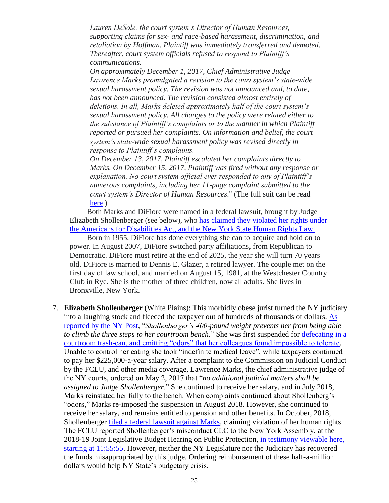*Lauren DeSole, the court system's Director of Human Resources, supporting claims for sex- and race-based harassment, discrimination, and retaliation by Hoffman. Plaintiff was immediately transferred and demoted. Thereafter, court system officials refused to respond to Plaintiff's communications.* 

*On approximately December 1, 2017, Chief Administrative Judge Lawrence Marks promulgated a revision to the court system's state-wide sexual harassment policy. The revision was not announced and, to date, has not been announced. The revision consisted almost entirely of deletions. In all, Marks deleted approximately half of the court system's sexual harassment policy. All changes to the policy were related either to the substance of Plaintiff's complaints or to the manner in which Plaintiff reported or pursued her complaints. On information and belief, the court system's state-wide sexual harassment policy was revised directly in response to Plaintiff's complaints.*

*On December 13, 2017, Plaintiff escalated her complaints directly to Marks. On December 15, 2017, Plaintiff was fired without any response or explanation. No court system official ever responded to any of Plaintiff's numerous complaints, including her 11-page complaint submitted to the court system's Director of Human Resources*." (The full suit can be read [here](https://images.law.com/…/do…/389/41025/Marquez_Complaint.pdf) )

Both Marks and DiFiore were named in a federal lawsuit, brought by Judge Elizabeth Shollenberger (see below), who [has claimed they violated her rights under](https://www.law.com/newyorklawjournal/2019/06/28/suspended-ny-judges-lawsuit-against-oca-officials-allowed-to-continue-by-federal-judge/)  [the Americans for Disabilities Act, and the New York State Human Rights Law.](https://www.law.com/newyorklawjournal/2019/06/28/suspended-ny-judges-lawsuit-against-oca-officials-allowed-to-continue-by-federal-judge/)

Born in 1955, DiFiore has done everything she can to acquire and hold on to power. In August 2007, DiFiore switched party affiliations, from Republican to Democratic. DiFiore must retire at the end of 2025, the year she will turn 70 years old. DiFiore is married to Dennis E. Glazer, a retired lawyer. The couple met on the first day of law school, and married on August 15, 1981, at the Westchester Country Club in Rye. She is the mother of three children, now all adults. She lives in Bronxville, New York.

7. **Elizabeth Shollenberger** (White Plains): This morbidly obese jurist turned the NY judiciary into a laughing stock and fleeced the taxpayer out of hundreds of thousands of dollars. [As](https://nypost.com/2017/06/23/new-york-judge-still-rakes-in-175k-salary-in-jail/)  [reported by the NY Post,](https://nypost.com/2017/06/23/new-york-judge-still-rakes-in-175k-salary-in-jail/) "*Shollenberger's 400-pound weight prevents her from being able to climb the three steps to her courtroom bench*." She was first suspended for [defecating in a](https://www.law.com/newyorklawjournal/2019/06/28/suspended-ny-judges-lawsuit-against-oca-officials-allowed-to-continue-by-federal-judge/)  [courtroom trash-can, and emitting "odors" that her colleagues found impossible to tolerate.](https://www.law.com/newyorklawjournal/2019/06/28/suspended-ny-judges-lawsuit-against-oca-officials-allowed-to-continue-by-federal-judge/) Unable to control her eating she took "indefinite medical leave", while taxpayers continued to pay her \$225,000-a-year salary. After a complaint to the Commission on Judicial Conduct by the FCLU, and other media coverage, Lawrence Marks, the chief administrative judge of the NY courts, ordered on May 2, 2017 that "*no additional judicial matters shall be assigned to Judge Shollenberger*." She continued to receive her salary, and in July 2018, Marks reinstated her fully to the bench. When complaints continued about Shollenberg's "odors," Marks re-imposed the suspension in August 2018. However, she continued to receive her salary, and remains entitled to pension and other benefits. In October, 2018, Shollenberger [filed a federal lawsuit against Marks,](https://www.law.com/newyorklawjournal/2019/06/28/suspended-ny-judges-lawsuit-against-oca-officials-allowed-to-continue-by-federal-judge/) claiming violation of her human rights. The FCLU reported Shollenberger's misconduct CLC to the New York Assembly, at the 2018-19 Joint Legislative Budget Hearing on Public Protection, [in testimony viewable here,](https://youtu.be/oaHRhurYObg)  [starting at 11:55:55.](https://youtu.be/oaHRhurYObg) However, neither the NY Legislature nor the Judiciary has recovered the funds misappropriated by this judge. Ordering reimbursement of these half-a-million dollars would help NY State's budgetary crisis.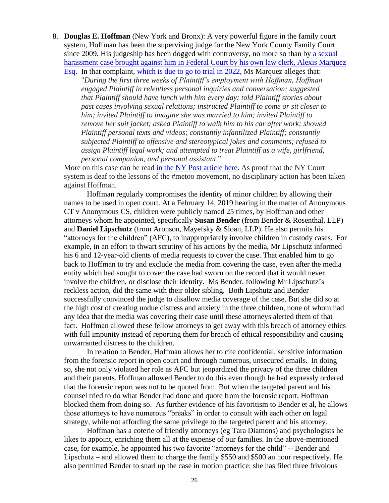8. **Douglas E. Hoffman** (New York and Bronx): A very powerful figure in the family court system, Hoffman has been the supervising judge for the New York County Family Court since 2009. His judgeship has been dogged with controversy, no more so than by a sexual [harassment case brought against him in Federal Court by his own](https://images.law.com/contrib/content/uploads/documents/389/41025/Marquez_Complaint.pdf) law clerk, Alexis Marquez [Esq.](https://images.law.com/contrib/content/uploads/documents/389/41025/Marquez_Complaint.pdf) In that complaint, [which is due to go to trial in 2022,](https://www.pacermonitor.com/public/case/25339987/Marquez_v_Hoffman_et_al) Ms Marquez alleges that:

"*During the first three weeks of Plaintiff's employment with Hoffman, Hoffman engaged Plaintiff in relentless personal inquiries and conversation; suggested that Plaintiff should have lunch with him every day; told Plaintiff stories about past cases involving sexual relations; instructed Plaintiff to come or sit closer to him; invited Plaintiff to imagine she was married to him; invited Plaintiff to remove her suit jacket; asked Plaintiff to walk him to his car after work; showed Plaintiff personal texts and videos; constantly infantilized Plaintiff; constantly subjected Plaintiff to offensive and stereotypical jokes and comments; refused to assign Plaintiff legal work; and attempted to treat Plaintiff as a wife, girlfriend, personal companion, and personal assistant*."

More on this case can be read [in the NY Post article here.](https://nypost.com/2018/08/17/law-clerk-says-court-ignored-sexual-harassment-claims-against-judge-then-fired-her/?fbclid=IwAR35ZIJGk0oKSbmcWbRMreL2zI-1BLRRbbdgvZ81nBvlixiN3qOWu0B_N5A) As proof that the NY Court system is deaf to the lessons of the #metoo movement, no disciplinary action has been taken against Hoffman.

Hoffman regularly compromises the identity of minor children by allowing their names to be used in open court. At a February 14, 2019 hearing in the matter of Anonymous CT v Anonymous CS, children were publicly named 25 times, by Hoffman and other attorneys whom he appointed, specifically **Susan Bender** (from Bender & Rosenthal, LLP) and **Daniel Lipschutz** (from Aronson, Mayefsky & Sloan, LLP). He also permits his "attorneys for the children" (AFC), to inappropriately involve children in custody cases. For example, in an effort to thwart scrutiny of his actions by the media, Mr Lipschutz informed his 6 and 12-year-old clients of media requests to cover the case. That enabled him to go back to Hoffman to try and exclude the media from covering the case, even after the media entity which had sought to cover the case had sworn on the record that it would never involve the children, or disclose their identity. Ms Bender, following Mr Lipschutz's reckless action, did the same with their older sibling. Both Lipshutz and Bender successfully convinced the judge to disallow media coverage of the case. But she did so at the high cost of creating undue distress and anxiety in the three children, none of whom had any idea that the media was covering their case until these attorneys alerted them of that fact. Hoffman allowed these fellow attorneys to get away with this breach of attorney ethics with full impunity instead of reporting them for breach of ethical responsibility and causing unwarranted distress to the children.

In relation to Bender, Hoffman allows her to cite confidential, sensitive information from the forensic report in open court and through numerous, unsecured emails. In doing so, she not only violated her role as AFC but jeopardized the privacy of the three children and their parents. Hoffman allowed Bender to do this even though he had expressly ordered that the forensic report was not to be quoted from. But when the targeted parent and his counsel tried to do what Bender had done and quote from the forensic report, Hoffman blocked them from doing so. As further evidence of his favoritism to Bender et al, he allows those attorneys to have numerous "breaks" in order to consult with each other on legal strategy, while not affording the same privilege to the targeted parent and his attorney.

Hoffman has a coterie of friendly attorneys (eg Tara Diamons) and psychologists he likes to appoint, enriching them all at the expense of our families. In the above-mentioned case, for example, he appointed his two favorite "attorneys for the child" -- Bender and Lipschutz – and allowed them to charge the family \$550 and \$500 an hour respectively. He also permitted Bender to snarl up the case in motion practice: she has filed three frivolous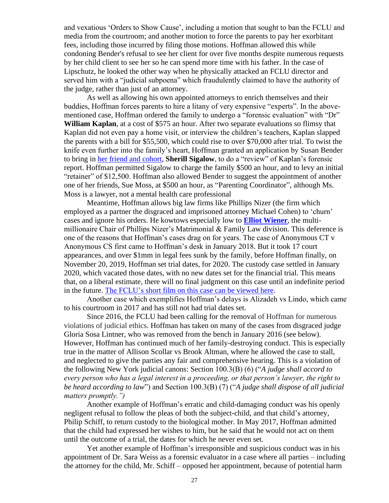and vexatious 'Orders to Show Cause', including a motion that sought to ban the FCLU and media from the courtroom; and another motion to force the parents to pay her exorbitant fees, including those incurred by filing those motions. Hoffman allowed this while condoning Bender's refusal to see her client for over five months despite numerous requests by her child client to see her so he can spend more time with his father. In the case of Lipschutz, he looked the other way when he physically attacked an FCLU director and served him with a "judicial subpoena" which fraudulently claimed to have the authority of the judge, rather than just of an attorney.

As well as allowing his own appointed attorneys to enrich themselves and their buddies, Hoffman forces parents to hire a litany of very expensive "experts". In the abovementioned case, Hoffman ordered the family to undergo a "forensic evaluation" with "Dr" **William Kaplan**, at a cost of \$575 an hour. After two separate evaluations so flimsy that Kaplan did not even pay a home visit, or interview the children's teachers, Kaplan slapped the parents with a bill for \$55,500, which could rise to over \$70,000 after trial. To twist the knife even further into the family's heart, Hoffman granted an application by Susan Bender to bring in her friend [and cohort,](https://www.blankrome.com/sites/default/files/75E06DEDFBB3D553284960D45F21A0D7.pdf) **Sherill Sigalow**, to do a "review" of Kaplan's forensic report. Hoffman permitted Sigalow to charge the family \$500 an hour, and to levy an initial "retainer" of \$12,500. Hoffman also allowed Bender to suggest the appointment of another one of her friends, Sue Moss, at \$500 an hour, as "Parenting Coordinator", although Ms. Moss is a lawyer, not a mental health care professional

Meantime, Hoffman allows big law firms like Phillips Nizer (the firm which employed as a partner the disgraced and imprisoned attorney Michael Cohen) to 'churn' cases and ignore his orders. He kowtows especially low to **[Elliot Wiener](https://www.phillipsnizer.com/elliot-wiener)**, the multimillionaire Chair of Phillips Nizer's Matrimonial & Family Law division. This deference is one of the reasons that Hoffman's cases drag on for years. The case of Anonymous CT v Anonymous CS first came to Hoffman's desk in January 2018. But it took 17 court appearances, and over \$1mm in legal fees sunk by the family, before Hoffman finally, on November 20, 2019, Hoffman set trial dates, for 2020. The custody case settled in January 2020, which vacated those dates, with no new dates set for the financial trial. This means that, on a liberal estimate, there will no final judgment on this case until an indefinite period in the future. The FCLU's short film on [this case can be viewed here.](https://www.youtube.com/watch?v=ISzeElj8P6g&feature=youtu.be&fbclid=IwAR3AZwIGYodthEIzqa2LMq0FSQv6iGjv1qgN54TOgNZ0buWlzRA4HOrEQnI)

Another case which exemplifies Hoffman's delays is Alizadeh vs Lindo, which came to his courtroom in 2017 and has still not had trial dates set.

Since 2016, the FCLU had been calling for the removal of Hoffman for numerous violations of judicial ethics. Hoffman has taken on many of the cases from disgraced judge Gloria Sosa Lintner, who was removed from the bench in January 2016 (see below). However, Hoffman has continued much of her family-destroying conduct. This is especially true in the matter of Allison Scollar vs Brook Altman, where he allowed the case to stall, and neglected to give the parties any fair and comprehensive hearing. This is a violation of the following New York judicial canons: Section 100.3(B) (6) ("*A judge shall accord to every person who has a legal interest in a proceeding, or that person's lawyer, the right to be heard according to law*") and Section 100.3(B) (7) ("*A judge shall dispose of all judicial matters promptly.")* 

Another example of Hoffman's erratic and child-damaging conduct was his openly negligent refusal to follow the pleas of both the subject-child, and that child's attorney, Philip Schiff, to return custody to the biological mother. In May 2017, Hoffman admitted that the child had expressed her wishes to him, but he said that he would not act on them until the outcome of a trial, the dates for which he never even set.

Yet another example of Hoffman's irresponsible and suspicious conduct was in his appointment of Dr. Sara Weiss as a forensic evaluator in a case where all parties – including the attorney for the child, Mr. Schiff – opposed her appointment, because of potential harm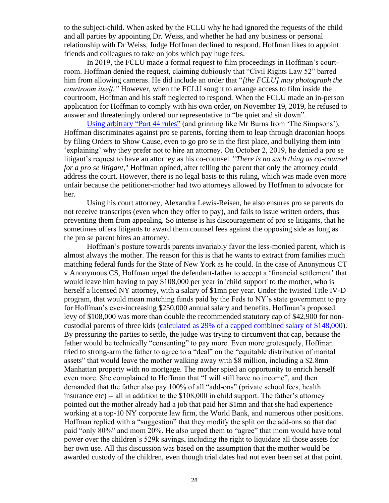to the subject-child. When asked by the FCLU why he had ignored the requests of the child and all parties by appointing Dr. Weiss, and whether he had any business or personal relationship with Dr Weiss, Judge Hoffman declined to respond. Hoffman likes to appoint friends and colleagues to take on jobs which pay huge fees.

In 2019, the FCLU made a formal request to film proceedings in Hoffman's courtroom. Hoffman denied the request, claiming dubiously that "Civil Rights Law 52" barred him from allowing cameras. He did include an order that "*[the FCLU] may photograph the courtroom itself."* However, when the FCLU sought to arrange access to film inside the courtroom, Hoffman and his staff neglected to respond. When the FCLU made an in-person application for Hoffman to comply with his own order, on November 19, 2019, he refused to answer and threateningly ordered our representative to "be quiet and sit down".

[Using arbitrary](http://www.nycourts.gov/courts/1jd/supctmanh/Uniform_Rules.pdf) "Part 44 rules" (and grinning like Mr Burns from 'The Simpsons'), Hoffman discriminates against pro se parents, forcing them to leap through draconian hoops by filing Orders to Show Cause, even to go pro se in the first place, and bullying them into 'explaining' why they prefer not to hire an attorney. On October 2, 2019, he denied a pro se litigant's request to have an attorney as his co-counsel. "*There is no such thing as co-counsel for a pro se litigant*," Hoffman opined, after telling the parent that only the attorney could address the court. However, there is no legal basis to this ruling, which was made even more unfair because the petitioner-mother had two attorneys allowed by Hoffman to advocate for her.

Using his court attorney, Alexandra Lewis-Reisen, he also ensures pro se parents do not receive transcripts (even when they offer to pay), and fails to issue written orders, thus preventing them from appealing. So intense is his discouragement of pro se litigants, that he sometimes offers litigants to award them counsel fees against the opposing side as long as the pro se parent hires an attorney.

Hoffman's posture towards parents invariably favor the less-monied parent, which is almost always the mother. The reason for this is that he wants to extract from families much matching federal funds for the State of New York as he could. In the case of Anonymous CT v Anonymous CS, Hoffman urged the defendant-father to accept a 'financial settlement' that would leave him having to pay \$108,000 per year in 'child support' to the mother, who is herself a licensed NY attorney, with a salary of \$1mn per year. Under the twisted Title IV-D program, that would mean matching funds paid by the Feds to NY's state government to pay for Hoffman's ever-increasing \$250,000 annual salary and benefits. Hoffman's proposed levy of \$108,000 was more than double the recommended statutory cap of \$42,900 for non-custodial parents of three kids [\(calculated as 29% of a capped combined salary of \\$148,000\)](https://www.childsupport.ny.gov/dcse/pdfs/CSSA.pdf). By pressuring the parties to settle, the judge was trying to circumvent that cap, because the father would be technically "consenting" to pay more. Even more grotesquely, Hoffman tried to strong-arm the father to agree to a "deal" on the "equitable distribution of marital assets" that would leave the mother walking away with \$8 million, including a \$2.8mn Manhattan property with no mortgage. The mother spied an opportunity to enrich herself even more. She complained to Hoffman that "I will still have no income", and then demanded that the father also pay 100% of all "add-ons" (private school fees, health insurance etc) -- all in addition to the \$108,000 in child support. The father's attorney pointed out the mother already had a job that paid her \$1mn and that she had experience working at a top-10 NY corporate law firm, the World Bank, and numerous other positions. Hoffman replied with a "suggestion" that they modify the split on the add-ons so that dad paid "only 80%" and mom 20%. He also urged them to "agree" that mom would have total power over the children's 529k savings, including the right to liquidate all those assets for her own use. All this discussion was based on the assumption that the mother would be awarded custody of the children, even though trial dates had not even been set at that point.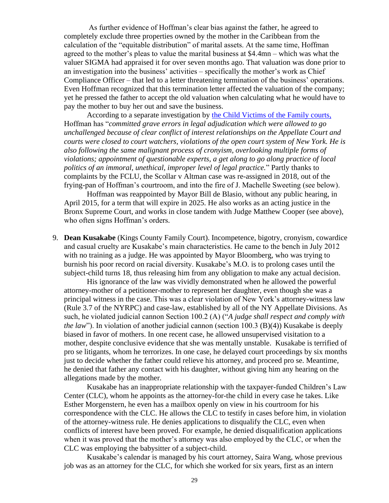As further evidence of Hoffman's clear bias against the father, he agreed to completely exclude three properties owned by the mother in the Caribbean from the calculation of the "equitable distribution" of marital assets. At the same time, Hoffman agreed to the mother's pleas to value the marital business at \$4.4mn – which was what the valuer SIGMA had appraised it for over seven months ago. That valuation was done prior to an investigation into the business' activities – specifically the mother's work as Chief Compliance Officer – that led to a letter threatening termination of the business' operations. Even Hoffman recognized that this termination letter affected the valuation of the company; yet he pressed the father to accept the old valuation when calculating what he would have to pay the mother to buy her out and save the business.

According to a separate investigation by [the Child Victims of the Family courts,](http://fcvfc.org/) Hoffman has "*committed grave errors in legal adjudication which were allowed to go unchallenged because of clear conflict of interest relationships on the Appellate Court and courts were closed to court watchers, violations of the open court system of New York. He is also following the same malignant process of cronyism, overlooking multiple forms of violations; appointment of questionable experts, a get along to go along practice of local politics of an immoral, unethical, improper level of legal practice.*" Partly thanks to complaints by the FCLU, the Scollar v Altman case was re-assigned in 2018, out of the frying-pan of Hoffman's courtroom, and into the fire of J. Machelle Sweeting (see below).

Hoffman was reappointed by Mayor Bill de Blasio, without any public hearing, in April 2015, for a term that will expire in 2025. He also works as an acting justice in the Bronx Supreme Court, and works in close tandem with Judge Matthew Cooper (see above), who often signs Hoffman's orders.

9. **Dean Kusakabe** (Kings County Family Court). Incompetence, bigotry, cronyism, cowardice and casual cruelty are Kusakabe's main characteristics. He came to the bench in July 2012 with no training as a judge. He was [appointed by Mayor Bloomberg,](http://judges.newyorklawjournal.com/profile/Supreme_Court,_New_York_County,_Civil/Matthew_Cooper/Matthew_Cooper-937.xml) who was trying to burnish his poor record on racial diversity. Kusakabe's M.O. is to prolong cases until the subject-child turns 18, thus releasing him from any obligation to make any actual decision.

His ignorance of the law was vividly demonstrated when he allowed the powerful attorney-mother of a petitioner-mother to represent her daughter, even though she was a principal witness in the case. This was a clear violation of New York's attorney-witness law (Rule 3.7 of the NYRPC) and case-law, established by all of the NY Appellate Divisions. As such, he violated judicial cannon Section 100.2 (A) ("*A judge shall respect and comply with the law*"). In violation of another judicial cannon (section 100.3 (B)(4)) Kusakabe is deeply biased in favor of mothers. In one recent case, he allowed unsupervised visitation to a mother, despite conclusive evidence that she was mentally unstable. Kusakabe is terrified of pro se litigants, whom he terrorizes. In one case, he delayed court proceedings by six months just to decide whether the father could relieve his attorney, and proceed pro se. Meantime, he denied that father any contact with his daughter, without giving him any hearing on the allegations made by the mother.

Kusakabe has an inappropriate relationship with the taxpayer-funded Children's Law Center (CLC), whom he appoints as the attorney-for-the child in every case he takes. Like Esther Morgenstern, he even has a mailbox openly on view in his courtroom for his correspondence with the CLC. He allows the CLC to testify in cases before him, in violation of the attorney-witness rule. He denies applications to disqualify the CLC, even when conflicts of interest have been proved. For example, he denied disqualification applications when it was proved that the mother's attorney was also employed by the CLC, or when the CLC was employing the babysitter of a subject-child.

Kusakabe's calendar is managed by his court attorney, Saira Wang, whose previous job was as an attorney for the CLC, for which she worked for six years, first as an intern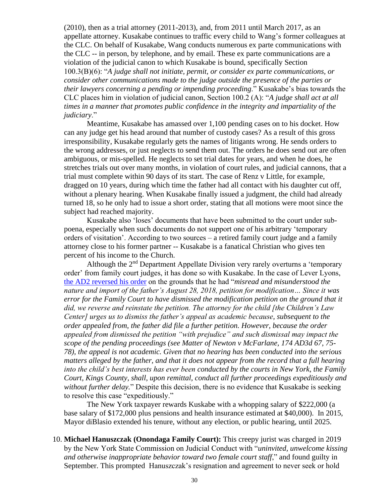(2010), then as a trial attorney (2011-2013), and, from 2011 until March 2017, as an appellate attorney. Kusakabe continues to traffic every child to Wang's former colleagues at the CLC. On behalf of Kusakabe, Wang conducts numerous ex parte communications with the CLC -- in person, by telephone, and by email. These ex parte communications are a violation of the judicial canon to which Kusakabe is bound, specifically Section 100.3(B)(6): "*A judge shall not initiate, permit, or consider ex parte communications, or consider other communications made to the judge outside the presence of the parties or their lawyers concerning a pending or impending proceeding*." Kusakabe's bias towards the CLC places him in violation of judicial canon, Section 100.2 (A): "*A judge shall act at all times in a manner that promotes public confidence in the integrity and impartiality of the judiciary*."

Meantime, Kusakabe has amassed over 1,100 pending cases on to his docket. How can any judge get his head around that number of custody cases? As a result of this gross irresponsibility, Kusakabe regularly gets the names of litigants wrong. He sends orders to the wrong addresses, or just neglects to send them out. The orders he does send out are often ambiguous, or mis-spelled. He neglects to set trial dates for years, and when he does, he stretches trials out over many months, in violation of court rules, and judicial cannons, that a trial must complete within 90 days of its start. The case of Renz v Little, for example, dragged on 10 years, during which time the father had all contact with his daughter cut off, without a plenary hearing. When Kusakabe finally issued a judgment, the child had already turned 18, so he only had to issue a short order, stating that all motions were moot since the subject had reached majority.

Kusakabe also 'loses' documents that have been submitted to the court under subpoena, especially when such documents do not support one of his arbitrary 'temporary orders of visitation'. According to two sources – a retired family court judge and a family attorney close to his former partner -- Kusakabe is a fanatical Christian who gives ten percent of his income to the Church.

Although the 2<sup>nd</sup> Department Appellate Division very rarely overturns a 'temporary order' from family court judges, it has done so with Kusakabe. In the case of Lever Lyons, the AD2 [reversed his order](http://www.nycourts.gov/courts/AD2/Handdowns/2019/Decisions/D61140.pdf) on the grounds that he had "*misread and misunderstood the nature and import of the father's August 28, 2018, petition for modification... Since it was error for the Family Court to have dismissed the modification petition on the ground that it did, we reverse and reinstate the petition. The attorney for the child [the Children's Law Center] urges us to dismiss the father's appeal as academic because, subsequent to the order appealed from, the father did file a further petition. However, because the order appealed from dismissed the petition "with prejudice" and such dismissal may impact the scope of the pending proceedings (see Matter of Newton v McFarlane, 174 AD3d 67, 75- 78), the appeal is not academic. Given that no hearing has been conducted into the serious matters alleged by the father, and that it does not appear from the record that a full hearing into the child's best interests has ever been conducted by the courts in New York, the Family Court, Kings County, shall, upon remittal, conduct all further proceedings expeditiously and without further delay.*" Despite this decision, there is no evidence that Kusakabe is seeking to resolve this case "expeditiously."

The New York taxpayer rewards Kuskabe with a whopping salary of \$222,000 (a base salary of \$172,000 plus pensions and health insurance estimated at \$40,000). In 2015, Mayor diBlasio extended his tenure, without any election, or public hearing, until 2025.

10. **Michael Hanuszczak (Onondaga Family Court):** This creepy jurist was charged in 2019 by the New York State Commission on Judicial Conduct with "*uninvited, unwelcome kissing and otherwise inappropriate behavior toward two female court staff*," and found guilty in September. This prompted Hanuszczak's resignation and agreement to never seek or hold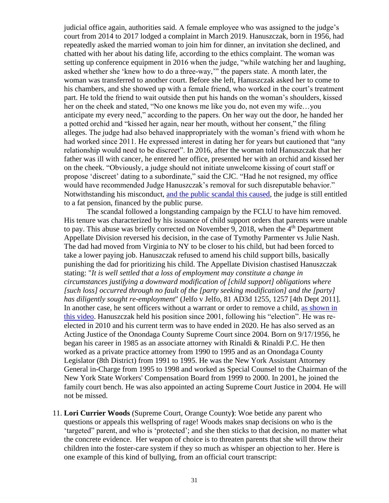judicial office again, authorities said. A female employee who was assigned to the judge's court from 2014 to 2017 lodged a complaint in March 2019. Hanuszczak, born in 1956, had repeatedly asked the married woman to join him for dinner, an invitation she declined, and chatted with her about his dating life, according to the ethics complaint. The woman was setting up conference equipment in 2016 when the judge, "while watching her and laughing, asked whether she 'knew how to do a three-way,'" the papers state. A month later, the woman was transferred to another court. Before she left, Hanuszczak asked her to come to his chambers, and she showed up with a female friend, who worked in the court's treatment part. He told the friend to wait outside then put his hands on the woman's shoulders, kissed her on the cheek and stated, "No one knows me like you do, not even my wife…you anticipate my every need," according to the papers. On her way out the door, he handed her a potted orchid and "kissed her again, near her mouth, without her consent," the filing alleges. The judge had also behaved inappropriately with the woman's friend with whom he had worked since 2011. He expressed interest in dating her for years but cautioned that "any relationship would need to be discreet". In 2016, after the woman told Hanuszczak that her father was ill with cancer, he entered her office, presented her with an orchid and kissed her on the cheek. "Obviously, a judge should not initiate unwelcome kissing of court staff or propose 'discreet' dating to a subordinate," said the CJC. "Had he not resigned, my office would have recommended Judge Hanuszczak's removal for such disreputable behavior." Notwithstanding his misconduct, [and the public scandal this caused,](https://nypost.com/2020/09/21/family-court-judge-resigns-for-asking-female-staffer-about-three-way/) the judge is still entitled to a fat pension, financed by the public purse.

The scandal followed a longstanding campaign by the FCLU to have him removed. His tenure was characterized by his issuance of child support orders that parents were unable to pay. This abuse was briefly corrected on November 9, 2018, when the  $4<sup>th</sup>$  Department Appellate Division reversed his decision, in the case of Tymothy Parmenter vs Julie Nash. The dad had moved from Virginia to NY to be closer to his child, but had been forced to take a lower paying job. Hanuszczak refused to amend his child support bills, basically punishing the dad for prioritizing his child. The Appellate Division chastised Hanuszczak stating: "*It is well settled that a loss of employment may constitute a change in circumstances justifying a downward modification of [child support] obligations where [such loss] occurred through no fault of the [party seeking modification] and the [party] has diligently sought re-employment*" (Jelfo v Jelfo, 81 AD3d 1255, 1257 [4th Dept 2011]. In another case, he sent officers without a warrant or order to remove a child, [as shown in](https://www.youtube.com/watch?v=6NUCVy5Vp1Y)  [this video.](https://www.youtube.com/watch?v=6NUCVy5Vp1Y) Hanuszczak held his position since 2001, following his "election". He was reelected in 2010 and his current term was to have ended in 2020. He has also served as an Acting Justice of the Onondaga County Supreme Court since 2004. Born on 9/17/1956, he began his career in 1985 as an associate attorney with Rinaldi & Rinaldi P.C. He then worked as a private practice attorney from 1990 to 1995 and as an Onondaga County Legislator (8th District) from 1991 to 1995. He was the New York Assistant Attorney General in-Charge from 1995 to 1998 and worked as Special Counsel to the Chairman of the New York State Workers' Compensation Board from 1999 to 2000. In 2001, he joined the family court bench. He was also appointed an acting Supreme Court Justice in 2004. He will not be missed.

11. **Lori Currier Woods** (Supreme Court, Orange County**)**: Woe betide any parent who questions or appeals this wellspring of rage! Woods makes snap decisions on who is the 'targeted" parent, and who is 'protected'; and she then sticks to that decision, no matter what the concrete evidence. Her weapon of choice is to threaten parents that she will throw their children into the foster-care system if they so much as whisper an objection to her. Here is one example of this kind of bullying, from an official court transcript: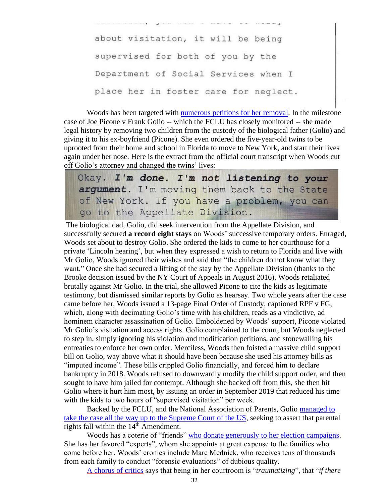about visitation, it will be being supervised for both of you by the Department of Social Services when I place her in foster care for neglect.

Woods has been targeted with [numerous petitions for her removal.](https://www.change.org/p/legaslative-action-to-remove-a-sitting-family-court-judge-orange-county-new-york) In the milestone case of Joe Picone v Frank Golio -- which the FCLU has closely monitored -- she made legal history by removing two children from the custody of the biological father (Golio) and giving it to his ex-boyfriend (Picone). She even ordered the five-year-old twins to be uprooted from their home and school in Florida to move to New York, and start their lives again under her nose. Here is the extract from the official court transcript when Woods cut off Golio's attorney and changed the twins' lives:

Okay. I'm done. I'm not listening to your argument. I'm moving them back to the State of New York. If you have a problem, you can go to the Appellate Division.

The biological dad, Golio, did seek intervention from the Appellate Division, and successfully secured **a record eight stays** on Woods' successive temporary orders. Enraged, Woods set about to destroy Golio. She ordered the kids to come to her courthouse for a private 'Lincoln hearing', but when they expressed a wish to return to Florida and live with Mr Golio, Woods ignored their wishes and said that "the children do not know what they want." Once she had secured a lifting of the stay by the Appellate Division (thanks to the Brooke decision issued by the NY Court of Appeals in August 2016), Woods retaliated brutally against Mr Golio. In the trial, she allowed Picone to cite the kids as legitimate testimony, but dismissed similar reports by Golio as hearsay. Two whole years after the case came before her, Woods issued a 13-page Final Order of Custody, captioned RPF v FG, which, along with decimating Golio's time with his children, reads as a vindictive, ad hominem character assassination of Golio. Emboldened by Woods' support, Picone violated Mr Golio's visitation and access rights. Golio complained to the court, but Woods neglected to step in, simply ignoring his violation and modification petitions, and stonewalling his entreaties to enforce her own order. Merciless, Woods then foisted a massive child support bill on Golio, way above what it should have been because she used his attorney bills as "imputed income". These bills crippled Golio financially, and forced him to declare bankruptcy in 2018. Woods refused to downwardly modify the child support order, and then sought to have him jailed for contempt. Although she backed off from this, she then hit Golio where it hurt him most, by issuing an order in September 2019 that reduced his time with the kids to two hours of "supervised visitation" per week.

Backed by the FCLU, and the National Association of Parents, Golio [managed to](https://www.scotusblog.com/case-files/cases/f-g-v-r-p-f/)  [take the case all the way up to the Supreme Court of the US,](https://www.scotusblog.com/case-files/cases/f-g-v-r-p-f/) seeking to assert that parental rights fall within the  $14<sup>th</sup>$  Amendment.

Woods has a coterie of "friends" who donate generously [to her election campaigns.](https://docs.google.com/spreadsheets/d/1gZHgjFq1vfF2NS3QbzEokHXa3V5UKgsLbwiAVaXMayA/edit?fbclid=IwAR2syveXEVgTUubEwVLyBiGFeXflD79Bpb3uovUI5BfBLinrtO0QtiVE9yQ#gid=995620145) She has her favored "experts", whom she appoints at great expense to the families who come before her. Woods' cronies include Marc Mednick, who receives tens of thousands from each family to conduct "forensic evaluations" of dubious quality.

[A chorus of critics](file:///C:/Users/Sebastian/Documents/SHD%20DOCUMENTS%20May%208%202015/Families%20Civil%20Liberties%20Union/ACTION%20AGAINST%20JUDGES/A%20chorus%20of%20critics) says that being in her courtroom is "*traumatizing*", that "*if there*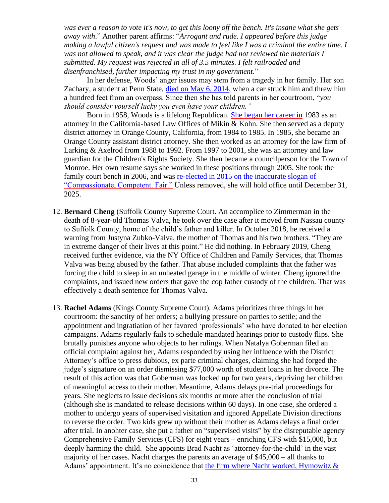*was ever a reason to vote it's now, to get this loony off the bench. It's insane what she gets away with*." Another parent affirms: "*Arrogant and rude. I appeared before this judge making a lawful citizen's request and was made to feel like I was a criminal the entire time. I was not allowed to speak, and it was clear the judge had not reviewed the materials I submitted. My request was rejected in all of 3.5 minutes. I felt railroaded and disenfranchised, further impacting my trust in my government*."

In her defense, Woods' anger issues may stem from a tragedy in her family. Her son Zachary, a student at Penn State, [died on May 6, 2014,](https://ssqfuneralhome.com/tribute/details/320/Zachary-Woods/obituary.html) when a car struck him and threw him a hundred feet from an overpass. Since then she has told parents in her courtroom, "*you should consider yourself lucky you even have your children."*

Born in 1958, Woods is a lifelong Republican. She [began her career in](https://ballotpedia.org/Lori_Currier_Woods) 1983 as an attorney in the California-based Law Offices of Mikin & Kohn. She then served as a deputy district attorney in Orange County, California, from 1984 to 1985. In 1985, she became an Orange County assistant district attorney. She then worked as an attorney for the law firm of Larking & Axelrod from 1988 to 1992. From 1997 to 2001, she was an attorney and law guardian for the Children's Rights Society. She then became a councilperson for the Town of Monroe. Her own resume says she worked in these positions through 2005. She took the family court bench in 2006, and was [re-elected in 2015 on the inaccurate](https://www.recordonline.com/article/20151019/news/151019296) slogan of ["Compassionate, Competent. Fair."](https://www.recordonline.com/article/20151019/news/151019296) Unless removed, she will hold office until December 31, 2025.

- 12. **Bernard Cheng** (Suffolk County Supreme Court. An accomplice to Zimmerman in the death of 8-year-old Thomas Valva, he took over the case after it moved from Nassau county to Suffolk County, home of the child's father and killer. In October 2018, he received a warning from Justyna Zubko-Valva, the mother of Thomas and his two brothers. "They are in extreme danger of their lives at this point." He did nothing. In February 2019, Cheng received further evidence, via the NY Office of Children and Family Services, that Thomas Valva was being abused by the father. That abuse included complaints that the father was forcing the child to sleep in an unheated garage in the middle of winter. Cheng ignored the complaints, and issued new orders that gave the cop father custody of the children. That was effectively a death sentence for Thomas Valva.
- 13. **Rachel Adams** (Kings County Supreme Court). Adams prioritizes three things in her courtroom: the sanctity of her orders; a bullying pressure on parties to settle; and the appointment and ingratiation of her favored 'professionals' who have donated to her election campaigns. Adams regularly fails to schedule mandated hearings prior to custody flips. She brutally punishes anyone who objects to her rulings. When Natalya Goberman filed an official complaint against her, Adams responded by using her influence with the District Attorney's office to press dubious, ex parte criminal charges, claiming she had forged the judge's signature on an order dismissing \$77,000 worth of student loans in her divorce. The result of this action was that Goberman was locked up for two years, depriving her children of meaningful access to their mother. Meantime, Adams delays pre-trial proceedings for years. She neglects to issue decisions six months or more after the conclusion of trial (although she is mandated to release decisions within 60 days). In one case, she ordered a mother to undergo years of supervised visitation and ignored Appellate Division directions to reverse the order. Two kids grew up without their mother as Adams delays a final order after trial. In anohter case, she put a father on "supervised visits" by the disreputable agency Comprehensive Family Services (CFS) for eight years – enriching CFS with \$15,000, but deeply harming the child. She appoints Brad Nacht as 'attorney-for-the-child' in the vast majority of her cases. Nacht charges the parents an average of \$45,000 – all thanks to Adams' appointment. It's no coincidence that [the firm where Nacht worked, Hymowitz &](http://tinyurl.com/huowlkr)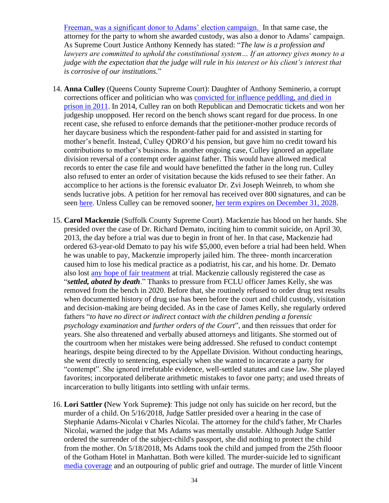[Freeman, was a significant donor to Adams' election campaign.](http://tinyurl.com/huowlkr) In that same case, the attorney for the party to whom she awarded custody, was also a donor to Adams' campaign. As Supreme Court Justice Anthony Kennedy has stated: "*The law is a profession and lawyers are committed to uphold the constitutional system… If an attorney gives money to a judge with the expectation that the judge will rule in his interest or his client's interest that is corrosive of our institutions.*"

- 14. **Anna Culley** (Queens County Supreme Court): Daughter of Anthony Seminerio, a corrupt corrections officer and politician who was [convicted for influence peddling, and died in](http://cityroom.blogs.nytimes.com/2011/01/06/former-assemblyman-seminerio-dies-in-prison/?_r=0)  [prison in 2011.](http://cityroom.blogs.nytimes.com/2011/01/06/former-assemblyman-seminerio-dies-in-prison/?_r=0) In 2014, Culley ran on both Republican and Democratic tickets and won her judgeship unopposed. Her record on the bench shows scant regard for due process. In one recent case, she refused to enforce demands that the petitioner-mother produce records of her daycare business which the respondent-father paid for and assisted in starting for mother's benefit. Instead, Culley QDRO'd his pension, but gave him no credit toward his contributions to mother's business. In another ongoing case, Culley ignored an appellate division reversal of a contempt order against father. This would have allowed medical records to enter the case file and would have benefitted the father in the long run. Culley also refused to enter an order of visitation because the kids refused to see their father. An accomplice to her actions is the forensic evaluator Dr. Zvi Joseph Weinreb, to whom she sends lucrative jobs. A petition for her removal has received over 800 signatures, and can be seen [here.](https://www.change.org/p/andrew-m-cuomo-petition-to-impeach-and-remove-judge-anna-culley-for-violations-of-federal-and-state-laws-3d6daed6-7131-4b23-892e-09787c0f3586/psf/promote_or_share?recruiter=1523503) Unless Culley can be removed sooner, her term [expires on December 31, 2028.](http://www.elections.ny.gov/NYSBOE/Elections/2014/General/2014GeneralElectionCertification.pdf)
- 15. **Carol Mackenzie** (Suffolk County Supreme Court). Mackenzie has blood on her hands. She presided over the case of Dr. Richard Demato, inciting him to commit suicide, on April 30, 2013, the day before a trial was due to begin in front of her. In that case, Mackenzie had ordered 63-year-old Demato to pay his wife \$5,000, even before a trial had been held. When he was unable to pay, Mackenzie improperly jailed him. The three- month incarceration caused him to lose his medical practice as a podiatrist, his car, and his home. Dr. Demato also lost [any hope of fair treatment](http://www.complaintsboard.com/complaints/judge-carol-mackenzie-suicide-of-dr-richard-a-amato-c727200.html) at trial. Mackenzie callously registered the case as "*settled, abated by death*." Thanks to pressure from FCLU officer James Kelly, she was removed from the bench in 2020. Before that, she routinely refused to order drug test results when documented history of drug use has been before the court and child custody, visitation and decision-making are being decided. As in the case of James Kelly, she regularly ordered fathers "*to have no direct or indirect contact with the children pending a forensic psychology examination and further orders of the Court*", and then reissues that order for years. She also threatened and verbally abused attorneys and litigants. She stormed out of the courtroom when her mistakes were being addressed. She refused to conduct contempt hearings, despite being directed to by the Appellate Division. Without conducting hearings, she went directly to sentencing, especially when she wanted to incarcerate a party for "contempt". She ignored irrefutable evidence, well-settled statutes and case law. She played favorites; incorporated deliberate arithmetic mistakes to favor one party; and used threats of incarceration to bully litigants into settling with unfair terms.
- 16. **Lori Sattler (**New York Supreme**)**: This judge not only has suicide on her record, but the murder of a child. On 5/16/2018, Judge Sattler presided over a hearing in the case of Stephanie Adams-Nicolai v Charles Nicolai. The attorney for the child's father, Mr Charles Nicolai, warned the judge that Ms Adams was mentally unstable. Although Judge Sattler ordered the surrender of the subject-child's passport, she did nothing to protect the child from the mother. On 5/18/2018, Ms Adams took the child and jumped from the 25th flooor of the Gotham Hotel in Manhattan. Both were killed. The murder-suicide led to significant [media coverage](https://nypost.com/2018/05/18/playboy-playmatetook-) and an outpouring of public grief and outrage. The murder of little Vincent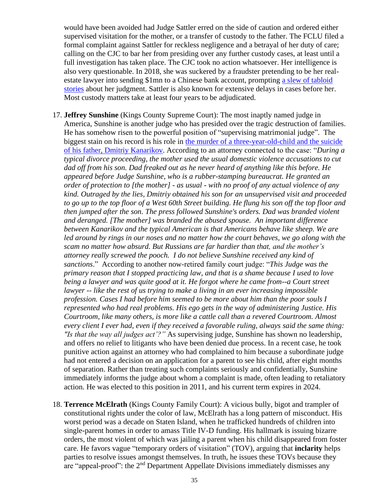would have been avoided had Judge Sattler erred on the side of caution and ordered either supervised visitation for the mother, or a transfer of custody to the father. The FCLU filed a formal complaint against Sattler for reckless negligence and a betrayal of her duty of care; calling on the CJC to bar her from presiding over any further custody cases, at least until a full investigation has taken place. The CJC took no action whatsoever. Her intelligence is also very questionable. In 2018, she was suckered by a fraudster pretending to be her realestate lawyer into sending \$1mn to a Chinese bank account, prompting [a slew of tabloid](https://www-nydailynews-com.cdn.ampproject.org/v/s/www.nydailynews.com/new-york/state-supreme-court-judge-loses-1m-real-estate-email-scam-article-1.3263091?outputType=amp&usqp=mq331AQCCAE%3D&fbclid=IwAR2uXV20qLwerX6Xnv_qdDaONd2nbBaA09y4bXUkFfi2ibxp4_Hn_SsA)  [stories](https://www-nydailynews-com.cdn.ampproject.org/v/s/www.nydailynews.com/new-york/state-supreme-court-judge-loses-1m-real-estate-email-scam-article-1.3263091?outputType=amp&usqp=mq331AQCCAE%3D&fbclid=IwAR2uXV20qLwerX6Xnv_qdDaONd2nbBaA09y4bXUkFfi2ibxp4_Hn_SsA) about her judgment. Sattler is also known for extensive delays in cases before her. Most custody matters take at least four years to be adjudicated.

- 17. **Jeffrey Sunshine** (Kings County Supreme Court): The most inaptly named judge in America, Sunshine is another judge who has presided over the tragic destruction of families. He has somehow risen to the powerful position of "supervising matrimonial judge". The biggest stain on his record is his role in [the murder of a three-year-old-child and the suicide](http://www.thedailybeast.com/articles/2013/12/23/dmitriy-kanarikov-kills-himself-son-in-fall-from-new-york-city-tower.html)  [of his father, Dmitriy](http://www.thedailybeast.com/articles/2013/12/23/dmitriy-kanarikov-kills-himself-son-in-fall-from-new-york-city-tower.html) Kanarikov. According to an attorney connected to the case: "*During a typical divorce proceeding, the mother used the usual domestic violence accusations to cut dad off from his son. Dad freaked out as he never heard of anything like this before. He appeared before Judge Sunshine, who is a rubber-stamping bureaucrat. He granted an order of protection to [the mother] - as usual - with no proof of any actual violence of any kind. Outraged by the lies, Dmitriy obtained his son for an unsupervised visit and proceeded to go up to the top floor of a West 60th Street building. He flung his son off the top floor and then jumped after the son. The press followed Sunshine's orders. Dad was branded violent and deranged. [The mother] was branded the abused spouse. An important difference between Kanarikov and the typical American is that Americans behave like sheep. We are led around by rings in our noses and no matter how the court behaves, we go along with the scam no matter how absurd. But Russians are far hardier than that, and the mother's attorney really screwed the pooch. I do not believe Sunshine received any kind of sanctions*." According to another now-retired family court judge: "*This Judge was the primary reason that I stopped practicing law, and that is a shame because I used to love being a lawyer and was quite good at it. He forgot where he came from--a Court street lawyer -- like the rest of us trying to make a living in an ever increasing impossible profession. Cases I had before him seemed to be more about him than the poor souls I represented who had real problems. His ego gets in the way of administering Justice. His Courtroom, like many others, is more like a cattle call than a revered Courtroom. Almost every client I ever had, even if they received a favorable ruling, always said the same thing: "Is that the way all judges act'?"* As supervising judge, Sunshine has shown no leadership, and offers no relief to litigants who have been denied due process. In a recent case, he took punitive action against an attorney who had complained to him because a subordinate judge had not entered a decision on an application for a parent to see his child, after eight months of separation. Rather than treating such complaints seriously and confidentially, Sunshine immediately informs the judge about whom a complaint is made, often leading to retaliatory action. He was elected to this position in 2011, and his current term expires in 2024.
- 18. **Terrence McElrath** (Kings County Family Court): A vicious bully, bigot and trampler of constitutional rights under the color of law, McElrath has a long pattern of misconduct. His worst period was a decade on Staten Island, when he trafficked hundreds of children into single-parent homes in order to amass Title IV-D funding. His hallmark is issuing bizarre orders, the most violent of which was jailing a parent when his child disappeared from foster care. He favors vague "temporary orders of visitation" (TOV), arguing that **inclarity** helps parties to resolve issues amongst themselves. In truth, he issues these TOVs because they are "appeal-proof": the  $2<sup>nd</sup>$  Department Appellate Divisions immediately dismisses any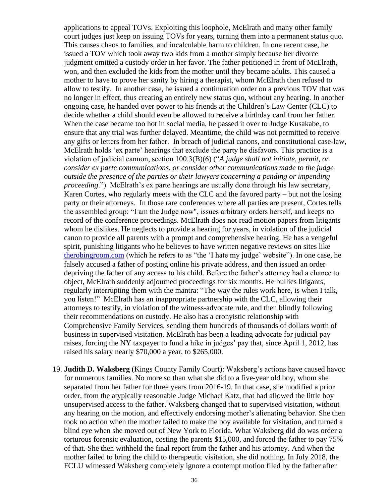applications to appeal TOVs. Exploiting this loophole, McElrath and many other family court judges just keep on issuing TOVs for years, turning them into a permanent status quo. This causes chaos to families, and incalculable harm to children. In one recent case, he issued a TOV which took away two kids from a mother simply because her divorce judgment omitted a custody order in her favor. The father petitioned in front of McElrath, won, and then excluded the kids from the mother until they became adults. This caused a mother to have to prove her sanity by hiring a therapist, whom McElrath then refused to allow to testify. In another case, he issued a continuation order on a previous TOV that was no longer in effect, thus creating an entirely new status quo, without any hearing. In another ongoing case, he handed over power to his friends at the Children's Law Center (CLC) to decide whether a child should even be allowed to receive a birthday card from her father. When the case became too hot in social media, he passed it over to Judge Kusakabe, to ensure that any trial was further delayed. Meantime, the child was not permitted to receive any gifts or letters from her father. In breach of judicial canons, and constitutional case-law, McElrath holds 'ex parte' hearings that exclude the party he disfavors. This practice is a violation of judicial cannon, section 100.3(B)(6) ("*A judge shall not initiate, permit, or consider ex parte communications, or consider other communications made to the judge outside the presence of the parties or their lawyers concerning a pending or impending proceeding.*") McElrath's ex parte hearings are usually done through his law secretary, Karen Cortes, who regularly meets with the CLC and the favored party – but not the losing party or their attorneys. In those rare conferences where all parties are present, Cortes tells the assembled group: "I am the Judge now", issues arbitrary orders herself, and keeps no record of the conference proceedings. McElrath does not read motion papers from litigants whom he dislikes. He neglects to provide a hearing for years, in violation of the judicial canon to provide all parents with a prompt and comprehensive hearing. He has a vengeful spirit, punishing litigants who he believes to have written negative reviews on sites like [therobingroom.com](http://www.therobingroom.com/) (which he refers to as "the 'I hate my judge' website"). In one case, he falsely accused a father of posting online his private address, and then issued an order depriving the father of any access to his child. Before the father's attorney had a chance to object, McElrath suddenly adjourned proceedings for six months. He bullies litigants, regularly interrupting them with the mantra: "The way the rules work here, is when I talk, you listen!" McElrath has an inappropriate partnership with the CLC, allowing their attorneys to testify, in violation of the witness-advocate rule, and then blindly following their recommendations on custody. He also has a cronyistic relationship with Comprehensive Family Services, sending them hundreds of thousands of dollars worth of business in supervised visitation. McElrath has been a leading advocate for judicial pay raises, forcing the NY taxpayer to fund a hike in judges' pay that, since April 1, 2012, has raised his salary nearly \$70,000 a year, to \$265,000.

19. **Judith D. Waksberg** (Kings County Family Court): Waksberg's actions have caused havoc for numerous families. No more so than what she did to a five-year old boy, whom she separated from her father for three years from 2016-19. In that case, she modified a prior order, from the atypically reasonable Judge Michael Katz, that had allowed the little boy unsupervised access to the father. Waksberg changed that to supervised visitation, without any hearing on the motion, and effectively endorsing mother's alienating behavior. She then took no action when the mother failed to make the boy available for visitation, and turned a blind eye when she moved out of New York to Florida. What Waksberg did do was order a torturous forensic evaluation, costing the parents \$15,000, and forced the father to pay 75% of that. She then withheld the final report from the father and his attorney. And when the mother failed to bring the child to therapeutic visitation, she did nothing. In July 2018, the FCLU witnessed Waksberg completely ignore a contempt motion filed by the father after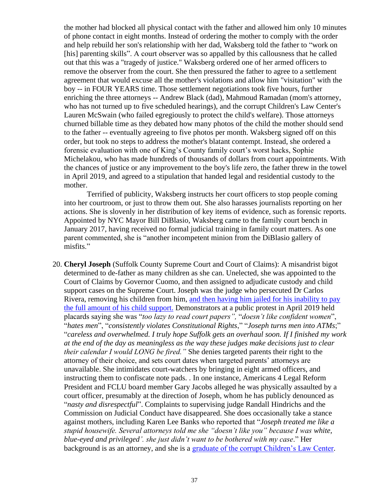the mother had blocked all physical contact with the father and allowed him only 10 minutes of phone contact in eight months. Instead of ordering the mother to comply with the order and help rebuild her son's relationship with her dad, Waksberg told the father to "work on [his] parenting skills". A court observer was so appalled by this callousness that he called out that this was a "tragedy of justice." Waksberg ordered one of her armed officers to remove the observer from the court. She then pressured the father to agree to a settlement agreement that would excuse all the mother's violations and allow him "visitation" with the boy -- in FOUR YEARS time. Those settlement negotiations took five hours, further enriching the three attorneys -- Andrew Black (dad), Mahmoud Ramadan (mom's attorney, who has not turned up to five scheduled hearings), and the corrupt Children's Law Center's Lauren McSwain (who failed egregiously to protect the child's welfare). Those attorneys churned billable time as they debated how many photos of the child the mother should send to the father -- eventually agreeing to five photos per month. Waksberg signed off on this order, but took no steps to address the mother's blatant contempt. Instead, she ordered a forensic evaluation with one of King's County family court's worst hacks, Sophie Michelakou, who has made hundreds of thousands of dollars from court appointments. With the chances of justice or any improvement to the boy's life zero, the father threw in the towel in April 2019, and agreed to a stipulation that handed legal and residential custody to the mother.

Terrified of publicity, Waksberg instructs her court officers to stop people coming into her courtroom, or just to throw them out. She also harasses journalists reporting on her actions. She is slovenly in her distribution of key items of evidence, such as forensic reports. Appointed by NYC Mayor Bill DiBlasio, Waksberg came to the family court bench in January 2017, having received no formal judicial training in family court matters. As one parent commented, she is "another incompetent minion from the DiBlasio gallery of misfits."

20. **Cheryl Joseph** (Suffolk County Supreme Court and Court of Claims): A misandrist bigot determined to de-father as many children as she can. Unelected, she was appointed to the Court of Claims by Governor Cuomo, and then assigned to adjudicate custody and child support cases on the Supreme Court. Joseph was the judge who persecuted Dr Carlos Rivera, removing his children from him, [and then having him jailed for his inability to pay](https://www.youtube.com/watch?v=SyimR4qJyzI)  [the full amount of his child support.](https://www.youtube.com/watch?v=SyimR4qJyzI) Demonstrators at a public protest in April 2019 held placards saying she was "*too lazy to read court papers",* "*doesn't like confident women*", "*hates men*", "*consistently violates Constitutional Rights*," "*Joseph turns men into ATMs*;" "*careless and overwhelmed. I truly hope Suffolk gets an overhaul soon. If I finished my work at the end of the day as meaningless as the way these judges make decisions just to clear their calendar I would LONG be fired."* She denies targeted parents their right to the attorney of their choice, and sets court dates when targeted parents' attorneys are unavailable. She intimidates court-watchers by bringing in eight armed officers, and instructing them to confiscate note pads. . In one instance, Americans 4 Legal Reform President and FCLU board member Gary Jacobs alleged he was physically assaulted by a court officer, presumably at the direction of Joseph, whom he has publicly denounced as "*nasty and disrespectful*". Complaints to supervising judge Randall Hindrichs and the Commission on Judicial Conduct have disappeared. She does occasionally take a stance against mothers, including Karen Lee Banks who reported that "*Joseph treated me like a stupid housewife. Several attorneys told me she "doesn't like you" because I was white, blue-eyed and privileged'. she just didn't want to be bothered with my case*." Her background is as an attorney, and she is a [graduate of the corrupt Children's Law Center.](https://www.linkedin.com/in/cheryl-joseph-1838582b/)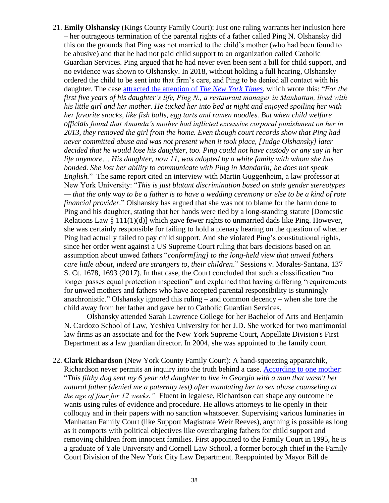21. **Emily Olshansky** (Kings County Family Court): Just one ruling warrants her inclusion here – her outrageous termination of the parental rights of a father called Ping N. Olshansky did this on the grounds that Ping was not married to the child's mother (who had been found to be abusive) and that he had not paid child support to an organization called Catholic Guardian Services. Ping argued that he had never even been sent a bill for child support, and no evidence was shown to Olshansky. In 2018, without holding a full hearing, Olshansky ordered the child to be sent into that firm's care, and Ping to be denied all contact with his daughter. The case [attracted the attention of](https://www.nytimes.com/2019/09/25/nyregion/child-abuse-laws-ny-state.html) *The New York Times*, which wrote this: "*For the first five years of his daughter's life, Ping N., a restaurant manager in Manhattan, lived with his little girl and her mother. He tucked her into bed at night and enjoyed spoiling her with her favorite snacks, like fish balls, egg tarts and ramen noodles. But when child welfare officials found that Amanda's mother had inflicted excessive corporal punishment on her in 2013, they removed the girl from the home. Even though court records show that Ping had never committed abuse and was not present when it took place, [Judge Olshansky] later decided that he would lose his daughter, too. Ping could not have custody or any say in her life anymore*… *His daughter, now 11, was adopted by a white family with whom she has bonded. She lost her ability to communicate with Ping in Mandarin; he does not speak English.*" The same report cited an interview with Martin Guggenheim, a law professor at New York University: "*This is just blatant discrimination based on stale gender stereotypes — that the only way to be a father is to have a wedding ceremony or else to be a kind of rote financial provider.*" Olshansky has argued that she was not to blame for the harm done to Ping and his daughter, stating that her hands were tied by a long-standing statute [Domestic Relations Law § 111(1)(d)] which gave fewer rights to unmarried dads like Ping. However, she was certainly responsible for failing to hold a plenary hearing on the question of whether Ping had actually failed to pay child support. And she violated Ping's constitutional rights, since her order went against a US Supreme Court ruling that bars decisions based on an assumption about unwed fathers "*conform[ing] to the long-held view that unwed fathers care little about, indeed are strangers to, their children*." Sessions v. Morales-Santana, 137 S. Ct. 1678, 1693 (2017). In that case, the Court concluded that such a classification "no longer passes equal protection inspection" and explained that having differing "requirements" for unwed mothers and fathers who have accepted parental responsibility is stunningly anachronistic." Olshansky ignored this ruling – and common decency – when she tore the child away from her father and gave her to Catholic Guardian Services.

Olshansky attended Sarah Lawrence College for her Bachelor of Arts and Benjamin N. Cardozo School of Law, Yeshiva University for her J.D. She worked for two matrimonial law firms as an associate and for the New York Supreme Court, Appellate Division's First Department as a law guardian director. In 2004, she was appointed to the family court.

22. **Clark Richardson** (New York County Family Court): A hand-squeezing apparatchik, Richardson never permits an inquiry into the truth behind a case. [According to one mother:](http://www.therobingroom.com/newyork/Judge.aspx?id=906) "*This filthy dog sent my 6 year old daughter to live in Georgia with a man that wasn't her natural father (denied me a paternity test) after mandating her to sex abuse counseling at the age of four for 12 weeks."* Fluent in legalese, Richardson can shape any outcome he wants using rules of evidence and procedure. He allows attorneys to lie openly in their colloquy and in their papers with no sanction whatsoever. Supervising various luminaries in Manhattan Family Court (like Support Magistrate Weir Reeves), anything is possible as long as it comports with political objectives like overcharging fathers for child support and removing children from innocent families. First appointed to the Family Court in 1995, he is a graduate of Yale University and Cornell Law School, a former borough chief in the Family Court Division of the New York City Law Department. Reappointed by Mayor Bill de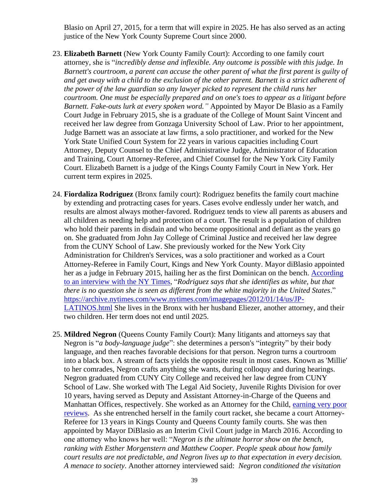Blasio on April 27, 2015, for a term that will expire in 2025. He has also served as an acting justice of the New York County Supreme Court since 2000.

- 23. **Elizabeth Barnett** (New York County Family Court): According to one family court attorney, she is "*incredibly dense and inflexible. Any outcome is possible with this judge. In Barnett's courtroom, a parent can accuse the other parent of what the first parent is guilty of and get away with a child to the exclusion of the other parent. Barnett is a strict adherent of the power of the law guardian so any lawyer picked to represent the child runs her courtroom. One must be especially prepared and on one's toes to appear as a litigant before Barnett. Fake-outs lurk at every spoken word."* Appointed by Mayor De Blasio as a Family Court Judge in February 2015, she is a graduate of the College of Mount Saint Vincent and received her law degree from Gonzaga University School of Law. Prior to her appointment, Judge Barnett was an associate at law firms, a solo practitioner, and worked for the New York State Unified Court System for 22 years in various capacities including Court Attorney, Deputy Counsel to the Chief Administrative Judge, Administrator of Education and Training, Court Attorney-Referee, and Chief Counsel for the New York City Family Court. Elizabeth Barnett is a judge of the Kings County Family Court in New York. Her current term expires in 2025.
- 24. **Fiordaliza Rodriguez** (Bronx family court): Rodriguez benefits the family court machine by extending and protracting cases for years. Cases evolve endlessly under her watch, and results are almost always mother-favored. Rodriguez tends to view all parents as abusers and all children as needing help and protection of a court. The result is a population of children who hold their parents in disdain and who become oppositional and defiant as the years go on. She graduated from John Jay College of Criminal Justice and received her law degree from the CUNY School of Law. She previously worked for the New York City Administration for Children's Services, was a solo practitioner and worked as a Court Attorney-Referee in Family Court, Kings and New York County. Mayor diBlasio appointed her as a judge in February 2015, hailing her as the first Dominican on the bench. [According](https://archive.nytimes.com/www.nytimes.com/imagepages/2012/01/14/us/JP-LATINOS.html)  [to an interview with the NY Times,](https://archive.nytimes.com/www.nytimes.com/imagepages/2012/01/14/us/JP-LATINOS.html) "*Rodriguez says that she identifies as white, but that there is no question she is seen as different from the white majority in the United States*." [https://archive.nytimes.com/www.nytimes.com/imagepages/2012/01/14/us/JP-](https://archive.nytimes.com/www.nytimes.com/imagepages/2012/01/14/us/JP-LATINOS.html)[LATINOS.html](https://archive.nytimes.com/www.nytimes.com/imagepages/2012/01/14/us/JP-LATINOS.html) She lives in the Bronx with her husband Eliezer, another attorney, and their two children. Her term does not end until 2025.
- 25. **Mildred Negron** (Queens County Family Court): Many litigants and attorneys say that Negron is "*a body-language judge*": she determines a person's "integrity" by their body language, and then reaches favorable decisions for that person. Negron turns a courtroom into a black box. A stream of facts yields the opposite result in most cases. Known as 'Millie' to her comrades, Negron crafts anything she wants, during colloquy and during hearings. Negron graduated from CUNY City College and received her law degree from CUNY School of Law. She worked with The Legal Aid Society, Juvenile Rights Division for over 10 years, having served as Deputy and Assistant Attorney-in-Charge of the Queens and Manhattan Offices, respectively. She worked as an Attorney for the Child, [earning very poor](https://www.avvo.com/attorneys/11432-ny-mildred-negron-912346.html)  [reviews.](https://www.avvo.com/attorneys/11432-ny-mildred-negron-912346.html) As she entrenched herself in the family court racket, she became a court Attorney-Referee for 13 years in Kings County and Queens County family courts. She was then appointed by Mayor DiBlasio as an Interim Civil Court judge in March 2016. According to one attorney who knows her well: "*Negron is the ultimate horror show on the bench, ranking with Esther Morgenstern and Matthew Cooper. People speak about how family court results are not predictable, and Negron lives up to that expectation in every decision. A menace to society*. Another attorney interviewed said: *Negron conditioned the visitation*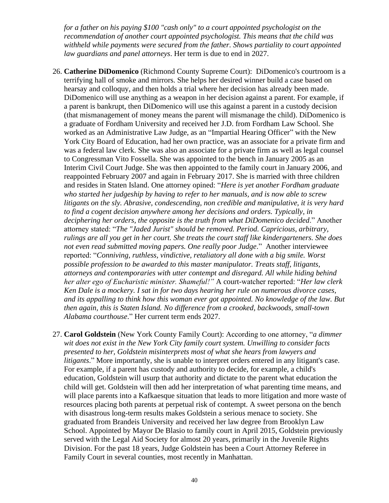*for a father on his paying \$100 "cash only" to a court appointed psychologist on the recommendation of another court appointed psychologist. This means that the child was withheld while payments were secured from the father. Shows partiality to court appointed law guardians and panel attorneys*. Her term is due to end in 2027.

- 26. **Catherine DiDomenico** (Richmond County Supreme Court): DiDomenico's courtroom is a terrifying hall of smoke and mirrors. She helps her desired winner build a case based on hearsay and colloquy, and then holds a trial where her decision has already been made. DiDomenico will use anything as a weapon in her decision against a parent. For example, if a parent is bankrupt, then DiDomenico will use this against a parent in a custody decision (that mismanagement of money means the parent will mismanage the child). DiDomenico is a graduate of Fordham University and received her J.D. from Fordham Law School. She worked as an Administrative Law Judge, as an "Impartial Hearing Officer" with the New York City Board of Education, had her own practice, was an associate for a private firm and was a federal law clerk. She was also an associate for a private firm as well as legal counsel to Congressman Vito Fossella. She was appointed to the bench in January 2005 as an Interim Civil Court Judge. She was then appointed to the family court in January 2006, and reappointed February 2007 and again in February 2017. She is married with three children and resides in Staten Island. One attorney opined: "*Here is yet another Fordham graduate who started her judgeship by having to refer to her manuals, and is now able to screw litigants on the sly. Abrasive, condescending, non credible and manipulative, it is very hard to find a cogent decision anywhere among her decisions and orders. Typically, in deciphering her orders, the opposite is the truth from what DiDomenico decided*." Another attorney stated: "*The "Jaded Jurist" should be removed. Period. Capricious, arbitrary, rulings are all you get in her court. She treats the court staff like kindergarteners. She does not even read submitted moving papers. One really poor Judge*." Another interviewee reported: "*Conniving, ruthless, vindictive, retaliatory all done with a big smile. Worst possible profession to be awarded to this master manipulator. Treats staff, litigants, attorneys and contemporaries with utter contempt and disregard. All while hiding behind her alter ego of Eucharistic minister. Shameful!"* A court-watcher reported: "*Her law clerk Ken Dale is a mockery. I sat in for two days hearing her rule on numerous divorce cases, and its appalling to think how this woman ever got appointed. No knowledge of the law. But then again, this is Staten Island. No difference from a crooked, backwoods, small-town Alabama courthouse*." Her current term ends 2027.
- 27. **Carol Goldstein** (New York County Family Court): According to one attorney, "*a dimmer wit does not exist in the New York City family court system. Unwilling to consider facts presented to her, Goldstein misinterprets most of what she hears from lawyers and litigants*." More importantly, she is unable to interpret orders entered in any litigant's case. For example, if a parent has custody and authority to decide, for example, a child's education, Goldstein will usurp that authority and dictate to the parent what education the child will get. Goldstein will then add her interpretation of what parenting time means, and will place parents into a Kafkaesque situation that leads to more litigation and more waste of resources placing both parents at perpetual risk of contempt. A sweet persona on the bench with disastrous long-term results makes Goldstein a serious menace to society. She graduated from Brandeis University and received her law degree from Brooklyn Law School. Appointed by Mayor De Blasio to family court in April 2015, Goldstein previously served with the Legal Aid Society for almost 20 years, primarily in the Juvenile Rights Division. For the past 18 years, Judge Goldstein has been a Court Attorney Referee in Family Court in several counties, most recently in Manhattan.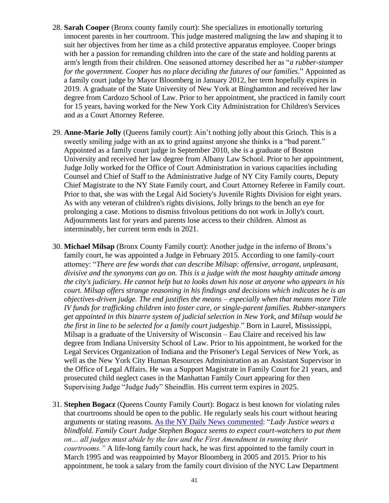- 28. **Sarah Cooper** (Bronx county family court): She specializes in emotionally torturing innocent parents in her courtroom. This judge mastered maligning the law and shaping it to suit her objectives from her time as a child protective apparatus employee. Cooper brings with her a passion for remanding children into the care of the state and holding parents at arm's length from their children. One seasoned attorney described her as "*a rubber-stamper for the government. Cooper has no place deciding the futures of our families*." Appointed as a family court judge by Mayor Bloomberg in January 2012, her term hopefully expires in 2019. A graduate of the State University of New York at Binghamton and received her law degree from Cardozo School of Law. Prior to her appointment, she practiced in family court for 15 years, having worked for the New York City Administration for Children's Services and as a Court Attorney Referee.
- 29. **Anne-Marie Jolly** (Queens family court): Ain't nothing jolly about this Grinch. This is a sweetly smiling judge with an ax to grind against anyone she thinks is a "bad parent." Appointed as a family court judge in September 2010, she is a graduate of Boston University and received her law degree from Albany Law School. Prior to her appointment, Judge Jolly worked for the Office of Court Administration in various capacities including Counsel and Chief of Staff to the Administrative Judge of NY City Family courts, Deputy Chief Magistrate to the NY State Family court, and Court Attorney Referee in Family court. Prior to that, she was with the Legal Aid Society's Juvenile Rights Division for eight years. As with any veteran of children's rights divisions, Jolly brings to the bench an eye for prolonging a case. Motions to dismiss frivolous petitions do not work in Jolly's court. Adjournments last for years and parents lose access to their children. Almost as interminably, her current term ends in 2021.
- 30. **Michael Milsap** (Bronx County Family court): Another judge in the inferno of Bronx's family court, he was appointed a Judge in February 2015. According to one family-court attorney: "*There are few words that can describe Milsap: offensive, arrogant, unpleasant, divisive and the synonyms can go on. This is a judge with the most haughty attitude among the city's judiciary. He cannot help but to looks down his nose at anyone who appears in his court. Milsap offers strange reasoning in his findings and decisions which indicates he is an objectives-driven judge. The end justifies the means – especially when that means more Title IV funds for trafficking children into foster care, or single-parent families. Rubber-stampers get appointed in this bizarre system of judicial selection in New York, and Milsap would be the first in line to be selected for a family court judgeship*." Born in Laurel, Mississippi, Milsap is a graduate of the University of Wisconsin – Eau Claire and received his law degree from Indiana University School of Law. Prior to his appointment, he worked for the Legal Services Organization of Indiana and the Prisoner's Legal Services of New York, as well as the New York City Human Resources Administration as an Assistant Supervisor in the Office of Legal Affairs. He was a Support Magistrate in Family Court for 21 years, and prosecuted child neglect cases in the Manhattan Family Court appearing for then Supervising Judge "Judge Judy" Sheindlin. His current term expires in 2025.
- 31. **Stephen Bogacz** (Queens County Family Court): Bogacz is best known for violating rules that courtrooms should be open to the public. He regularly seals his court without hearing arguments or stating reasons. [As the NY Daily News commented:](https://www.nydailynews.com/opinion/law-law-article-1.1724817) "*Lady Justice wears a blindfold. Family Court Judge Stephen Bogacz seems to expect court-watchers to put them on… all judges must abide by the law and the First Amendment in running their courtrooms."* A life-long family court hack, he was first appointed to the family court in March 1995 and was reappointed by Mayor Bloomberg in 2005 and 2015. Prior to his appointment, he took a salary from the family court division of the NYC Law Department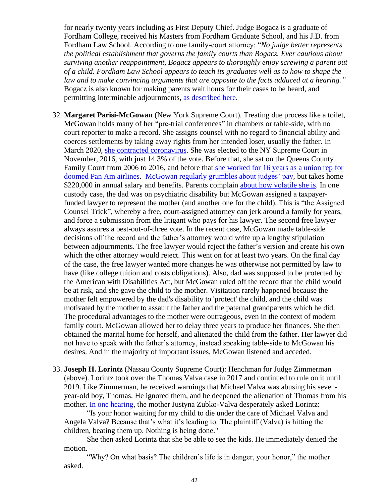for nearly twenty years including as First Deputy Chief. Judge Bogacz is a graduate of Fordham College, received his Masters from Fordham Graduate School, and his J.D. from Fordham Law School. According to one family-court attorney: "*No judge better represents the political establishment that governs the family courts than Bogacz. Ever cautious about surviving another reappointment, Bogacz appears to thoroughly enjoy screwing a parent out of a child. Fordham Law School appears to teach its graduates well as to how to shape the law and to make convincing arguments that are opposite to the facts adduced at a hearing."* Bogacz is also known for making parents wait hours for their cases to be heard, and permitting interminable adjournments, [as described here.](http://www.gothamgazette.com/city/1541-family-court-fiasco)

- 32. **Margaret Parisi-McGowan** (New York Supreme Court). Treating due process like a toilet, McGowan holds many of her "pre-trial conferences" in chambers or table-side, with no court reporter to make a record. She assigns counsel with no regard to financial ability and coerces settlements by taking away rights from her intended loser, usually the father. In March 2020, [she contracted coronavirus.](https://nypost.com/2020/03/19/first-new-york-state-judge-tests-positive-for-coronavirus/?fbclid=IwAR1Bx1B99u041M1wbS9gTiCqG34uhgQR9C3A5ued3e4LDK9a_IY-8XeVoHw) She was elected to the NY Supreme Court in November, 2016, with just 14.3% of the vote. Before that, she sat on the Queens County Family Court from 2006 to 2016, and before that [she worked for 16 years as a union rep for](https://qns.com/story/2013/08/03/spotlight-on-justice-judge-margaret-parisi-mcgowan-queens-county-family-court/)  [doomed Pan Am airlines.](https://qns.com/story/2013/08/03/spotlight-on-justice-judge-margaret-parisi-mcgowan-queens-county-family-court/) [McGowan regularly grumbles about judges' pay,](https://www.nytimes.com/2011/08/27/nyregion/commission-raises-ny-judges-pay-27-over-3-years.html) but takes home \$220,000 in annual salary and benefits. Parents complain [about how volatile she is.](http://www.therobingroom.com/newyork/Judge.aspx?id=1022) In one custody case, the dad was on psychiatric disability but McGowan assigned a taxpayerfunded lawyer to represent the mother (and another one for the child). This is "the Assigned Counsel Trick", whereby a free, court-assigned attorney can jerk around a family for years, and force a submission from the litigant who pays for his lawyer. The second free lawyer always assures a best-out-of-three vote. In the recent case, McGowan made table-side decisions off the record and the father's attorney would write up a lengthy stipulation between adjournments. The free lawyer would reject the father's version and create his own which the other attorney would reject. This went on for at least two years. On the final day of the case, the free lawyer wanted more changes he was otherwise not permitted by law to have (like college tuition and costs obligations). Also, dad was supposed to be protected by the American with Disabilities Act, but McGowan ruled off the record that the child would be at risk, and she gave the child to the mother. Visitation rarely happened because the mother felt empowered by the dad's disability to 'protect' the child, and the child was motivated by the mother to assault the father and the paternal grandparents which he did. The procedural advantages to the mother were outrageous, even in the context of modern family court. McGowan allowed her to delay three years to produce her finances. She then obtained the marital home for herself, and alienated the child from the father. Her lawyer did not have to speak with the father's attorney, instead speaking table-side to McGowan his desires. And in the majority of important issues, McGowan listened and acceded.
- 33. **Joseph H. Lorintz** (Nassau County Supreme Court): Henchman for Judge Zimmerman (above). Lorintz took over the Thomas Valva case in 2017 and continued to rule on it until 2019. Like Zimmerman, he received warnings that Michael Valva was abusing his sevenyear-old boy, Thomas. He ignored them, and he deepened the alienation of Thomas from his mother. [In one hearing,](https://www.nydailynews.com/new-york/nyc-crime/ny-mom-pleaded-to-save-long-island-boy-20200203-aem5tuf5pvfivemynqoqjb5yli-story.html) the mother Justyna Zubko-Valva desperately asked Lorintz:

"Is your honor waiting for my child to die under the care of Michael Valva and Angela Valva? Because that's what it's leading to. The plaintiff (Valva) is hitting the children, beating them up. Nothing is being done."

She then asked Lorintz that she be able to see the kids. He immediately denied the motion.

"Why? On what basis? The children's life is in danger, your honor," the mother asked.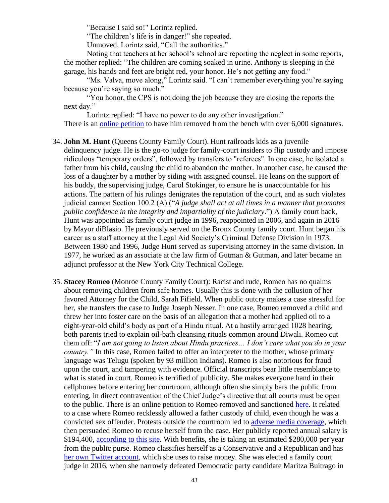"Because I said so!" Lorintz replied.

"The children's life is in danger!" she repeated.

Unmoved, Lorintz said, "Call the authorities."

Noting that teachers at her school's school are reporting the neglect in some reports, the mother replied: "The children are coming soaked in urine. Anthony is sleeping in the garage, his hands and feet are bright red, your honor. He's not getting any food."

"Ms. Valva, move along," Lorintz said. "I can't remember everything you're saying because you're saying so much."

"You honor, the CPS is not doing the job because they are closing the reports the next day."

Lorintz replied: "I have no power to do any other investigation."

There is an [online petition](https://www.change.org/p/chief-judge-janet-difiore-remove-from-the-bench-judge-joseph-h-lorintz?recruiter=793244428&utm_source=share_petition&utm_medium=copylink&utm_campaign=share_petition&utm_term=psf_combo_share_abi) to have him removed from the bench with over 6,000 signatures.

- 34. **John M. Hunt** (Queens County Family Court). Hunt railroads kids as a juvenile delinquency judge. He is the go-to judge for family-court insiders to flip custody and impose ridiculous "temporary orders", followed by transfers to "referees". In one case, he isolated a father from his child, causing the child to abandon the mother. In another case, he caused the loss of a daughter by a mother by siding with assigned counsel. He leans on the support of his buddy, the supervising judge, Carol Stokinger, to ensure he is unaccountable for his actions. The pattern of his rulings denigrates the reputation of the court, and as such violates judicial cannon Section 100.2 (A) ("*A judge shall act at all times in a manner that promotes public confidence in the integrity and impartiality of the judiciary*.") A family court hack, Hunt was appointed as family court judge in 1996, reappointed in 2006, and again in 2016 by Mayor diBlasio. He previously served on the Bronx County family court. Hunt began his career as a staff attorney at the Legal Aid Society's Criminal Defense Division in 1973. Between 1980 and 1996, Judge Hunt served as supervising attorney in the same division. In 1977, he worked as an associate at the law firm of Gutman & Gutman, and later became an adjunct professor at the New York City Technical College.
- 35. **Stacey Romeo** (Monroe County Family Court): Racist and rude, Romeo has no qualms about removing children from safe homes. Usually this is done with the collusion of her favored Attorney for the Child, Sarah Fifield. When public outcry makes a case stressful for her, she transfers the case to Judge Joseph Nesser. In one case, Romeo removed a child and threw her into foster care on the basis of an allegation that a mother had applied oil to a eight-year-old child's body as part of a Hindu ritual. At a hastily arranged 1028 hearing, both parents tried to explain oil-bath cleansing rituals common around Diwali. Romeo cut them off: "*I am not going to listen about Hindu practices… I don't care what you do in your country.*" In this case, Romeo failed to offer an interpreter to the mother, whose primary language was Telugu (spoken by 93 million Indians). Romeo is also notorious for fraud upon the court, and tampering with evidence. Official transcripts bear little resemblance to what is stated in court. Romeo is terrified of publicity. She makes everyone hand in their cellphones before entering her courtroom, although often she simply bars the public from entering, in direct contravention of the Chief Judge's directive that all courts must be open to the public. There is an online petition to Romeo removed and sanctioned [here.](https://shameonjudgeromeo.com/) It related to a case where Romeo recklessly allowed a father custody of child, even though he was a convicted sex offender. Protests outside the courtroom led to [adverse media coverage,](https://www.democratandchronicle.com/story/news/2018/10/04/protesters-want-family-court-judge-romeo-removed-over-custody-agreement-sex-offender-father/1518889002/) which then persuaded Romeo to recuse herself from the case. Her publicly reported annual salary is \$194,400, [according to this site.](https://govsalaries.com/romeo-stacey-m-34254237) With benefits, she is taking an estimated \$280,000 per year from the public purse. Romeo classifies herself as a Conservative and a Republican and has [her own Twitter account,](https://twitter.com/SRomeo4Judge) which she uses to raise money. She was elected a family court judge in 2016, when she narrowly defeated Democratic party candidate Maritza Buitrago in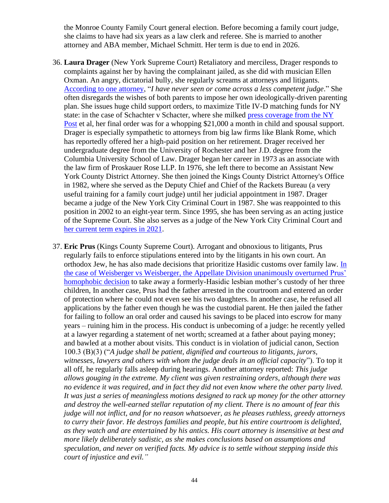the Monroe County Family Court general election. Before becoming a family court judge, she claims to have had six years as a law clerk and referee. She is married to another attorney and ABA member, Michael Schmitt. Her term is due to end in 2026.

- 36. **Laura Drager** (New York Supreme Court) Retaliatory and merciless, Drager responds to complaints against her by having the complainant jailed, as she did with musician Ellen Oxman. An angry, dictatorial bully, she regularly screams at attorneys and litigants. [According to one attorney,](http://www.therobingroom.com/newyork/Judge.aspx?id=327) "*I have never seen or come across a less competent judge*." She often disregards the wishes of both parents to impose her own ideologically-driven parenting plan. She issues huge child support orders, to maximize Title IV-D matching funds for NY state: in the case of Schachter v Schacter, where she milked [press coverage from the NY](https://nypost.com/2014/04/08/divorcee-damaged-exs-career-loses-most-of-her-payout/)  [Post](https://nypost.com/2014/04/08/divorcee-damaged-exs-career-loses-most-of-her-payout/) et al, her final order was for a whopping \$21,000 a month in child and spousal support. Drager is especially sympathetic to attorneys from big law firms like Blank Rome, which has reportedly offered her a high-paid position on her retirement. Drager received her undergraduate degree from the University of Rochester and her J.D. degree from the Columbia University School of Law. Drager began her career in 1973 as an associate with the law firm of Proskauer Rose LLP. In 1976, she left there to become an Assistant New York County District Attorney. She then joined the Kings County District Attorney's Office in 1982, where she served as the Deputy Chief and Chief of the Rackets Bureau (a very useful training for a family court judge) until her judicial appointment in 1987. Drager became a judge of the New York City Criminal Court in 1987. She was reappointed to this position in 2002 to an eight-year term. Since 1995, she has been serving as an acting justice of the Supreme Court. She also serves as a judge of the New York City Criminal Court and [her current term expires in 2021.](https://ballotpedia.org/Laura_Drager)
- 37. **Eric Prus** (Kings County Supreme Court). Arrogant and obnoxious to litigants, Prus regularly fails to enforce stipulations entered into by the litigants in his own court. An orthodox Jew, he has also made decisions that prioritize Hasidic customs over family law. [In](https://www.artleonardobservations.com/tag/n-y-supreme-court-justice-eric-i-prus/)  [the case of Weisberger vs Weisberger, the Appellate Division unanimously overturned Prus'](https://www.artleonardobservations.com/tag/n-y-supreme-court-justice-eric-i-prus/)  [homophobic decision](https://www.artleonardobservations.com/tag/n-y-supreme-court-justice-eric-i-prus/) to take away a formerly-Hasidic lesbian mother's custody of her three children, In another case, Prus had the father arrested in the courtroom and entered an order of protection where he could not even see his two daughters. In another case, he refused all applications by the father even though he was the custodial parent. He then jailed the father for failing to follow an oral order and caused his savings to be placed into escrow for many years – ruining him in the process. His conduct is unbecoming of a judge: he recently yelled at a lawyer regarding a statement of net worth; screamed at a father about paying money; and bawled at a mother about visits. This conduct is in violation of judicial canon, Section 100.3 (B)(3) ("*A judge shall be patient, dignified and courteous to litigants, jurors, witnesses, lawyers and others with whom the judge deals in an official capacity*"). To top it all off, he regularly falls asleep during hearings. Another attorney reported: *This judge allows gouging in the extreme. My client was given restraining orders, although there was no evidence it was required, and in fact they did not even know where the other party lived. It was just a series of meaningless motions designed to rack up money for the other attorney and destroy the well-earned stellar reputation of my client. There is no amount of fear this judge will not inflict, and for no reason whatsoever, as he pleases ruthless, greedy attorneys to curry their favor. He destroys families and people, but his entire courtroom is delighted, as they watch and are entertained by his antics. His court attorney is insensitive at best and more likely deliberately sadistic, as she makes conclusions based on assumptions and speculation, and never on verified facts. My advice is to settle without stepping inside this court of injustice and evil."*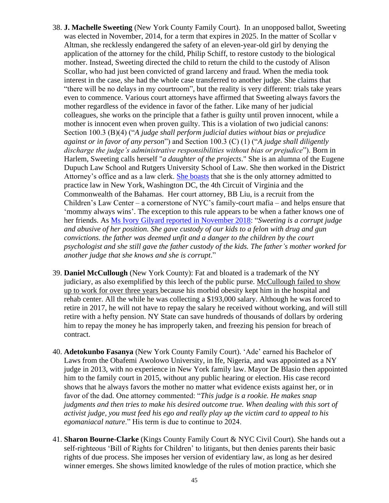- 38. **J. Machelle Sweeting** (New York County Family Court). In an unopposed ballot, Sweeting was elected in November, 2014, for a term that expires in 2025. In the matter of Scollar v Altman, she recklessly endangered the safety of an eleven-year-old girl by denying the application of the attorney for the child, Philip Schiff, to restore custody to the biological mother. Instead, Sweeting directed the child to return the child to the custody of Alison Scollar, who had just been convicted of grand larceny and fraud. When the media took interest in the case, she had the whole case transferred to another judge. She claims that "there will be no delays in my courtroom", but the reality is very different: trials take years even to commence. Various court attorneys have affirmed that Sweeting always favors the mother regardless of the evidence in favor of the father. Like many of her judicial colleagues, she works on the principle that a father is guilty until proven innocent, while a mother is innocent even when proven guilty. This is a violation of two judicial canons: Section 100.3 (B)(4) ("*A judge shall perform judicial duties without bias or prejudice against or in favor of any person*") and Section 100.3 (C) (1) ("*A judge shall diligently discharge the judge's administrative responsibilities without bias or prejudice*"). Born in Harlem, Sweeting calls herself "*a daughter of the projects*." She is an alumna of the Eugene Dupuch Law School and Rutgers University School of Law. She then worked in the District Attorney's office and as a law clerk. [She boasts](https://www.youtube.com/watch?v=Ij_YnsPd8DM) that she is the only attorney admitted to practice law in New York, Washington DC, the 4th Circuit of Virginia and the Commonwealth of the Bahamas. Her court attorney, BB Liu, is a recruit from the Children's Law Center – a cornerstone of NYC's family-court mafia – and helps ensure that 'mommy always wins'. The exception to this rule appears to be when a father knows one of her friends. As [Ms Ivory Gilyard reported in November 2018:](https://www.youtube.com/watch?v=Ij_YnsPd8DM) "*Sweeting is a corrupt judge and abusive of her position. She gave custody of our kids to a felon with drug and gun convictions. the father was deemed unfit and a danger to the children by the court psychologist and she still gave the father custody of the kids. The father's mother worked for another judge that she knows and she is corrupt*."
- 39. **Daniel McCullough** (New York County): Fat and bloated is a trademark of the NY judiciary, as also exemplified by this leech of the public purse. McCullough failed to show up to work for over three years because his morbid obesity kept him in the hospital and rehab center. All the while he was collecting a \$193,000 salary. Although he was forced to retire in 2017, he will not have to repay the salary he received without working, and will still retire with a hefty pension. NY State can save hundreds of thousands of dollars by ordering him to repay the money he has improperly taken, and freezing his pension for breach of contract.
- 40. **Adetokunbo Fasanya** (New York County Family Court). 'Ade' earned his Bachelor of Laws from the Obafemi Awolowo University, in Ife, Nigeria, and was appointed as a NY judge in 2013, with no experience in New York family law. Mayor De Blasio then appointed him to the family court in 2015, without any public hearing or election. His case record shows that he always favors the mother no matter what evidence exists against her, or in favor of the dad. One attorney commented: "*This judge is a rookie. He makes snap judgments and then tries to make his desired outcome true. When dealing with this sort of activist judge, you must feed his ego and really play up the victim card to appeal to his egomaniacal nature*." His term is due to continue to 2024.
- 41. **Sharon Bourne-Clarke** (Kings County Family Court & NYC Civil Court). She hands out a self-righteous 'Bill of Rights for Children' to litigants, but then denies parents their basic rights of due process. She imposes her version of evidentiary law, as long as her desired winner emerges. She shows limited knowledge of the rules of motion practice, which she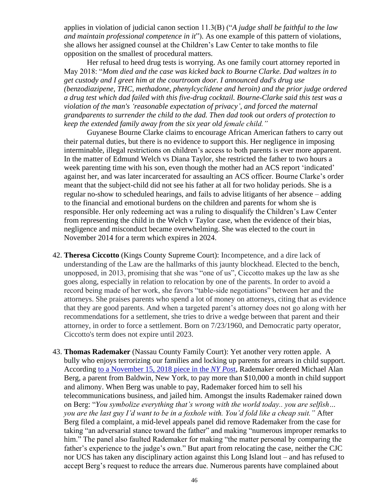applies in violation of judicial canon section 11.3(B) ("*A judge shall be faithful to the law and maintain professional competence in it*"). As one example of this pattern of violations, she allows her assigned counsel at the Children's Law Center to take months to file opposition on the smallest of procedural matters.

Her refusal to heed drug tests is worrying. As one family court attorney reported in May 2018: "*Mom died and the case was kicked back to Bourne Clarke. Dad waltzes in to get custody and I greet him at the courtroom door. I announced dad's drug use (benzodiazipene, THC, methadone, phenylcyclidene and heroin) and the prior judge ordered a drug test which dad failed with this five-drug cocktail. Bourne-Clarke said this test was a violation of the man's 'reasonable expectation of privacy', and forced the maternal grandparents to surrender the child to the dad. Then dad took out orders of protection to keep the extended family away from the six year old female child."* 

Guyanese Bourne Clarke claims to encourage African American fathers to carry out their paternal duties, but there is no evidence to support this. Her negligence in imposing interminable, illegal restrictions on children's access to both parents is ever more apparent. In the matter of Edmund Welch vs Diana Taylor, she restricted the father to two hours a week parenting time with his son, even though the mother had an ACS report 'indicated' against her, and was later incarcerated for assaulting an ACS officer. Bourne Clarke's order meant that the subject-child did not see his father at all for two holiday periods. She is a regular no-show to scheduled hearings, and fails to advise litigants of her absence – adding to the financial and emotional burdens on the children and parents for whom she is responsible. Her only redeeming act was a ruling to disqualify the Children's Law Center from representing the child in the Welch v Taylor case, when the evidence of their bias, negligence and misconduct became overwhelming. She was elected to the court in November 2014 for a term which expires in 2024.

- 42. **Theresa Ciccotto** (Kings County Supreme Court): Incompetence, and a dire lack of understanding of the Law are the hallmarks of this jaunty blockhead. Elected to the bench, unopposed, in 2013, promising that she was "one of us", Ciccotto makes up the law as she goes along, especially in relation to relocation by one of the parents. In order to avoid a record being made of her work, she favors "table-side negotiations" between her and the attorneys. She praises parents who spend a lot of money on attorneys, citing that as evidence that they are good parents. And when a targeted parent's attorney does not go along with her recommendations for a settlement, she tries to drive a wedge between that parent and their attorney, in order to force a settlement. Born on 7/23/1960, and Democratic party operator, Ciccotto's term does not expire until 2023.
- 43. **Thomas Rademaker** (Nassau County Family Court): Yet another very rotten apple. A bully who enjoys terrorizing our families and locking up parents for arrears in child support. According [to a November 15, 2018 piece in the](https://nypost.com/2018/11/15/long-island-judge-removed-for-ripping-lazy-and-arrogant-dad/?utm_campaign=iosapp&utm_source=mail_app&fbclid=IwAR1N1HWB3DOfcsTJXGsRdgUvS0v-Cu-LD9bROiYcrd2cjPs5H5vEAmQa1TM) *NY Pos*t, Rademaker ordered Michael Alan Berg, a parent from Baldwin, New York, to pay more than \$10,000 a month in child support and alimony. When Berg was unable to pay, Rademaker forced him to sell his telecommunications business, and jailed him. Amongst the insults Rademaker rained down on Berg: "*You symbolize everything that's wrong with the world today.. you are selfish… you are the last guy I'd want to be in a foxhole with. You'd fold like a cheap suit."* After Berg filed a complaint, a mid-level appeals panel did remove Rademaker from the case for taking "an adversarial stance toward the father" and making "numerous improper remarks to him." The panel also faulted Rademaker for making "the matter personal by comparing the father's experience to the judge's own." But apart from relocating the case, neither the CJC nor UCS has taken any disciplinary action against this Long Island lout – and has refused to accept Berg's request to reduce the arrears due. Numerous parents have complained about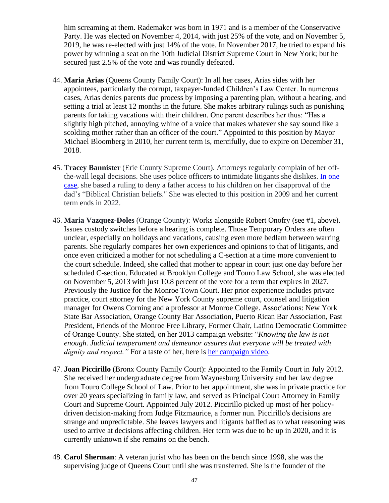him screaming at them. Rademaker was born in 1971 and is a member of the Conservative Party. He was elected on November 4, 2014, with just 25% of the vote, and on November 5, 2019, he was re-elected with just 14% of the vote. In November 2017, he tried to expand his power by winning a seat on the 10th Judicial District Supreme Court in New York; but he secured just 2.5% of the vote and was roundly defeated.

- 44. **Maria Arias** (Queens County Family Court): In all her cases, Arias sides with her appointees, particularly the corrupt, taxpayer-funded Children's Law Center. In numerous cases, Arias denies parents due process by imposing a parenting plan, without a hearing, and setting a trial at least 12 months in the future. She makes arbitrary rulings such as punishing parents for taking vacations with their children. One parent describes her thus: "Has a slightly high pitched, annoying whine of a voice that makes whatever she say sound like a scolding mother rather than an officer of the court." Appointed to this position by Mayor Michael Bloomberg in 2010, her current term is, mercifully, due to expire on December 31, 2018.
- 45. **Tracey Bannister** (Erie County Supreme Court). Attorneys regularly complain of her offthe-wall legal decisions. She uses police officers to intimidate litigants she dislikes. [In one](http://www.corruptgenesee.com/)  [case,](http://www.corruptgenesee.com/) she based a ruling to deny a father access to his children on her disapproval of the dad's "Biblical Christian beliefs." She was elected to this position in 2009 and her current term ends in 2022.
- 46. **Maria Vazquez-Doles** (Orange County): Works alongside Robert Onofry (see #1, above). Issues custody switches before a hearing is complete. Those Temporary Orders are often unclear, especially on holidays and vacations, causing even more bedlam between warring parents. She regularly compares her own experiences and opinions to that of litigants, and once even criticized a mother for not scheduling a C-section at a time more convenient to the court schedule. Indeed, she called that mother to appear in court just one day before her scheduled C-section. Educated at Brooklyn College and Touro Law School, she was elected on November 5, 2013 with just 10.8 percent of the vote for a term that expires in 2027. Previously the Justice for the Monroe Town Court. Her prior experience includes private practice, court attorney for the New York County supreme court, counsel and litigation manager for Owens Corning and a professor at Monroe College. Associations: New York State Bar Association, Orange County Bar Association, Puerto Rican Bar Association, Past President, Friends of the Monroe Free Library, Former Chair, Latino Democratic Committee of Orange County. She stated, on her 2013 campaign website: "*Knowing the law is not enough. Judicial temperament and demeanor assures that everyone will be treated with dignity and respect."* For a taste of her, here is [her campaign video.](https://vimeo.com/77892160)
- 47. **Joan Piccirillo** (Bronx County Family Court): Appointed to the Family Court in July 2012. She received her undergraduate degree from Waynesburg University and her law degree from Touro College School of Law. Prior to her appointment, she was in private practice for over 20 years specializing in family law, and served as Principal Court Attorney in Family Court and Supreme Court. Appointed July 2012. Piccirillo picked up most of her policydriven decision-making from Judge Fitzmaurice, a former nun. Piccirillo's decisions are strange and unpredictable. She leaves lawyers and litigants baffled as to what reasoning was used to arrive at decisions affecting children. Her term was due to be up in 2020, and it is currently unknown if she remains on the bench.
- 48. **Carol Sherman**: A veteran jurist who has been on the bench since 1998, she was the supervising judge of Queens Court until she was transferred. She is the founder of the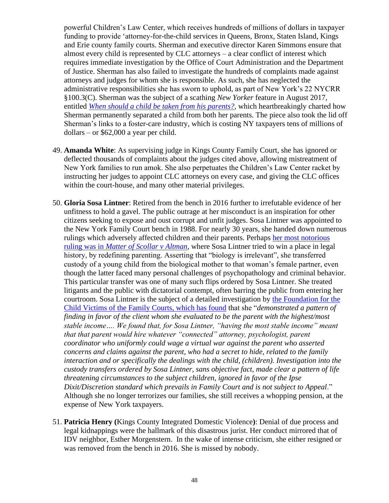powerful Children's Law Center, which receives hundreds of millions of dollars in taxpayer funding to provide 'attorney-for-the-child services in Queens, Bronx, Staten Island, Kings and Erie county family courts. Sherman and executive director Karen Simmons ensure that almost every child is represented by CLC attorneys – a clear conflict of interest which requires immediate investigation by the Office of Court Administration and the Department of Justice. Sherman has also failed to investigate the hundreds of complaints made against attorneys and judges for whom she is responsible. As such, she has neglected the administrative responsibilities she has sworn to uphold, as part of New York's 22 NYCRR §100.3(C). Sherman was the subject of a scathing *New Yorker* feature in August 2017, entitled *[When should a child be taken from his parents?,](https://www.newyorker.com/magazine/2017/08/07/when-should-a-child-be-taken-from-his-parents)* which heartbreakingly charted how Sherman permanently separated a child from both her parents. The piece also took the lid off Sherman's links to a foster-care industry, which is costing NY taxpayers tens of millions of dollars – or \$62,000 a year per child.

- 49. **Amanda White**: As supervising judge in Kings County Family Court, she has ignored or deflected thousands of complaints about the judges cited above, allowing mistreatment of New York families to run amok. She also perpetuates the Children's Law Center racket by instructing her judges to appoint CLC attorneys on every case, and giving the CLC offices within the court-house, and many other material privileges.
- 50. **Gloria Sosa Lintner**: Retired from the bench in 2016 further to irrefutable evidence of her unfitness to hold a gavel. The public outrage at her misconduct is an inspiration for other citizens seeking to expose and oust corrupt and unfit judges. Sosa Lintner was appointed to the New York Family Court bench in 1988. For nearly 30 years, she handed down numerous rulings which adversely affected children and their parents. Perhaps [her most notorious](http://nypost.com/2012/10/01/judge-rejects-birth-mother-gives-custody-to-partner/)  ruling was in *[Matter of Scollar v Altman](http://nypost.com/2012/10/01/judge-rejects-birth-mother-gives-custody-to-partner/)*, where Sosa Lintner tried to win a place in legal history, by redefining parenting. Asserting that "biology is irrelevant", she transferred custody of a young child from the biological mother to that woman's female partner, even though the latter faced many personal challenges of psychopathology and criminal behavior. This particular transfer was one of many such flips ordered by Sosa Lintner. She treated litigants and the public with dictatorial contempt, often barring the public from entering her courtroom. Sosa Lintner is the subject of a detailed investigation by [the Foundation for the](http://www.uswhistleblower.org/)  [Child Victims of the Family Courts, which has found](http://www.uswhistleblower.org/) that she "*demonstrated a pattern of finding in favor of the client whom she evaluated to be the parent with the highest/most stable income…. We found that, for Sosa Lintner, "having the most stable income" meant that that parent would hire whatever "connected" attorney, psychologist, parent coordinator who uniformly could wage a virtual war against the parent who asserted concerns and claims against the parent, who had a secret to hide, related to the family interaction and or specifically the dealings with the child, (children). Investigation into the custody transfers ordered by Sosa Lintner, sans objective fact, made clear a pattern of life threatening circumstances to the subject children, ignored in favor of the Ipse Dixit/Discretion standard which prevails in Family Court and is not subject to Appeal*." Although she no longer terrorizes our families, she still receives a whopping pension, at the expense of New York taxpayers.
- 51. **Patricia Henry (**Kings County Integrated Domestic Violence**)**: Denial of due process and legal kidnappings were the hallmark of this disastrous jurist. Her conduct mirrored that of IDV neighbor, Esther Morgenstern. In the wake of intense criticism, she either resigned or was removed from the bench in 2016. She is missed by nobody.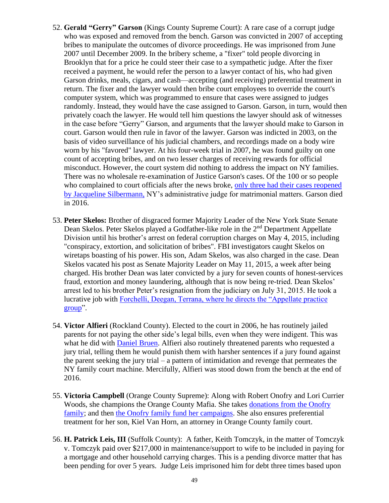- 52. **Gerald "Gerry" Garson** (Kings County Supreme Court): A rare case of a corrupt judge who was exposed and removed from the bench. Garson was convicted in 2007 of accepting bribes to manipulate the outcomes of divorce proceedings. He was imprisoned from June 2007 until December 2009. In the bribery scheme, a "fixer" told people divorcing in Brooklyn that for a price he could steer their case to a sympathetic judge. After the fixer received a payment, he would refer the person to a lawyer contact of his, who had given Garson drinks, meals, cigars, and cash—accepting (and receiving) preferential treatment in return. The fixer and the lawyer would then bribe court employees to override the court's computer system, which was programmed to ensure that cases were assigned to judges randomly. Instead, they would have the case assigned to Garson. Garson, in turn, would then privately coach the lawyer. He would tell him questions the lawyer should ask of witnesses in the case before "Gerry" Garson, and arguments that the lawyer should make to Garson in court. Garson would then rule in favor of the lawyer. Garson was indicted in 2003, on the basis of video surveillance of his judicial chambers, and recordings made on a body wire worn by his "favored" lawyer. At his four-week trial in 2007, he was found guilty on one count of accepting bribes, and on two lesser charges of receiving rewards for official misconduct. However, the court system did nothing to address the impact on NY families. There was no wholesale re-examination of Justice Garson's cases. Of the 100 or so people who complained to court officials after the news broke, [only three had their cases reopened](http://www.nytimes.com/2004/10/12/nyregion/aggrieved-parties-in-divorce-court-get-no-relief-in-scandal.html)  [by Jacqueline Silbermann,](http://www.nytimes.com/2004/10/12/nyregion/aggrieved-parties-in-divorce-court-get-no-relief-in-scandal.html) NY's administrative judge for matrimonial matters. Garson died in 2016.
- 53. **Peter Skelos:** Brother of disgraced former Majority Leader of the New York State Senate Dean Skelos. Peter Skelos played a Godfather-like role in the 2<sup>nd</sup> Department Appellate Division until his brother's arrest on federal corruption charges on May 4, 2015, including "conspiracy, extortion, and solicitation of bribes". FBI investigators caught Skelos on wiretaps boasting of his power. His son, Adam Skelos, was also charged in the case. Dean Skelos vacated his post as Senate Majority Leader on May 11, 2015, a week after being charged. His brother Dean was later convicted by a jury for seven counts of honest-services fraud, extortion and money laundering, although that is now being re-tried. Dean Skelos' arrest led to his brother Peter's resignation from the judiciary on July 31, 2015. He took a lucrative job with [Forchelli, Deegan, Terrana, where he directs the "Appellate practice](https://www.forchellilaw.com/attorney/peter-b-skelos/)  [group"](https://www.forchellilaw.com/attorney/peter-b-skelos/).
- 54. **Victor Alfieri** (Rockland County). Elected to the court in 2006, he has routinely jailed parents for not paying the other side's legal bills, even when they were indigent. This was what he did with [Daniel Bruen.](http://tinyurl.com/zz26c78) Alfieri also routinely threatened parents who requested a jury trial, telling them he would punish them with harsher sentences if a jury found against the parent seeking the jury trial – a pattern of intimidation and revenge that permeates the NY family court machine. Mercifully, Alfieri was stood down from the bench at the end of 2016.
- 55. **Victoria Campbell** (Orange County Supreme): Along with Robert Onofry and Lori Currier Woods, she champions the Orange County Mafia. She takes [donations from the Onofry](https://docs.google.com/spreadsheets/d/12t5BFQsRQUmSveL1gmzosaNziDsbUmpIjTz22qiUDnM/edit?fbclid=IwAR3BBC20VEv6ZA9ysZ-)  [family;](https://docs.google.com/spreadsheets/d/12t5BFQsRQUmSveL1gmzosaNziDsbUmpIjTz22qiUDnM/edit?fbclid=IwAR3BBC20VEv6ZA9ysZ-) and then [the Onofry family fund her campaigns.](file:///D:/Documents/SHD%20DOCUMENTS%20April%2016%202019/Families%20Civil%20Liberties%20Union/ACTION%20AGAINST%20JUDGES/%20https/docs.google.com/spreadsheets/d/1fHxP86Zo_Wysz-hPUSFsnW6mu8cK8MppyRQ_g3GzbPQ/edit%3ffbclid=IwAR2xn_fIsEfTfRlKBmzXabE1Q2Zza4BIkbnlQheQHRXq2PPJiY3MCs_CWXA%23gid=432009478) She also ensures preferential treatment for her son, Kiel Van Horn, an attorney in Orange County family court.
- 56. **H. Patrick Leis, III** (Suffolk County): A father, Keith Tomczyk, in the matter of Tomczyk v. Tomczyk paid over \$217,000 in maintenance/support to wife to be included in paying for a mortgage and other household carrying charges. This is a pending divorce matter that has been pending for over 5 years. Judge Leis imprisoned him for debt three times based upon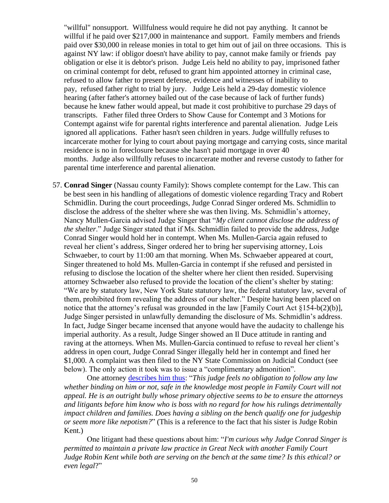"willful" nonsupport. Willfulness would require he did not pay anything. It cannot be willful if he paid over \$217,000 in maintenance and support. Family members and friends paid over \$30,000 in release monies in total to get him out of jail on three occasions. This is against NY law: if obligor doesn't have ability to pay, cannot make family or friends pay obligation or else it is debtor's prison. Judge Leis held no ability to pay, imprisoned father on criminal contempt for debt, refused to grant him appointed attorney in criminal case, refused to allow father to present defense, evidence and witnesses of inability to pay, refused father right to trial by jury. Judge Leis held a 29-day domestic violence hearing (after father's attorney bailed out of the case because of lack of further funds) because he knew father would appeal, but made it cost prohibitive to purchase 29 days of transcripts. Father filed three Orders to Show Cause for Contempt and 3 Motions for Contempt against wife for parental rights interference and parental alienation. Judge Leis ignored all applications. Father hasn't seen children in years. Judge willfully refuses to incarcerate mother for lying to court about paying mortgage and carrying costs, since marital residence is no in foreclosure because she hasn't paid mortgage in over 40 months. Judge also willfully refuses to incarcerate mother and reverse custody to father for parental time interference and parental alienation.

57. **Conrad Singer** (Nassau county Family): Shows complete contempt for the Law. This can be best seen in his handling of allegations of domestic violence regarding Tracy and Robert Schmidlin. During the court proceedings, Judge Conrad Singer ordered Ms. Schmidlin to disclose the address of the shelter where she was then living. Ms. Schmidlin's attorney, Nancy Mullen-Garcia advised Judge Singer that "*My client cannot disclose the address of the shelter*." Judge Singer stated that if Ms. Schmidlin failed to provide the address, Judge Conrad Singer would hold her in contempt. When Ms. Mullen-Garcia again refused to reveal her client's address, Singer ordered her to bring her supervising attorney, Lois Schwaeber, to court by 11:00 am that morning. When Ms. Schwaeber appeared at court, Singer threatened to hold Ms. Mullen-Garcia in contempt if she refused and persisted in refusing to disclose the location of the shelter where her client then resided. Supervising attorney Schwaeber also refused to provide the location of the client's shelter by stating: "We are by statutory law, New York State statutory law, the federal statutory law, several of them, prohibited from revealing the address of our shelter." Despite having been placed on notice that the attorney's refusal was grounded in the law [Family Court Act §154-b(2)(b)], Judge Singer persisted in unlawfully demanding the disclosure of Ms. Schmidlin's address. In fact, Judge Singer became incensed that anyone would have the audacity to challenge his imperial authority. As a result, Judge Singer showed an Il Duce attitude in ranting and raving at the attorneys. When Ms. Mullen-Garcia continued to refuse to reveal her client's address in open court, Judge Conrad Singer illegally held her in contempt and fined her \$1,000. A complaint was then filed to the NY State Commission on Judicial Conduct (see below). The only action it took was to issue a "complimentary admonition".

One attorney [describes him thus:](http://www.therobingroom.com/newyork/Judge.aspx?id=5609) "*This judge feels no obligation to follow any law whether binding on him or not, safe in the knowledge most people in Family Court will not appeal. He is an outright bully whose primary objective seems to be to ensure the attorneys and litigants before him know who is boss with no regard for how his rulings detrimentally impact children and families. Does having a sibling on the bench qualify one for judgeship or seem more like nepotism?*" (This is a reference to the fact that his sister is Judge Robin Kent.)

One litigant had these questions about him: "*I'm curious why Judge Conrad Singer is permitted to maintain a private law practice in Great Neck with another Family Court Judge Robin Kent while both are serving on the bench at the same time? Is this ethical? or even legal*?"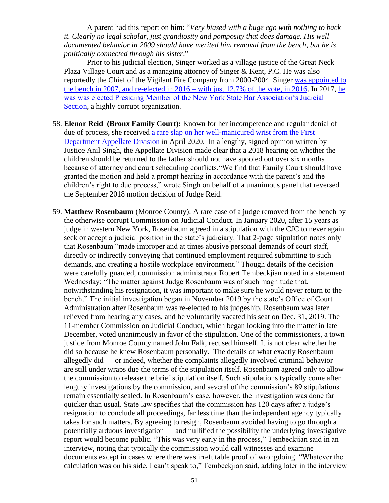A parent had this report on him: "*Very biased with a huge ego with nothing to back it. Clearly no legal scholar, just grandiosity and pomposity that does damage. His well documented behavior in 2009 should have merited him removal from the bench, but he is politically connected through his sister*."

Prior to his judicial election, Singer worked as a village justice of the Great Neck Plaza Village Court and as a managing attorney of Singer & Kent, P.C. He was also reportedly the Chief of the Vigilant Fire Company from 2000-2004. Singer [was appointed to](https://ballotpedia.org/Conrad_D._Singer)  [the bench in 2007, and re-elected in 2016 –](https://ballotpedia.org/Conrad_D._Singer) with just 12.7% of the vote, in 2016. In 2017, [he](https://theislandnow.com/news-98/conrad-singer-nys-bar-member/)  [was was elected Presiding Member of the New York State Bar Association's Judicial](https://theislandnow.com/news-98/conrad-singer-nys-bar-member/)  [Section,](https://theislandnow.com/news-98/conrad-singer-nys-bar-member/) a highly corrupt organization.

- 58. **Elenor Reid (Bronx Family Court):** Known for her incompetence and regular denial of due of process, she received [a rare slap on her well-manicured wrist from the First](https://www.law.com/newyorklawjournal/2020/04/29/scheduling-conflicts-wrongly-delayed-child-custody-hearing-court-says-2-years-later/)  [Department Appellate Division](https://www.law.com/newyorklawjournal/2020/04/29/scheduling-conflicts-wrongly-delayed-child-custody-hearing-court-says-2-years-later/) in April 2020. In a lengthy, signed opinion written by Justice Anil Singh, the Appellate Division made clear that a 2018 hearing on whether the children should be returned to the father should not have spooled out over six months because of attorney and court scheduling conflicts."We find that Family Court should have granted the motion and held a prompt hearing in accordance with the parent's and the children's right to due process," wrote Singh on behalf of a unanimous panel that reversed the September 2018 motion decision of Judge Reid.
- 59. **Matthew Rosenbaum** (Monroe County): A rare case of a judge removed from the bench by the otherwise corrupt Commission on Judicial Conduct. In January 2020, after 15 years as judge in western New York, Rosenbaum agreed in a stipulation with the CJC to never again seek or accept a judicial position in the state's judiciary. That 2-page stipulation notes only that Rosenbaum "made improper and at times abusive personal demands of court staff, directly or indirectly conveying that continued employment required submitting to such demands, and creating a hostile workplace environment." Though details of the decision were carefully guarded, commission administrator Robert Tembeckjian noted in a statement Wednesday: "The matter against Judge Rosenbaum was of such magnitude that, notwithstanding his resignation, it was important to make sure he would never return to the bench." The initial investigation began in November 2019 by the state's Office of Court Administration after Rosenbaum was re-elected to his judgeship. Rosenbaum was later relieved from hearing any cases, and he voluntarily vacated his seat on Dec. 31, 2019. The 11-member Commission on Judicial Conduct, which began looking into the matter in late December, voted unanimously in favor of the stipulation. One of the commissioners, a town justice from Monroe County named John Falk, recused himself. It is not clear whether he did so because he knew Rosenbaum personally. The details of what exactly Rosenbaum allegedly did — or indeed, whether the complaints allegedly involved criminal behavior are still under wraps due the terms of the stipulation itself. Rosenbaum agreed only to allow the commission to release the brief stipulation itself. Such stipulations typically come after lengthy investigations by the commission, and several of the commission's 89 stipulations remain essentially sealed. In Rosenbaum's case, however, the investigation was done far quicker than usual. State law specifies that the commission has 120 days after a judge's resignation to conclude all proceedings, far less time than the independent agency typically takes for such matters. By agreeing to resign, Rosenbaum avoided having to go through a potentially arduous investigation — and nullified the possibility the underlying investigative report would become public. "This was very early in the process," Tembeckjian said in an interview, noting that typically the commission would call witnesses and examine documents except in cases where there was irrefutable proof of wrongdoing. "Whatever the calculation was on his side, I can't speak to," Tembeckjian said, adding later in the interview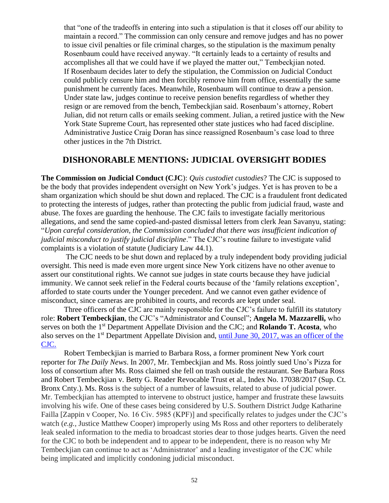that "one of the tradeoffs in entering into such a stipulation is that it closes off our ability to maintain a record." The commission can only censure and remove judges and has no power to issue civil penalties or file criminal charges, so the stipulation is the maximum penalty Rosenbaum could have received anyway. "It certainly leads to a certainty of results and accomplishes all that we could have if we played the matter out," Tembeckjian noted. If Rosenbaum decides later to defy the stipulation, the Commission on Judicial Conduct could publicly censure him and then forcibly remove him from office, essentially the same punishment he currently faces. Meanwhile, Rosenbaum will continue to draw a pension. Under state law, judges continue to receive pension benefits regardless of whether they resign or are removed from the bench, Tembeckjian said. Rosenbaum's attorney, Robert Julian, did not return calls or emails seeking comment. Julian, a retired justice with the New York State Supreme Court, has represented other state justices who had faced discipline. Administrative Justice Craig Doran has since reassigned Rosenbaum's case load to three other justices in the 7th District.

## **DISHONORABLE MENTIONS: JUDICIAL OVERSIGHT BODIES**

**The Commission on Judicial Conduct (CJC**): *Quis custodiet custodies*? The CJC is supposed to be the body that provides independent oversight on New York's judges. Yet is has proven to be a sham organization which should be shut down and replaced. The CJC is a fraudulent front dedicated to protecting the interests of judges, rather than protecting the public from judicial fraud, waste and abuse. The foxes are guarding the henhouse. The CJC fails to investigate facially meritorious allegations, and send the same copied-and-pasted dismissal letters from clerk Jean Savanyu, stating: "*Upon careful consideration, the Commission concluded that there was insufficient indication of judicial misconduct to justify judicial discipline*." The CJC's routine failure to investigate valid complaints is a violation of statute (Judiciary Law 44.1).

The CJC needs to be shut down and replaced by a truly independent body providing judicial oversight. This need is made even more urgent since New York citizens have no other avenue to assert our constitutional rights. We cannot sue judges in state courts because they have judicial immunity. We cannot seek relief in the Federal courts because of the 'family relations exception', afforded to state courts under the Younger precedent. And we cannot even gather evidence of misconduct, since cameras are prohibited in courts, and records are kept under seal.

Three officers of the CJC are mainly responsible for the CJC's failure to fulfill its statutory role: **Robert Tembeckjian**, the CJC's "Administrator and Counsel"; **Angela M. Mazzarelli,** who serves on both the 1st Department Appellate Division and the CJC; and **Rolando T. Acosta**, who also serves on the 1<sup>st</sup> Department Appellate Division and, until June 30, 2017, was an officer of the [CJC.](http://www.scjc.state.ny.us/Press.Releases/2017.Releases/Mazzarelli.Angela.Release.2017-06-20.pdf) 

Robert Tembeckjian is married to Barbara Ross, a former prominent New York court reporter for *The Daily News*. In 2007, Mr. Tembeckjian and Ms. Ross jointly sued Uno's Pizza for loss of consortium after Ms. Ross claimed she fell on trash outside the restaurant. See Barbara Ross and Robert Tembeckjian v. Betty G. Reader Revocable Trust et al., Index No. 17038/2017 (Sup. Ct. Bronx Cnty.). Ms. Ross is the subject of a number of lawsuits, related to abuse of judicial power. Mr. Tembeckjian has attempted to intervene to obstruct justice, hamper and frustrate these lawsuits involving his wife. One of these cases being considered by U.S. Southern District Judge Katharine Failla [Zappin v Cooper, No. 16 Civ. 5985 (KPF)] and specifically relates to judges under the CJC's watch (*e.g.*, Justice Matthew Cooper) improperly using Ms Ross and other reporters to deliberately leak sealed information to the media to broadcast stories dear to those judges hearts. Given the need for the CJC to both be independent and to appear to be independent, there is no reason why Mr Tembeckjian can continue to act as 'Administrator' and a leading investigator of the CJC while being implicated and implicitly condoning judicial misconduct.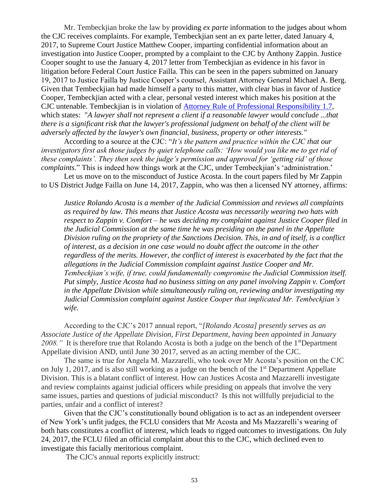Mr. Tembeckjian broke the law by providing *ex parte* information to the judges about whom the CJC receives complaints. For example, Tembeckjian sent an ex parte letter, dated January 4, 2017, to Supreme Court Justice Matthew Cooper, imparting confidential information about an investigation into Justice Cooper, prompted by a complaint to the CJC by Anthony Zappin. Justice Cooper sought to use the January 4, 2017 letter from Tembeckjian as evidence in his favor in litigation before Federal Court Justice Failla. This can be seen in the papers submitted on January 19, 2017 to Justice Failla by Justice Cooper's counsel, Assistant Attorney General Michael A. Berg. Given that Tembeckjian had made himself a party to this matter, with clear bias in favor of Justice Cooper, Tembeckjian acted with a clear, personal vested interest which makes his position at the CJC untenable. Tembeckjian is in violation of [Attorney Rule of Professional Responsibility 1.7,](http://www.nycourts.gov/rules/jointappellate/ny-rules-prof-conduct-1200.pdf) which states: "*A lawyer shall not represent a client if a reasonable lawyer would conclude ...that there is a significant risk that the lawyer's professional judgment on behalf of the client will be adversely affected by the lawyer's own financial, business, property or other interests."*

According to a source at the CJC: "*It's the pattern and practice within the CJC that our investigators first ask those judges by quiet telephone calls: 'How would you like me to get rid of these complaints'. They then seek the judge's permission and approval for 'getting rid' of those complaints*." This is indeed how things work at the CJC, under Tembeckjian's 'administration.'

Let us move on to the misconduct of Justice Acosta. In the court papers filed by Mr Zappin to US District Judge Failla on June 14, 2017, Zappin, who was then a licensed NY attorney, affirms:

*Justice Rolando Acosta is a member of the Judicial Commission and reviews all complaints as required by law. This means that Justice Acosta was necessarily wearing two hats with respect to Zappin v. Comfort – he was deciding my complaint against Justice Cooper filed in the Judicial Commission at the same time he was presiding on the panel in the Appellate Division ruling on the propriety of the Sanctions Decision. This, in and of itself, is a conflict of interest, as a decision in one case would no doubt affect the outcome in the other regardless of the merits. However, the conflict of interest is exacerbated by the fact that the allegations in the Judicial Commission complaint against Justice Cooper and Mr. Tembeckjian's wife, if true, could fundamentally compromise the Judicial Commission itself. Put simply, Justice Acosta had no business sitting on any panel involving Zappin v. Comfort in the Appellate Division while simultaneously ruling on, reviewing and/or investigating my Judicial Commission complaint against Justice Cooper that implicated Mr. Tembeckjian's wife.*

According to the CJC's 2017 annual report, "*[Rolando Acosta] presently serves as an Associate Justice of the Appellate Division, First Department, having been appointed in January*  2008." It is therefore true that Rolando Acosta is both a judge on the bench of the 1<sup>st</sup>Department Appellate division AND, until June 30 2017, served as an acting member of the CJC.

The same is true for Angela M. Mazzarelli, who took over Mr Acosta's position on the CJC on July 1, 2017, and is also still working as a judge on the bench of the  $1<sup>st</sup>$  Department Appellate Division. This is a blatant conflict of interest. How can Justices Acosta and Mazzarelli investigate and review complaints against judicial officers while presiding on appeals that involve the very same issues, parties and questions of judicial misconduct? Is this not willfully prejudicial to the parties, unfair and a conflict of interest?

Given that the CJC's constitutionally bound obligation is to act as an independent overseer of New York's unfit judges, the FCLU considers that Mr Acosta and Ms Mazzarelli's wearing of both hats constitutes a conflict of interest, which leads to rigged outcomes to investigations. On July 24, 2017, the FCLU filed an official complaint about this to the CJC, which declined even to investigate this facially meritorious complaint.

The CJC's annual reports explicitly instruct: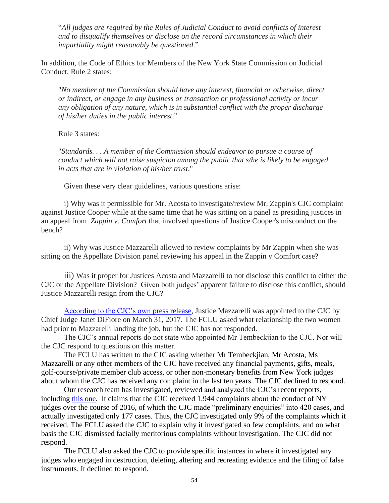"*All judges are required by the Rules of Judicial Conduct to avoid conflicts of interest and to disqualify themselves or disclose on the record circumstances in which their impartiality might reasonably be questioned*."

In addition, the Code of Ethics for Members of the New York State Commission on Judicial Conduct, Rule 2 states:

"*No member of the Commission should have any interest, financial or otherwise, direct or indirect, or engage in any business or transaction or professional activity or incur any obligation of any nature, which is in substantial conflict with the proper discharge of his/her duties in the public interest*."

Rule 3 states:

"*Standards. . . A member of the Commission should endeavor to pursue a course of conduct which will not raise suspicion among the public that s/he is likely to be engaged in acts that are in violation of his/her trust*."

Given these very clear guidelines, various questions arise:

i) Why was it permissible for Mr. Acosta to investigate/review Mr. Zappin's CJC complaint against Justice Cooper while at the same time that he was sitting on a panel as presiding justices in an appeal from *Zappin v. Comfort* that involved questions of Justice Cooper's misconduct on the bench?

ii) Why was Justice Mazzarelli allowed to review complaints by Mr Zappin when she was sitting on the Appellate Division panel reviewing his appeal in the Zappin v Comfort case?

iii) Was it proper for Justices Acosta and Mazzarelli to not disclose this conflict to either the CJC or the Appellate Division? Given both judges' apparent failure to disclose this conflict, should Justice Mazzarelli resign from the CJC?

[According to the CJC's own](http://www.scjc.state.ny.us/Press.Releases/2017.Releases/Mazzarelli.Angela.Release.2017-06-20.pdf) press release, Justice Mazzarelli was appointed to the CJC by Chief Judge Janet DiFiore on March 31, 2017. The FCLU asked what relationship the two women had prior to Mazzarelli landing the job, but the CJC has not responded.

The CJC's annual reports do not state who appointed Mr Tembeckjian to the CJC. Nor will the CJC respond to questions on this matter.

The FCLU has written to the CJC asking whether Mr Tembeckjian, Mr Acosta, Ms Mazzarelli or any other members of the CJC have received any financial payments, gifts, meals, golf-course/private member club access, or other non-monetary benefits from New York judges about whom the CJC has received any complaint in the last ten years. The CJC declined to respond.

Our research team has investigated, reviewed and analyzed the CJC's recent reports, including [this one.](http://www.scjc.state.ny.us/Publications/AnnualReports/nyscjc.2017annualreport.pdf) It claims that the CJC received 1,944 complaints about the conduct of NY judges over the course of 2016, of which the CJC made "preliminary enquiries" into 420 cases, and actually investigated only 177 cases. Thus, the CJC investigated only 9% of the complaints which it received. The FCLU asked the CJC to explain why it investigated so few complaints, and on what basis the CJC dismissed facially meritorious complaints without investigation. The CJC did not respond.

The FCLU also asked the CJC to provide specific instances in where it investigated any judges who engaged in destruction, deleting, altering and recreating evidence and the filing of false instruments. It declined to respond.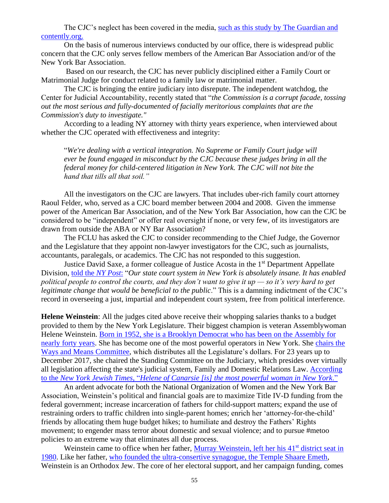The CJC's neglect has been covered in the media, such as this study by The Guardian and [contently.org.](https://www.theguardian.com/us-news/2015/oct/18/judge-bias-corrupts-court-cases)

On the basis of numerous interviews conducted by our office, there is widespread public concern that the CJC only serves fellow members of the American Bar Association and/or of the New York Bar Association.

Based on our research, the CJC has never publicly disciplined either a Family Court or Matrimonial Judge for conduct related to a family law or matrimonial matter.

The CJC is bringing the entire judiciary into disrepute. The independent watchdog, the Center for Judicial Accountability, recently stated that "*the Commission is a corrupt facade, tossing out the most serious and fully-documented of facially meritorious complaints that are the Commission's duty to investigate."*

According to a leading NY attorney with thirty years experience, when interviewed about whether the CJC operated with effectiveness and integrity:

"*We're dealing with a vertical integration. No Supreme or Family Court judge will ever be found engaged in misconduct by the CJC because these judges bring in all the federal money for child-centered litigation in New York. The CJC will not bite the hand that tills all that soil."*

All the investigators on the CJC are lawyers. That includes uber-rich family court attorney Raoul Felder, who, served as a CJC board member between 2004 and 2008. Given the immense power of the American Bar Association, and of the New York Bar Association, how can the CJC be considered to be "independent" or offer real oversight if none, or very few, of its investigators are drawn from outside the ABA or NY Bar Association?

The FCLU has asked the CJC to consider recommending to the Chief Judge, the Governor and the Legislature that they appoint non-lawyer investigators for the CJC, such as journalists, accountants, paralegals, or academics. The CJC has not responded to this suggestion.

Justice David Saxe, a former colleague of Justice Acosta in the 1<sup>st</sup> Department Appellate Division, told the *[NY Post](http://nypost.com/2017/06/07/how-the-politically-connected-control-the-new-york-court-system/)*: "*Our state court system in New York is absolutely insane. It has enabled political people to control the courts, and they don't want to give it up — so it's very hard to get legitimate change that would be beneficial to the public.*" This is a damning indictment of the CJC's record in overseeing a just, impartial and independent court system, free from political interference.

**Helene Weinstein**: All the judges cited above receive their whopping salaries thanks to a budget provided to them by the New York Legislature. Their biggest champion is veteran Assemblywoman Helene Weinstein. [Born in 1952, she is a Brooklyn Democrat who has been on the Assembly for](http://nyassembly.gov/mem/Helene-E-Weinstein/bio/)  [nearly forty years.](http://nyassembly.gov/mem/Helene-E-Weinstein/bio/) She has become one of the most powerful operators in New York. She [chairs](http://blog.timesunion.com/capitol/archives/277342/helene-weinsten-named-assembly-ways-and-means-chair/) the [Ways and Means Committee,](http://blog.timesunion.com/capitol/archives/277342/helene-weinsten-named-assembly-ways-and-means-chair/) which distributes all the Legislature's dollars. For 23 years up to December 2017, she chaired the Standing Committee on the Judiciary, which presides over virtually all legislation affecting the state's judicial system, Family and Domestic Relations Law. [According](https://nyjlife.com/2017/11/helene-canarsie-southern-brooklyn-assembly-member-became-powerful-woman-new-york/)  to the *New York Jewish Times*, "*Helene of Canarsie [is] [the most powerful woman in New York](https://nyjlife.com/2017/11/helene-canarsie-southern-brooklyn-assembly-member-became-powerful-woman-new-york/)*."

An ardent advocate for both the National Organization of Women and the New York Bar Association, Weinstein's political and financial goals are to maximize Title IV-D funding from the federal government; increase incarceration of fathers for child-support matters; expand the use of restraining orders to traffic children into single-parent homes; enrich her 'attorney-for-the-child' friends by allocating them huge budget hikes; to humiliate and destroy the Fathers' Rights movement; to engender mass terror about domestic and sexual violence; and to pursue #metoo policies to an extreme way that eliminates all due process.

Weinstein came to office when her father, Murray [Weinstein, left her his 41](http://www.nytimes.com/1978/11/09/archives/the-2-men-who-waged-a-war-on-stanley-steingut-race-was-ideal.html)<sup>st</sup> district seat in [1980.](http://www.nytimes.com/1978/11/09/archives/the-2-men-who-waged-a-war-on-stanley-steingut-race-was-ideal.html) Like her father, [who founded the ultra-consertive synagogue, the Temple Shaare Emeth,](https://nyjlife.com/2017/11/helene-canarsie-southern-brooklyn-assembly-member-became-powerful-woman-new-york/) Weinstein is an Orthodox Jew. The core of her electoral support, and her campaign funding, comes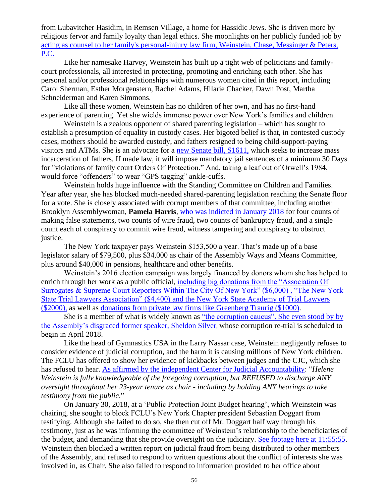from Lubavitcher Hasidim, in Remsen Village, a home for Hassidic Jews. She is driven more by religious fervor and family loyalty than legal ethics. She moonlights on her publicly funded job by [acting as counsel to her family's personal-injury law firm, Weinstein, Chase, Messinger & Peters,](https://en.wikipedia.org/wiki/Helene_Weinstein)  [P.C.](https://en.wikipedia.org/wiki/Helene_Weinstein)

Like her namesake Harvey, Weinstein has built up a tight web of politicians and familycourt professionals, all interested in protecting, promoting and enriching each other. She has personal and/or professional relationships with numerous women cited in this report, including Carol Sherman, Esther Morgenstern, Rachel Adams, Hilarie Chacker, Dawn Post, Martha Schneiderman and Karen Simmons.

Like all these women, Weinstein has no children of her own, and has no first-hand experience of parenting. Yet she wields immense power over New York's families and children.

Weinstein is a zealous opponent of shared parenting legislation – which has sought to establish a presumption of equality in custody cases. Her bigoted belief is that, in contested custody cases, mothers should be awarded custody, and fathers resigned to being child-support-paying visitors and ATMs. She is an advocate for a [new Senate bill, S1611,](https://www.nysenate.gov/legislation/bills/2017/S1611) which seeks to increase mass incarceration of fathers. If made law, it will impose mandatory jail sentences of a minimum 30 Days for "violations of family court Orders Of Protection." And, taking a leaf out of Orwell's 1984, would force "offenders" to wear "GPS tagging" ankle-cuffs.

Weinstein holds huge influence with the Standing Committee on Children and Families. Year after year, she has blocked much-needed shared-parenting legislation reaching the Senate floor for a vote. She is closely associated with corrupt members of that committee, including another Brooklyn Assemblywoman, **Pamela Harris**, [who was indicted in January 2018](https://mobile.nytimes.com/2018/01/09/nyregion/corruption-albany-pamela-harris.html) for four counts of making false statements, two counts of wire fraud, two counts of bankruptcy fraud, and a single count each of conspiracy to commit wire fraud, witness tampering and conspiracy to obstruct justice.

The New York taxpayer pays Weinstein \$153,500 a year. That's made up of a base legislator salary of \$79,500, plus \$34,000 as chair of the Assembly Ways and Means Committee, plus around \$40,000 in pensions, healthcare and other benefits.

Weinstein's 2016 election campaign was largely financed by donors whom she has helped to enrich through her work as a public official, [including big donations from the "Association Of](https://www.followthemoney.org/show-me?f-core=1&c-t-eid=6437736)  [Surrogates & Supreme Court Reporters Within The City Of New York" \(\\$6,000\) , "The New York](https://www.followthemoney.org/show-me?f-core=1&c-t-eid=6437736)  State Trial Lawyers Association" (\$4,400) and the New York State Academy of Trial Lawyers [\(\\$2000\),](https://www.followthemoney.org/show-me?f-core=1&c-t-eid=6437736) as well as [donations from private law firms like Greenberg Traurig \(\\$1000\).](https://votesmart.org/candidate/campaign-finance/23094/helene-weinstein#.WnibmK6nEs5)

She is a member of what is widely known as ["the corruption caucus". She even stood by](http://www.nydailynews.com/opinion/editorial-corruption-caucus-article-1.2090083) by [the Assembly's disgraced former speaker, Sheldon Silver](http://www.nydailynews.com/opinion/editorial-corruption-caucus-article-1.2090083), whose corruption re-trial is scheduled to begin in April 2018.

Like the head of Gymnastics USA in the Larry Nassar case, Weinstein negligently refuses to consider evidence of judicial corruption, and the harm it is causing millions of New York children. The FCLU has offered to show her evidence of kickbacks between judges and the CJC, which she has refused to hear. [As affirmed by the independent Center for Judicial Accountability:](http://www.judgewatch.org/nys-legislature/2017-oversight/10-26-17-email-to-dinowitz.pdf) "*Helene Weinstein is fullv knowledgeable of the foregoing corruption, but REFUSED to discharge ANY oversight throughout her 23-year tenure as chair - including by holding ANY hearings to take testimony from the public*."

On January 30, 2018, at a 'Public Protection Joint Budget hearing', which Weinstein was chairing, she sought to block FCLU's New York Chapter president Sebastian Doggart from testifying. Although she failed to do so, she then cut off Mr. Doggart half way through his testimony, just as he was informing the committee of Weinstein's relationship to the beneficiaries of the budget, and demanding that she provide oversight on the judiciary. [See footage here at 11:55:55.](https://www.youtube.com/watch?time_continue=42913&v=oaHRhurYObg) Weinstein then blocked a written report on judicial fraud from being distributed to other members of the Assembly, and refused to respond to written questions about the conflict of interests she was involved in, as Chair. She also failed to respond to information provided to her office about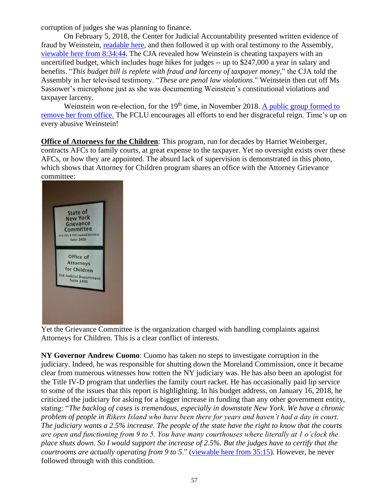corruption of judges she was planning to finance.

On February 5, 2018, the Center for Judicial Accountability presented written evidence of fraud by Weinstein, [readable here,](http://www.judgewatch.org/nys-2018-19-budget/2-5-18-hearing/2-5-18-statement-with-questions-final.pdf) and then followed it up with oral testimony to the Assembly, [viewable here from 8:34:44.](http://nystateassembly.granicus.com/MediaPlayer.php?view_id=8&clip_id=4524) The CJA revealed how Weinstein is cheating taxpayers with an uncertified budget, which includes huge hikes for judges -- up to \$247,000 a year in salary and benefits. "*This budget bill is replete with fraud and larceny of taxpayer money*," the CJA told the Assembly in her televised testimony. "*These are penal law violations*." Weinstein then cut off Ms Sassower's microphone just as she was documenting Weinstein's constitutional violations and taxpayer larceny.

Weinstein won re-election, for the 19<sup>th</sup> time, in November 2018. A public group formed to [remove her from office.](https://www.facebook.com/VoteHeleneWeisteinOutOfOffice/?hc_location=ufi) The FCLU encourages all efforts to end her disgraceful reign. Time's up on every abusive Weinstein!

**Office of Attorneys for the Children**: This program, run for decades by Harriet Weinberger, contracts AFCs to family courts, at great expense to the taxpayer. Yet no oversight exists over these AFCs, or how they are appointed. The absurd lack of supervision is demonstrated in this photo, which shows that Attorney for Children program shares an office with the Attorney Grievance committee:



Yet the Grievance Committee is the organization charged with handling complaints against Attorneys for Children. This is a clear conflict of interests.

**NY Governor Andrew Cuomo**: Cuomo has taken no steps to investigate corruption in the judiciary. Indeed, he was responsible for shutting down the Moreland Commission, once it became clear from numerous witnesses how rotten the NY judiciary was. He has also been an apologist for the Title IV-D program that underlies the family court racket. He has occasionally paid lip service to some of the issues that this report is highlighting. In his budget address, on January 16, 2018, he criticized the judiciary for asking for a bigger increase in funding than any other government entity, stating: "*The backlog of cases is tremendous, especially in downstate New York. We have a chronic problem of people in Rikers Island who have been there for years and haven't had a day in court. The judiciary wants a 2.5% increase. The people of the state have the right to know that the courts are open and functioning from 9 to 5. You have many courthouses where literally at 1 o'clock the place shuts down. So I would support the increase of 2.5%. But the judges have to certify that the courtrooms are actually operating from 9 to 5*." [\(viewable here from 35:15\)](https://www.facebook.com/NewYorkNOW/videos/10155310013273716/). However, he never followed through with this condition.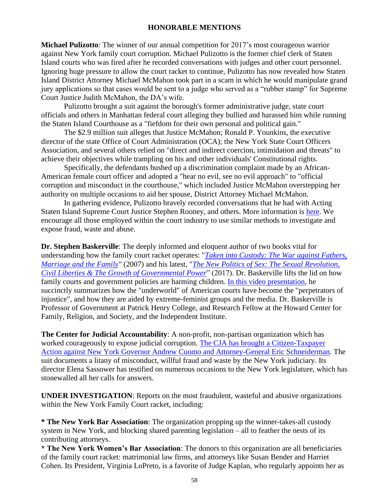## **HONORABLE MENTIONS**

**Michael Pulizotto**: The winner of our annual competition for 2017's most courageous warrior against New York family court corruption. Michael Pulizotto is the former chief clerk of Staten Island courts who was fired after he recorded conversations with judges and other court personnel. Ignoring huge pressure to allow the court racket to continue, Pulizotto has now revealed how Staten Island District Attorney Michael McMahon took part in a scam in which he would manipulate grand jury applications so that cases would be sent to a judge who served as a "rubber stamp" for Supreme Court Justice Judith McMahon, the DA's wife.

Pulizotto brought a suit against the borough's former administrative judge, state court officials and others in Manhattan federal court alleging they bullied and harassed him while running the Staten Island Courthouse as a "fiefdom for their own personal and political gain."

The \$2.9 million suit alleges that Justice McMahon; Ronald P. Younkins, the executive director of the state Office of Court Administration (OCA); the New York State Court Officers Association, and several others relied on "direct and indirect coercion, intimidation and threats" to achieve their objectives while trampling on his and other individuals' Constitutional rights.

Specifically, the defendants hushed up a discrimination complaint made by an African-American female court officer and adopted a "hear no evil, see no evil approach" to "official corruption and misconduct in the courthouse," which included Justice McMahon overstepping her authority on multiple occasions to aid her spouse, District Attorney Michael McMahon.

In gathering evidence, Pulizotto bravely recorded conversations that he had with Acting Staten Island Supreme Court Justice Stephen Rooney, and others. More information is [here.](https://www.law.com/newyorklawjournal/sites/newyorklawjournal/2017/12/13/clerk-accuses-judge-of-colluding-with-staten-island-da-to-divert-cases-away-from-defendant-friendly-courts/) We encourage all those employed within the court industry to use similar methods to investigate and expose fraud, waste and abuse.

**Dr. Stephen Baskerville**: The deeply informed and eloquent author of two books vital for understanding how the family court racket operates: "*[Taken into Custody: The War](https://www.amazon.com/Taken-Into-Custody-Against-Marriage/dp/1581825943/ref=pd_sbs_14_1?_encoding=UTF8&pd_rd_i=1581825943&pd_rd_r=1C76HY5F89SYKFQX81DJ&pd_rd_w=t7g7P&pd_rd_wg=NNMKD&psc=1&refRID=1C76HY5F89SYKFQX81DJ) against Fathers, [Marriage and the Family"](https://www.amazon.com/Taken-Into-Custody-Against-Marriage/dp/1581825943/ref=pd_sbs_14_1?_encoding=UTF8&pd_rd_i=1581825943&pd_rd_r=1C76HY5F89SYKFQX81DJ&pd_rd_w=t7g7P&pd_rd_wg=NNMKD&psc=1&refRID=1C76HY5F89SYKFQX81DJ)* (2007) and his latest, "*[The New Politics of Sex: The Sexual Revolution,](https://www.amazon.com/New-Politics-Sex-Revolution-Governmental/dp/1621382877/ref=sr_1_1?ie=UTF8&qid=1517163498&sr=8-1&keywords=stephen+baskerville)  [Civil Liberties & The Growth of Governmental Power](https://www.amazon.com/New-Politics-Sex-Revolution-Governmental/dp/1621382877/ref=sr_1_1?ie=UTF8&qid=1517163498&sr=8-1&keywords=stephen+baskerville)*" (2017). Dr. Baskerville lifts the lid on how family courts and government policies are harming children. [In this video presentation,](https://www.facebook.com/bai.macfarlane/videos/10155616457659934/) he succinctly summarizes how the "underworld" of American courts have become the "perpetrators of injustice", and how they are aided by extreme-feminist groups and the media. Dr. Baskerville is Professor of Government at Patrick Henry College, and Research Fellow at the Howard Center for Family, Religion, and Society, and the Independent Institute.

**The Center for Judicial Accountability**: A non-profit, non-partisan organization which has worked courageously to expose judicial corruption. [The CJA has brought a Citizen-Taxpayer](http://www.judgewatch.org/web-pages/searching-nys/budget/menu-budget-reform.htm)  Action against New [York Governor Andrew Cuomo and Attorney-General Eric Schneiderman.](http://www.judgewatch.org/web-pages/searching-nys/budget/menu-budget-reform.htm) The suit documents a litany of misconduct, willful fraud and waste by the New York judiciary. Its director Elena Sassower has testified on numerous occasions to the New York legislature, which has stonewalled all her calls for answers.

**UNDER INVESTIGATION**: Reports on the most fraudulent, wasteful and abusive organizations within the New York Family Court racket, including:

**\* The New York Bar Association**: The organization propping up the winner-takes-all custody system in New York, and blocking shared parenting legislation – all to feather the nests of its contributing attorneys.

**\* The New York Women's Bar Association**: The donors to this organization are all beneficiaries of the family court racket: matrimonial law firms, and attorneys like Susan Bender and Harriet Cohen. Its President, Virginia LoPreto, is a favorite of Judge Kaplan, who regularly appoints her as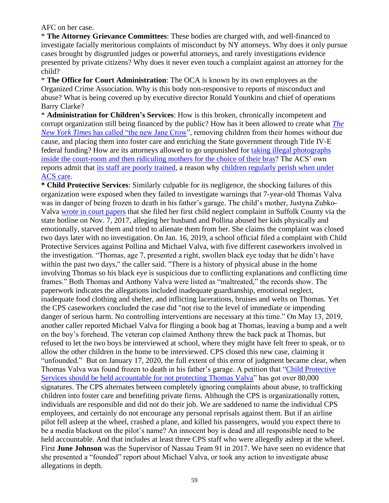AFC on her case.

\* **The Attorney Grievance Committees**: These bodies are charged with, and well-financed to investigate facially meritorious complaints of misconduct by NY attorneys. Why does it only pursue cases brought by disgruntled judges or powerful attorneys, and rarely investigations evidence presented by private citizens? Why does it never even touch a complaint against an attorney for the child?

\* **The Office for Court Administration**: The OCA is known by its own employees as the Organized Crime Association. Why is this body non-responsive to reports of misconduct and abuse? What is being covered up by executive director Ronald Younkins and chief of operations Barry Clarke?

\* **Administration for Children's Services**: How is this broken, chronically incompetent and corrupt organization still being financed by the public? How has it been allowed to create what *[The](https://www.nytimes.com/2017/07/21/nyregion/foster-care-nyc-jane-crow.html)  New York Times* [has called "the new Jane Crow"](https://www.nytimes.com/2017/07/21/nyregion/foster-care-nyc-jane-crow.html), removing children from their homes without due cause, and placing them into foster care and enriching the State government through Title IV-E federal funding? How are its attorneys allowed to go unpunished for [taking illegal photographs](https://www.nytimes.com/2017/08/30/nyregion/acs-legal-aid-lawyers-facebook-posts.html)  [inside the court-room and then ridiculing mothers for the choice of their bras?](https://www.nytimes.com/2017/08/30/nyregion/acs-legal-aid-lawyers-facebook-posts.html) The ACS' own reports admit that its staff are [poorly trained,](https://www.nytimes.com/2017/01/26/nyregion/brooklyn-ny-jaden-jordan-acs.html) a reason why [children regularly perish when under](https://www.nytimes.com/2016/12/16/opinion/the-city-could-have-saved-this-6-year-old.html)  [ACS care.](https://www.nytimes.com/2016/12/16/opinion/the-city-could-have-saved-this-6-year-old.html)

**\* Child Protective Services**: Similarly culpable for its negligence, the shocking failures of this organization were exposed when they failed to investigate warnings that 7-year-old Thomas Valva was in danger of being frozen to death in his father's garage. The child's mother, Justyna Zubko-Valva [wrote in court papers](https://www.nydailynews.com/new-york/nyc-crime/ny-boy-frozen-death-long-island-20200202-4ekupjsjyzbifkpk24em4aemmq-story.html) that she filed her first child neglect complaint in Suffolk County via the state hotline on Nov. 7, 2017, alleging her husband and Pollina abused her kids physically and emotionally, starved them and tried to alienate them from her. She claims the complaint was closed two days later with no investigation. On Jan. 16, 2019, a school official filed a complaint with Child Protective Services against Pollina and Michael Valva, with five different caseworkers involved in the investigation. "Thomas, age 7, presented a right, swollen black eye today that he didn't have within the past two days," the caller said. "There is a history of physical abuse in the home involving Thomas so his black eye is suspicious due to conflicting explanations and conflicting time frames." Both Thomas and Anthony Valva were listed as "maltreated," the records show. The paperwork indicates the allegations included inadequate guardianship, emotional neglect, inadequate food clothing and shelter, and inflicting lacerations, bruises and welts on Thomas. Yet the CPS caseworkers concluded the case did "not rise to the level of immediate or impending danger of serious harm. No controlling interventions are necessary at this time." On May 13, 2019, another caller reported Michael Valva for flinging a book bag at Thomas, leaving a bump and a welt on the boy's forehead. The veteran cop claimed Anthony threw the back pack at Thomas, but refused to let the two boys be interviewed at school, where they might have felt freer to speak, or to allow the other children in the home to be interviewed. CPS closed this new case, claiming it "unfounded." But on January 17, 2020, the full extent of this error of judgment became clear, when Thomas Valva was found frozen to death in his father's garage. A petition that ["Child Protective](https://www.change.org/p/andrew-m-cuomo-child-protective-services-should-be-held-accountable-for-not-protecting-thomas-valva)  [Services should be held accountable for not protecting Thomas Valva"](https://www.change.org/p/andrew-m-cuomo-child-protective-services-should-be-held-accountable-for-not-protecting-thomas-valva) has got over 80,000 signatures. The CPS alternates between completely ignoring complaints about abuse, to trafficking children into foster care and benefiting private firms. Although the CPS is organizationally rotten, individuals are responsible and did not do their job. We are saddened to name the individual CPS employees, and certainly do not encourage any personal reprisals against them. But if an airline pilot fell asleep at the wheel, crashed a plane, and killed his passengers, would you expect there to be a media blackout on the pilot's name? An innocent boy is dead and all responsible need to be held accountable. And that includes at least three CPS staff who were allegedly asleep at the wheel. First **June Johnson** was the Supervisor of Nassau Team 91 in 2017. We have seen no evidence that she presented a "founded" report about Michael Valva, or took any action to investigate abuse allegations in depth.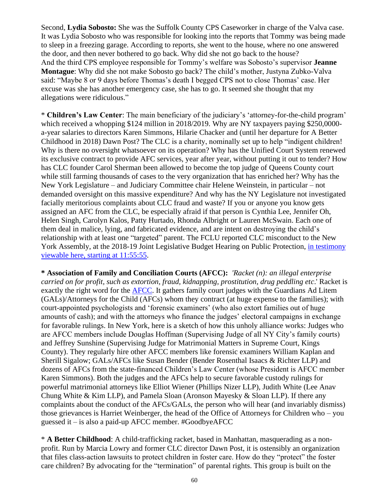Second, **Lydia Sobosto:** She was the Suffolk County CPS Caseworker in charge of the Valva case. It was Lydia Sobosto who was responsible for looking into the reports that Tommy was being made to sleep in a freezing garage. According to reports, she went to the house, where no one answered the door, and then never bothered to go back. Why did she not go back to the house? And the third CPS employee responsible for Tommy's welfare was Sobosto's supervisor **Jeanne Montague**: Why did she not make Sobosto go back? The child's mother, Justyna Zubko-Valva said: "Maybe 8 or 9 days before Thomas's death I begged CPS not to close Thomas' case. Her excuse was she has another emergency case, she has to go. It seemed she thought that my allegations were ridiculous."

\* **Children's Law Center**: The main beneficiary of the judiciary's 'attorney-for-the-child program' which received a whopping \$124 million in 2018/2019. Why are NY taxpayers paying \$250,0000a-year salaries to directors Karen Simmons, Hilarie Chacker and (until her departure for A Better Childhood in 2018) Dawn Post? The CLC is a charity, nominally set up to help "indigent children! Why is there no oversight whatsoever on its operation? Why has the Unified Court System renewed its exclusive contract to provide AFC services, year after year, without putting it out to tender? How has CLC founder Carol Sherman been allowed to become the top judge of Queens County court while still farming thousands of cases to the very organization that has enriched her? Why has the New York Legislature – and Judiciary Committee chair Helene Weinstein, in particular – not demanded oversight on this massive expenditure? And why has the NY Legislature not investigated facially meritorious complaints about CLC fraud and waste? If you or anyone you know gets assigned an AFC from the CLC, be especially afraid if that person is Cynthia Lee, Jennifer Oh, Helen Singh, Carolyn Kalos, Patty Hurtado, Rhonda Albright or Lauren McSwain. Each one of them deal in malice, lying, and fabricated evidence, and are intent on destroying the child's relationship with at least one "targeted" parent. The FCLU reported CLC misconduct to the New York Assembly, at the 2018-19 Joint Legislative Budget Hearing on Public Protection, in testimony [viewable here, starting at 11:55:55.](https://youtu.be/oaHRhurYObg)

**\* Association of Family and Conciliation Courts (AFCC):** *'Racket (n): an illegal enterprise carried on for profit, such as extortion, fraud, kidnapping, prostitution, drug peddling etc*.' Racket is exactly the right word for the [AFCC.](https://www.afccnet.org/) It gathers family court judges with the Guardians Ad Litem (GALs)/Attorneys for the Child (AFCs) whom they contract (at huge expense to the families); with court-appointed psychologists and 'forensic examiners' (who also extort families out of huge amounts of cash); and with the attorneys who finance the judges' electoral campaigns in exchange for favorable rulings. In New York, here is a sketch of how this unholy alliance works: Judges who are AFCC members include Douglas Hoffman (Supervising Judge of all NY City's family courts) and Jeffrey Sunshine (Supervising Judge for Matrimonial Matters in Supreme Court, Kings County). They regularly hire other AFCC members like forensic examiners William Kaplan and Sherill Sigalow; GALs/AFCs like Susan Bender (Bender Rosenthal Isaacs & Richter LLP) and dozens of AFCs from the state-financed Children's Law Center (whose President is AFCC member Karen Simmons). Both the judges and the AFCs help to secure favorable custody rulings for powerful matrimonial attorneys like Elliot Wiener (Phillips Nizer LLP), Judith White (Lee Anav Chung White & Kim LLP), and Pamela Sloan (Aronson Mayesky & Sloan LLP). If there any complaints about the conduct of the AFCs/GALs, the person who will hear (and invariably dismiss) those grievances is Harriet Weinberger, the head of the Office of Attorneys for Children who – you guessed it – is also a paid-up AFCC member. #GoodbyeAFCC

\* **A Better Childhood**: A child-trafficking racket, based in Manhattan, masquerading as a nonprofit. Run by Marcia Lowry and former CLC director Dawn Post, it is ostensibly an organization that files class-action lawsuits to protect children in foster care. How do they "protect" the foster care children? By advocating for the "termination" of parental rights. This group is built on the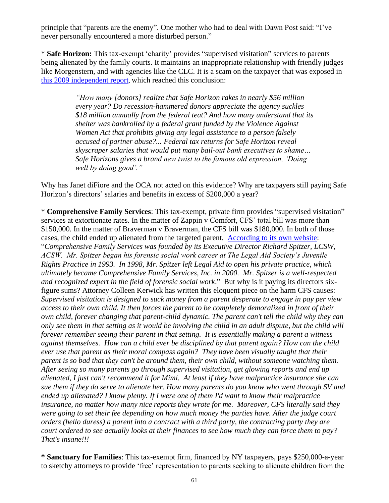principle that "parents are the enemy". One mother who had to deal with Dawn Post said: "I've never personally encountered a more disturbed person."

\* **Safe Horizon:** This tax-exempt 'charity' provides "supervised visitation" services to parents being alienated by the family courts. It maintains an inappropriate relationship with friendly judges like Morgenstern, and with agencies like the CLC. It is a scam on the taxpayer that was exposed in [this 2009 independent report](https://web.archive.org/web/20100106075401/http:/www.renewamerica.com:80/columns/roberts/091022), which reached this conclusion:

> *"How many [donors] realize that Safe Horizon rakes in nearly \$56 million every year? Do recession-hammered donors appreciate the agency suckles \$18 million annually from the federal teat? And how many understand that its shelter was bankrolled by a federal grant funded by the Violence Against Women Act that prohibits giving any legal assistance to a person falsely accused of partner abuse?... Federal tax returns for Safe Horizon reveal skyscraper salaries that would put many bail-out bank executives to shame… Safe Horizons gives a brand new twist to the famous old expression, 'Doing well by doing good'."*

Why has Janet diFiore and the OCA not acted on this evidence? Why are taxpayers still paying Safe Horizon's directors' salaries and benefits in excess of \$200,000 a year?

\* **Comprehensive Family Services**: This tax-exempt, private firm provides "supervised visitation" services at extortionate rates. In the matter of Zappin v Comfort, CFS' total bill was more than \$150,000. In the matter of Braverman v Braverman, the CFS bill was \$180,000. In both of those cases, the child ended up alienated from the targeted parent. [According to its own website:](https://www.cfs-nyc.com/about) "*Comprehensive Family Services was founded by its Executive Director Richard Spitzer, LCSW, ACSW. Mr. Spitzer began his forensic social work career at The Legal Aid Society's Juvenile Rights Practice in 1993. In 1998, Mr. Spitzer left Legal Aid to open his private practice, which ultimately became Comprehensive Family Services, Inc. in 2000. Mr. Spitzer is a well-respected and recognized expert in the field of forensic social work*." But why is it paying its directors sixfigure sums? Attorney Colleen Kerwick has written this eloquent piece on the harm CFS causes: *Supervised visitation is designed to suck money from a parent desperate to engage in pay per view access to their own child. It then forces the parent to be completely demoralized in front of their own child, forever changing that parent-child dynamic. The parent can't tell the child why they can only see them in that setting as it would be involving the child in an adult dispute, but the child will forever remember seeing their parent in that setting. It is essentially making a parent a witness against themselves. How can a child ever be disciplined by that parent again? How can the child ever use that parent as their moral compass again? They have been visually taught that their parent is so bad that they can't be around them, their own child, without someone watching them. After seeing so many parents go through supervised visitation, get glowing reports and end up alienated, I just can't recommend it for Mimi. At least if they have malpractice insurance she can sue them if they do serve to alienate her. How many parents do you know who went through SV and ended up alienated? I know plenty. If I were one of them I'd want to know their malpractice insurance, no matter how many nice reports they wrote for me. Moreover, CFS literally said they were going to set their fee depending on how much money the parties have. After the judge court orders (hello duress) a parent into a contract with a third party, the contracting party they are court ordered to see actually looks at their finances to see how much they can force them to pay? That's insane!!!*

**\* Sanctuary for Families**: This tax-exempt firm, financed by NY taxpayers, pays \$250,000-a-year to sketchy attorneys to provide 'free' representation to parents seeking to alienate children from the